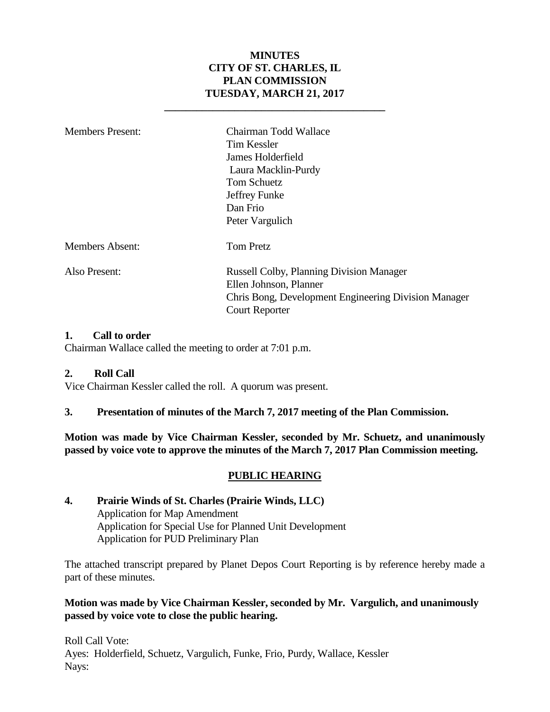### **MINUTES CITY OF ST. CHARLES, IL PLAN COMMISSION TUESDAY, MARCH 21, 2017**

**\_\_\_\_\_\_\_\_\_\_\_\_\_\_\_\_\_\_\_\_\_\_\_\_\_\_\_\_\_\_\_\_\_\_\_\_\_\_\_\_\_**

| <b>Members Present:</b> | Chairman Todd Wallace<br><b>Tim Kessler</b><br>James Holderfield<br>Laura Macklin-Purdy<br><b>Tom Schuetz</b><br>Jeffrey Funke<br>Dan Frio<br>Peter Vargulich |
|-------------------------|---------------------------------------------------------------------------------------------------------------------------------------------------------------|
| <b>Members Absent:</b>  | <b>Tom Pretz</b>                                                                                                                                              |
| Also Present:           | Russell Colby, Planning Division Manager<br>Ellen Johnson, Planner<br>Chris Bong, Development Engineering Division Manager<br><b>Court Reporter</b>           |

#### **1. Call to order**

Chairman Wallace called the meeting to order at 7:01 p.m.

#### **2. Roll Call**

Vice Chairman Kessler called the roll. A quorum was present.

#### **3. Presentation of minutes of the March 7, 2017 meeting of the Plan Commission.**

**Motion was made by Vice Chairman Kessler, seconded by Mr. Schuetz, and unanimously passed by voice vote to approve the minutes of the March 7, 2017 Plan Commission meeting.** 

#### **PUBLIC HEARING**

#### **4. Prairie Winds of St. Charles (Prairie Winds, LLC)** Application for Map Amendment Application for Special Use for Planned Unit Development Application for PUD Preliminary Plan

The attached transcript prepared by Planet Depos Court Reporting is by reference hereby made a part of these minutes.

#### **Motion was made by Vice Chairman Kessler, seconded by Mr. Vargulich, and unanimously passed by voice vote to close the public hearing.**

Roll Call Vote: Ayes: Holderfield, Schuetz, Vargulich, Funke, Frio, Purdy, Wallace, Kessler Nays: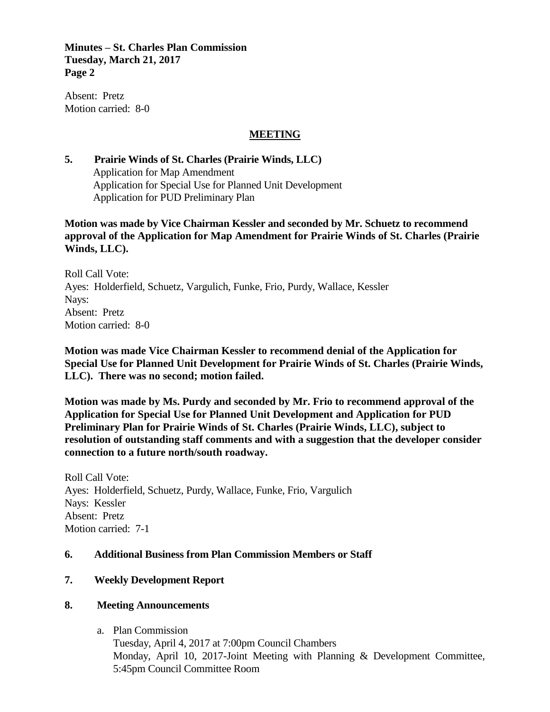**Minutes – St. Charles Plan Commission Tuesday, March 21, 2017 Page 2**

Absent: Pretz Motion carried: 8-0

#### **MEETING**

#### **5. Prairie Winds of St. Charles (Prairie Winds, LLC)** Application for Map Amendment Application for Special Use for Planned Unit Development Application for PUD Preliminary Plan

**Motion was made by Vice Chairman Kessler and seconded by Mr. Schuetz to recommend approval of the Application for Map Amendment for Prairie Winds of St. Charles (Prairie Winds, LLC).** 

Roll Call Vote: Ayes: Holderfield, Schuetz, Vargulich, Funke, Frio, Purdy, Wallace, Kessler Nays: Absent: Pretz Motion carried: 8-0

**Motion was made Vice Chairman Kessler to recommend denial of the Application for Special Use for Planned Unit Development for Prairie Winds of St. Charles (Prairie Winds, LLC). There was no second; motion failed.**

**Motion was made by Ms. Purdy and seconded by Mr. Frio to recommend approval of the Application for Special Use for Planned Unit Development and Application for PUD Preliminary Plan for Prairie Winds of St. Charles (Prairie Winds, LLC), subject to resolution of outstanding staff comments and with a suggestion that the developer consider connection to a future north/south roadway.**

Roll Call Vote: Ayes: Holderfield, Schuetz, Purdy, Wallace, Funke, Frio, Vargulich Nays: Kessler Absent: Pretz Motion carried: 7-1

#### **6. Additional Business from Plan Commission Members or Staff**

#### **7. Weekly Development Report**

#### **8. Meeting Announcements**

a. Plan Commission

Tuesday, April 4, 2017 at 7:00pm Council Chambers Monday, April 10, 2017-Joint Meeting with Planning & Development Committee, 5:45pm Council Committee Room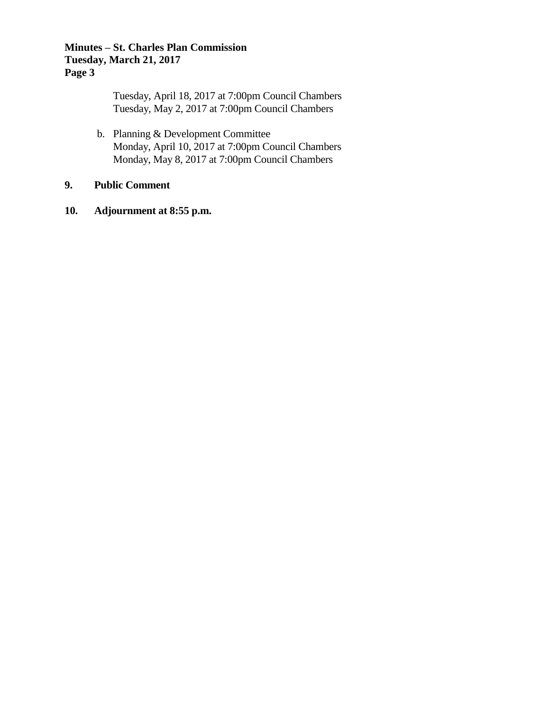#### **Minutes – St. Charles Plan Commission Tuesday, March 21, 2017 Page 3**

Tuesday, April 18, 2017 at 7:00pm Council Chambers Tuesday, May 2, 2017 at 7:00pm Council Chambers

b. Planning & Development Committee Monday, April 10, 2017 at 7:00pm Council Chambers Monday, May 8, 2017 at 7:00pm Council Chambers

## **9. Public Comment**

**10. Adjournment at 8:55 p.m.**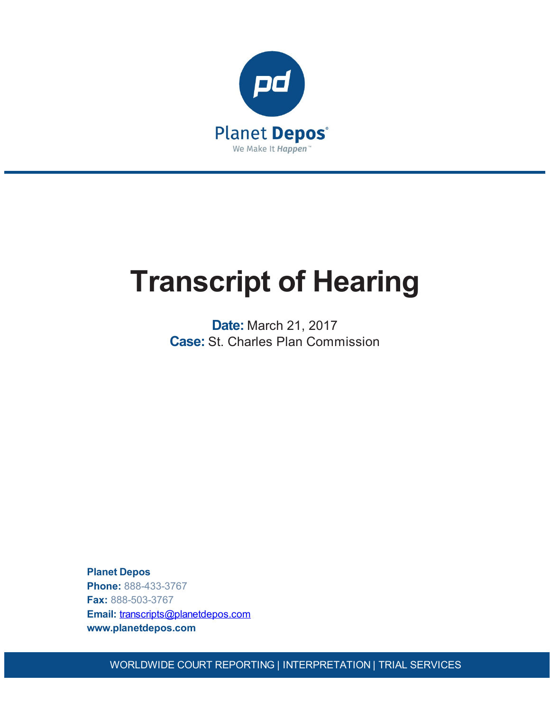

# **Transcript of Hearing**

**Date:** March 21, 2017 **Case:** St. Charles Plan Commission

**Planet Depos Phone:** 888-433-3767 **Fax:** 888-503-3767 **Email:** [transcripts@planetdepos.com](mailto:transcripts@planetdepos.com) **www.planetdepos.com**

WORLDWIDE COURT REPORTING | INTERPRETATION | TRIAL SERVICES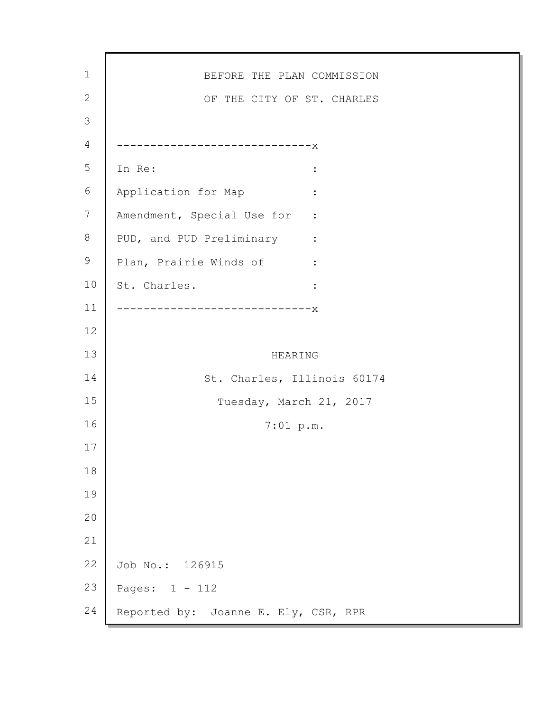| $1\,$          | BEFORE THE PLAN COMMISSION                                  |
|----------------|-------------------------------------------------------------|
| $\mathbf{2}$   | OF THE CITY OF ST. CHARLES                                  |
| 3              |                                                             |
| $\overline{4}$ | --------------------------X                                 |
| 5              | In Re:<br>$\ddot{\cdot}$                                    |
| 6              | Application for Map<br>$\ddot{\cdot}$                       |
| 7              | Amendment, Special Use for :                                |
| 8              | PUD, and PUD Preliminary<br>$\sim 10^{11}$ m $^{-1}$ .      |
| $\mathsf 9$    | Plan, Prairie Winds of<br>$\sim 10^{11}$ and $\sim 10^{11}$ |
| 10             | St. Charles.<br>$\ddot{\cdot}$                              |
| 11             | ------------------X                                         |
| 12             |                                                             |
| 13             | HEARING                                                     |
| 14             | St. Charles, Illinois 60174                                 |
| 15             | Tuesday, March 21, 2017                                     |
| 16             | 7:01~p.m.                                                   |
| 17             |                                                             |
| 18             |                                                             |
| 19             |                                                             |
| 20             |                                                             |
| 21             |                                                             |
|                |                                                             |
| 22             | Job No.: 126915                                             |
| 23             | Pages: 1 - 112                                              |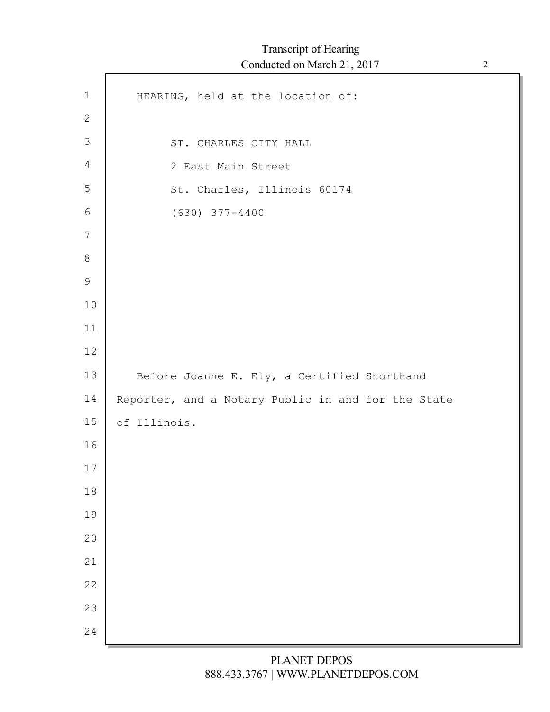ľ

| $1\,$          | HEARING, held at the location of:                  |
|----------------|----------------------------------------------------|
| $\mathbf{2}$   |                                                    |
| $\mathfrak{Z}$ | ST. CHARLES CITY HALL                              |
| 4              | 2 East Main Street                                 |
| 5              | St. Charles, Illinois 60174                        |
| $\sqrt{6}$     | $(630)$ $377 - 4400$                               |
| 7              |                                                    |
| $8\,$          |                                                    |
| $\mathsf 9$    |                                                    |
| 10             |                                                    |
| 11             |                                                    |
| 12             |                                                    |
| 13             | Before Joanne E. Ely, a Certified Shorthand        |
|                |                                                    |
| 14             | Reporter, and a Notary Public in and for the State |
| 15             | of Illinois.                                       |
| 16             |                                                    |
| 17             |                                                    |
| $18\,$         |                                                    |
| 19             |                                                    |
| 20             |                                                    |
| 21             |                                                    |
| 22             |                                                    |
| 23<br>24       |                                                    |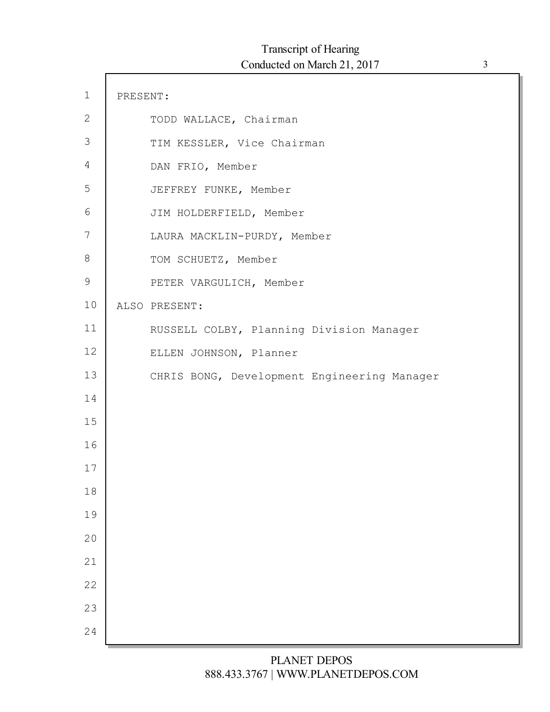| $1\,$           | PRESENT: |                                             |
|-----------------|----------|---------------------------------------------|
| $\mathbf{2}$    |          | TODD WALLACE, Chairman                      |
| $\mathfrak{Z}$  |          | TIM KESSLER, Vice Chairman                  |
| 4               |          | DAN FRIO, Member                            |
| 5               |          | JEFFREY FUNKE, Member                       |
| $6\phantom{.}6$ |          | JIM HOLDERFIELD, Member                     |
| 7               |          | LAURA MACKLIN-PURDY, Member                 |
| $8\,$           |          | TOM SCHUETZ, Member                         |
| 9               |          | PETER VARGULICH, Member                     |
| 10              |          | ALSO PRESENT:                               |
| 11              |          | RUSSELL COLBY, Planning Division Manager    |
| 12              |          | ELLEN JOHNSON, Planner                      |
| 13              |          | CHRIS BONG, Development Engineering Manager |
| 14              |          |                                             |
| 15              |          |                                             |
| 16              |          |                                             |
| 17              |          |                                             |
| 18              |          |                                             |
| 19              |          |                                             |
| 20              |          |                                             |
| 21              |          |                                             |
| 22              |          |                                             |
| 23              |          |                                             |
| 24              |          |                                             |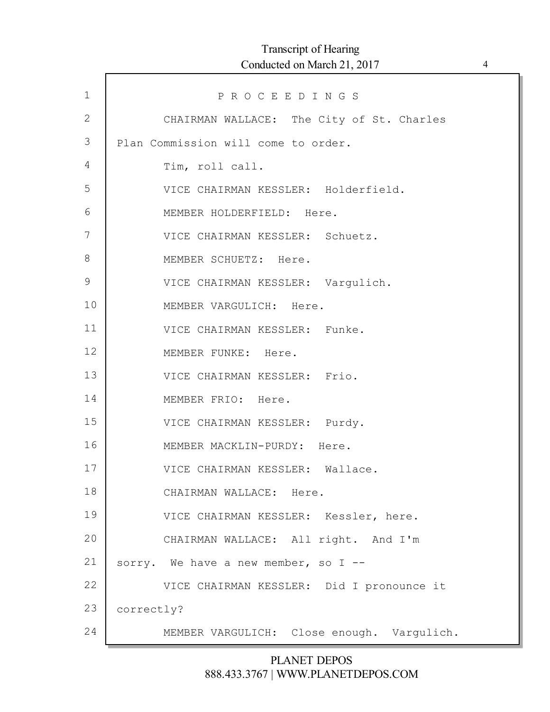| $\mathbf 1$  | PROCEEDINGS                                |
|--------------|--------------------------------------------|
| $\mathbf{2}$ | CHAIRMAN WALLACE: The City of St. Charles  |
| 3            | Plan Commission will come to order.        |
| 4            | Tim, roll call.                            |
| 5            | VICE CHAIRMAN KESSLER: Holderfield.        |
| 6            | MEMBER HOLDERFIELD: Here.                  |
| 7            | VICE CHAIRMAN KESSLER: Schuetz.            |
| 8            | MEMBER SCHUETZ: Here.                      |
| 9            | VICE CHAIRMAN KESSLER: Varqulich.          |
| 10           | MEMBER VARGULICH: Here.                    |
| 11           | VICE CHAIRMAN KESSLER: Funke.              |
| 12           | MEMBER FUNKE: Here.                        |
| 13           | VICE CHAIRMAN KESSLER: Frio.               |
| 14           | MEMBER FRIO: Here.                         |
| 15           | VICE CHAIRMAN KESSLER: Purdy.              |
| 16           | MEMBER MACKLIN-PURDY: Here.                |
| 17           | VICE CHAIRMAN KESSLER: Wallace.            |
| 18           | CHAIRMAN WALLACE: Here.                    |
| 19           | VICE CHAIRMAN KESSLER: Kessler, here.      |
| 20           | CHAIRMAN WALLACE: All right. And I'm       |
| 21           | sorry. We have a new member, so I --       |
| 22           | VICE CHAIRMAN KESSLER: Did I pronounce it  |
| 23           | correctly?                                 |
| 24           | MEMBER VARGULICH: Close enough. Vargulich. |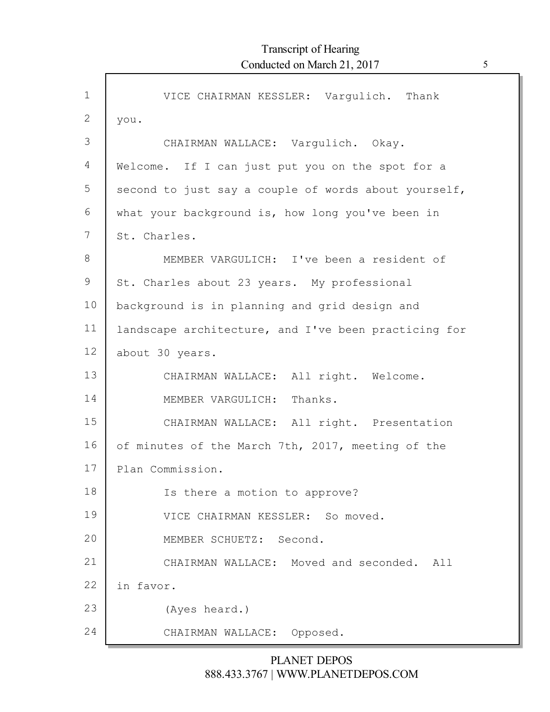| $\mathbf{1}$ | VICE CHAIRMAN KESSLER: Vargulich. Thank              |
|--------------|------------------------------------------------------|
| 2            | you.                                                 |
| 3            | CHAIRMAN WALLACE: Vargulich. Okay.                   |
| 4            | Welcome. If I can just put you on the spot for a     |
| 5            | second to just say a couple of words about yourself, |
| 6            | what your background is, how long you've been in     |
| 7            | St. Charles.                                         |
| $8\,$        | MEMBER VARGULICH: I've been a resident of            |
| 9            | St. Charles about 23 years. My professional          |
| 10           | background is in planning and grid design and        |
| 11           | landscape architecture, and I've been practicing for |
| 12           | about 30 years.                                      |
| 13           | CHAIRMAN WALLACE: All right. Welcome.                |
| 14           | MEMBER VARGULICH: Thanks.                            |
| 15           | CHAIRMAN WALLACE: All right. Presentation            |
| 16           | of minutes of the March 7th, 2017, meeting of the    |
| 17           | Plan Commission.                                     |
| 18           | Is there a motion to approve?                        |
| 19           | VICE CHAIRMAN KESSLER: So moved.                     |
| 20           | MEMBER SCHUETZ: Second.                              |
| 21           | CHAIRMAN WALLACE: Moved and seconded.<br>All         |
| 22           | in favor.                                            |
| 23           | (Ayes heard.)                                        |
| 24           | CHAIRMAN WALLACE: Opposed.                           |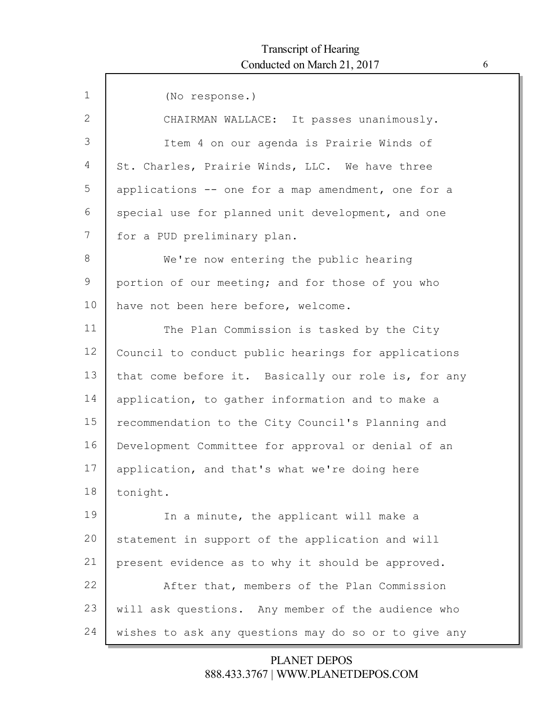| $\mathbf{1}$ | (No response.)                                       |
|--------------|------------------------------------------------------|
| 2            | CHAIRMAN WALLACE: It passes unanimously.             |
| 3            | Item 4 on our agenda is Prairie Winds of             |
| 4            | St. Charles, Prairie Winds, LLC. We have three       |
| 5            | applications -- one for a map amendment, one for a   |
| 6            | special use for planned unit development, and one    |
| 7            | for a PUD preliminary plan.                          |
| $8\,$        | We're now entering the public hearing                |
| 9            | portion of our meeting; and for those of you who     |
| 10           | have not been here before, welcome.                  |
| 11           | The Plan Commission is tasked by the City            |
| 12           | Council to conduct public hearings for applications  |
| 13           | that come before it. Basically our role is, for any  |
| 14           | application, to gather information and to make a     |
| 15           | recommendation to the City Council's Planning and    |
| 16           | Development Committee for approval or denial of an   |
| 17           | application, and that's what we're doing here        |
| 18           | tonight.                                             |
| 19           | In a minute, the applicant will make a               |
| 20           | statement in support of the application and will     |
| 21           | present evidence as to why it should be approved.    |
| 22           | After that, members of the Plan Commission           |
| 23           | will ask questions. Any member of the audience who   |
| 24           | wishes to ask any questions may do so or to give any |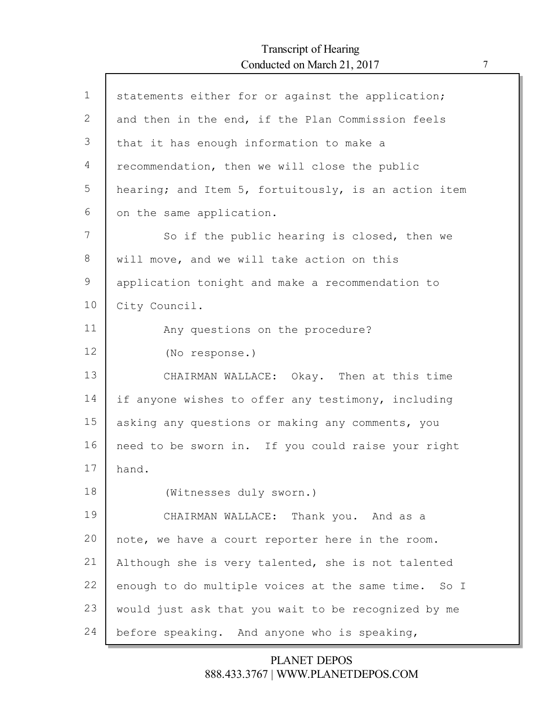Г

| $\mathbf{1}$ | statements either for or against the application;    |
|--------------|------------------------------------------------------|
| 2            | and then in the end, if the Plan Commission feels    |
| 3            | that it has enough information to make a             |
| 4            | recommendation, then we will close the public        |
| 5            | hearing; and Item 5, fortuitously, is an action item |
| 6            | on the same application.                             |
| 7            | So if the public hearing is closed, then we          |
| 8            | will move, and we will take action on this           |
| 9            | application tonight and make a recommendation to     |
| 10           | City Council.                                        |
| 11           | Any questions on the procedure?                      |
| 12           | (No response.)                                       |
| 13           | CHAIRMAN WALLACE: Okay. Then at this time            |
| 14           | if anyone wishes to offer any testimony, including   |
| 15           | asking any questions or making any comments, you     |
| 16           | need to be sworn in. If you could raise your right   |
| 17           | hand.                                                |
| 18           | (Witnesses duly sworn.)                              |
| 19           | CHAIRMAN WALLACE: Thank you. And as a                |
| 20           | note, we have a court reporter here in the room.     |
| 21           | Although she is very talented, she is not talented   |
| 22           | enough to do multiple voices at the same time. So I  |
| 23           | would just ask that you wait to be recognized by me  |
| 24           | before speaking. And anyone who is speaking,         |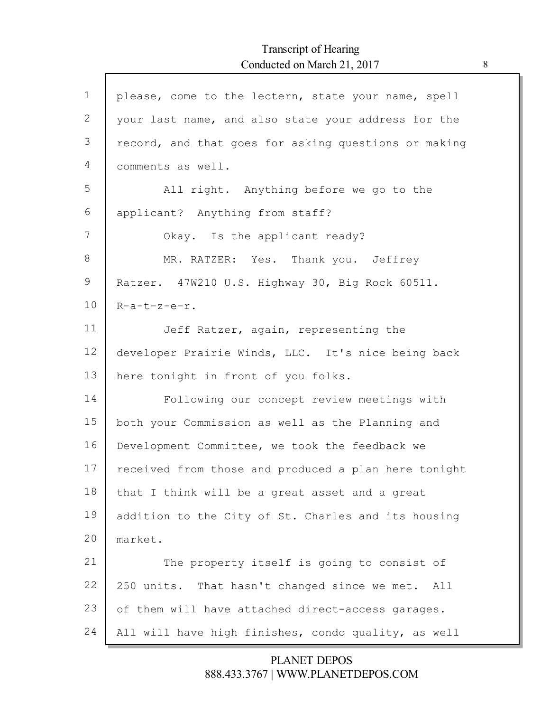| $\mathbf 1$ | please, come to the lectern, state your name, spell  |
|-------------|------------------------------------------------------|
| 2           | your last name, and also state your address for the  |
| 3           | record, and that goes for asking questions or making |
| 4           | comments as well.                                    |
| 5           | All right. Anything before we go to the              |
| 6           | applicant? Anything from staff?                      |
| 7           | Okay. Is the applicant ready?                        |
| 8           | MR. RATZER: Yes. Thank you. Jeffrey                  |
| 9           | Ratzer. 47W210 U.S. Highway 30, Big Rock 60511.      |
| 10          | $R-a-t-z-e-r$ .                                      |
| 11          | Jeff Ratzer, again, representing the                 |
| 12          | developer Prairie Winds, LLC. It's nice being back   |
| 13          | here tonight in front of you folks.                  |
| 14          | Following our concept review meetings with           |
| 15          | both your Commission as well as the Planning and     |
| 16          | Development Committee, we took the feedback we       |
| 17          | received from those and produced a plan here tonight |
| 18          | that I think will be a great asset and a great       |
| 19          | addition to the City of St. Charles and its housing  |
| 20          | market.                                              |
| 21          | The property itself is going to consist of           |
| 22          | 250 units. That hasn't changed since we met. All     |
| 23          | of them will have attached direct-access garages.    |
| 24          | All will have high finishes, condo quality, as well  |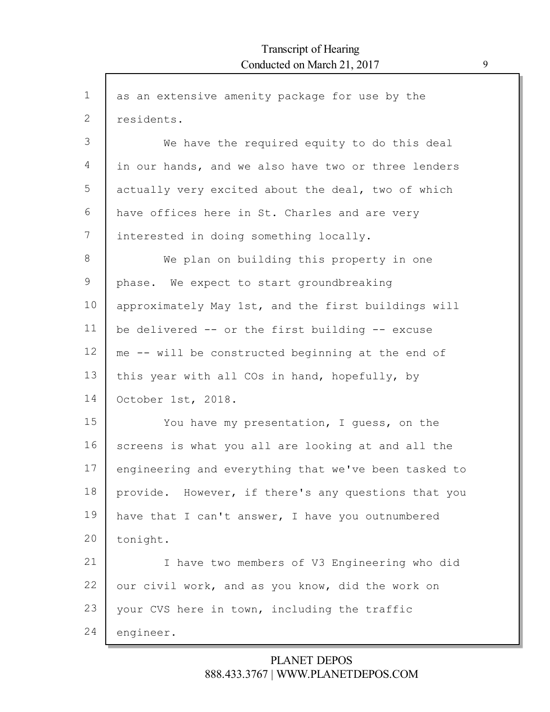| $\mathbf 1$ | as an extensive amenity package for use by the       |
|-------------|------------------------------------------------------|
| 2           | residents.                                           |
| 3           | We have the required equity to do this deal          |
| 4           | in our hands, and we also have two or three lenders  |
| 5           | actually very excited about the deal, two of which   |
| 6           | have offices here in St. Charles and are very        |
| 7           | interested in doing something locally.               |
| 8           | We plan on building this property in one             |
| 9           | phase. We expect to start groundbreaking             |
| 10          | approximately May 1st, and the first buildings will  |
| 11          | be delivered -- or the first building -- excuse      |
| 12          | me -- will be constructed beginning at the end of    |
| 13          | this year with all COs in hand, hopefully, by        |
| 14          | October 1st, 2018.                                   |
| 15          | You have my presentation, I guess, on the            |
| 16          | screens is what you all are looking at and all the   |
| 17          | engineering and everything that we've been tasked to |
| 18          | provide. However, if there's any questions that you  |
| 19          | have that I can't answer, I have you outnumbered     |
| 20          | tonight.                                             |
| 21          | I have two members of V3 Engineering who did         |
| 22          | our civil work, and as you know, did the work on     |
| 23          | your CVS here in town, including the traffic         |
| 24          | engineer.                                            |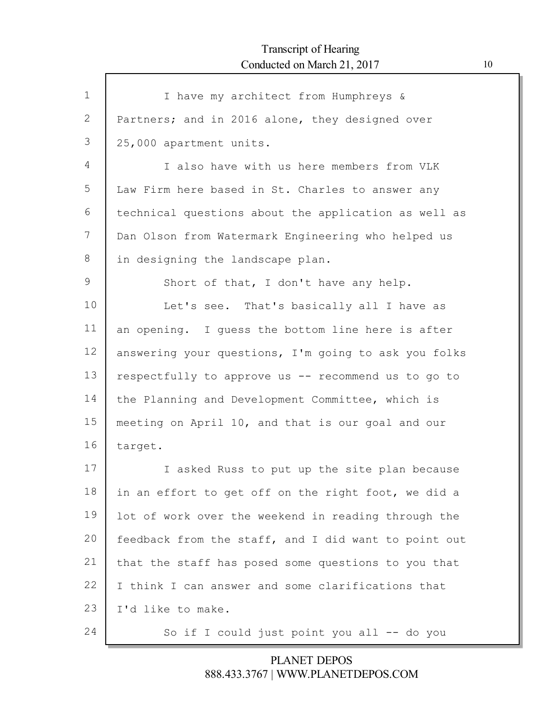Г

| $\mathbf{1}$ | I have my architect from Humphreys &                 |
|--------------|------------------------------------------------------|
| 2            | Partners; and in 2016 alone, they designed over      |
| 3            | 25,000 apartment units.                              |
| 4            | I also have with us here members from VLK            |
| 5            | Law Firm here based in St. Charles to answer any     |
| 6            | technical questions about the application as well as |
| 7            | Dan Olson from Watermark Engineering who helped us   |
| 8            | in designing the landscape plan.                     |
| 9            | Short of that, I don't have any help.                |
| 10           | Let's see. That's basically all I have as            |
| 11           | an opening. I guess the bottom line here is after    |
| 12           | answering your questions, I'm going to ask you folks |
| 13           | respectfully to approve us -- recommend us to go to  |
| 14           | the Planning and Development Committee, which is     |
| 15           | meeting on April 10, and that is our goal and our    |
| 16           | target.                                              |
| 17           | I asked Russ to put up the site plan because         |
| 18           | in an effort to get off on the right foot, we did a  |
| 19           | lot of work over the weekend in reading through the  |
| 20           | feedback from the staff, and I did want to point out |
| 21           | that the staff has posed some questions to you that  |
| 22           | I think I can answer and some clarifications that    |
| 23           | I'd like to make.                                    |
| 24           | So if I could just point you all -- do you           |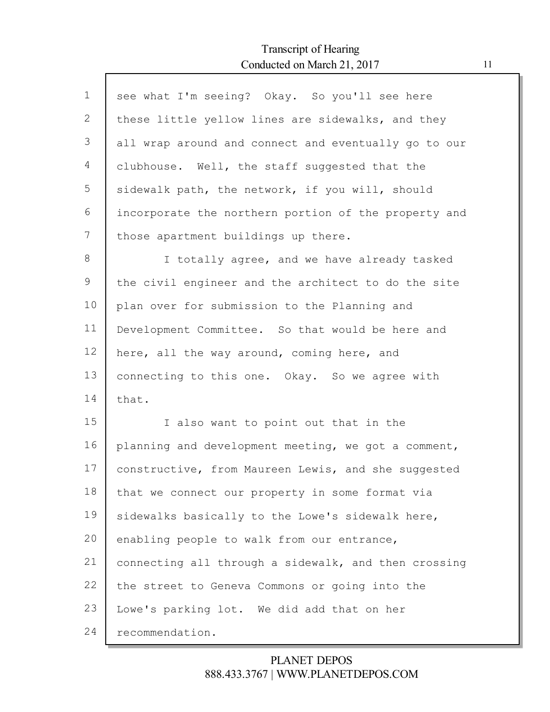Г

| $\mathbf 1$  | see what I'm seeing? Okay. So you'll see here        |
|--------------|------------------------------------------------------|
| $\mathbf{2}$ | these little yellow lines are sidewalks, and they    |
| 3            | all wrap around and connect and eventually go to our |
| 4            | clubhouse. Well, the staff suggested that the        |
| 5            | sidewalk path, the network, if you will, should      |
| 6            | incorporate the northern portion of the property and |
| 7            | those apartment buildings up there.                  |
| 8            | I totally agree, and we have already tasked          |
| 9            | the civil engineer and the architect to do the site  |
| 10           | plan over for submission to the Planning and         |
| 11           | Development Committee. So that would be here and     |
| 12           | here, all the way around, coming here, and           |
| 13           | connecting to this one. Okay. So we agree with       |
| 14           | that.                                                |
| 15           | I also want to point out that in the                 |
| 16           | planning and development meeting, we got a comment,  |
| 17           | constructive, from Maureen Lewis, and she suggested  |
| 18           | that we connect our property in some format via      |
| 19           | sidewalks basically to the Lowe's sidewalk here,     |
| 20           | enabling people to walk from our entrance,           |
| 21           | connecting all through a sidewalk, and then crossing |
| 22           | the street to Geneva Commons or going into the       |
| 23           | Lowe's parking lot. We did add that on her           |
| 24           | recommendation.                                      |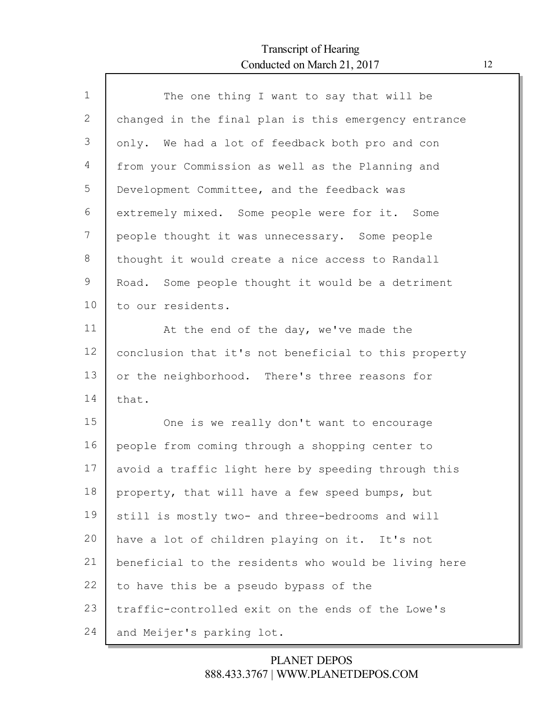Г

| $\mathbf{1}$ | The one thing I want to say that will be             |
|--------------|------------------------------------------------------|
| 2            | changed in the final plan is this emergency entrance |
| 3            | only. We had a lot of feedback both pro and con      |
| 4            | from your Commission as well as the Planning and     |
| 5            | Development Committee, and the feedback was          |
| 6            | extremely mixed. Some people were for it. Some       |
| 7            | people thought it was unnecessary. Some people       |
| 8            | thought it would create a nice access to Randall     |
| 9            | Road. Some people thought it would be a detriment    |
| 10           | to our residents.                                    |
| 11           | At the end of the day, we've made the                |
| 12           | conclusion that it's not beneficial to this property |
| 13           | or the neighborhood. There's three reasons for       |
| 14           | that.                                                |
| 15           | One is we really don't want to encourage             |
| 16           | people from coming through a shopping center to      |
| 17           | avoid a traffic light here by speeding through this  |
| 18           | property, that will have a few speed bumps, but      |
| 19           | still is mostly two- and three-bedrooms and will     |
| 20           | have a lot of children playing on it. It's not       |
| 21           | beneficial to the residents who would be living here |
| 22           | to have this be a pseudo bypass of the               |
| 23           | traffic-controlled exit on the ends of the Lowe's    |
| 24           | and Meijer's parking lot.                            |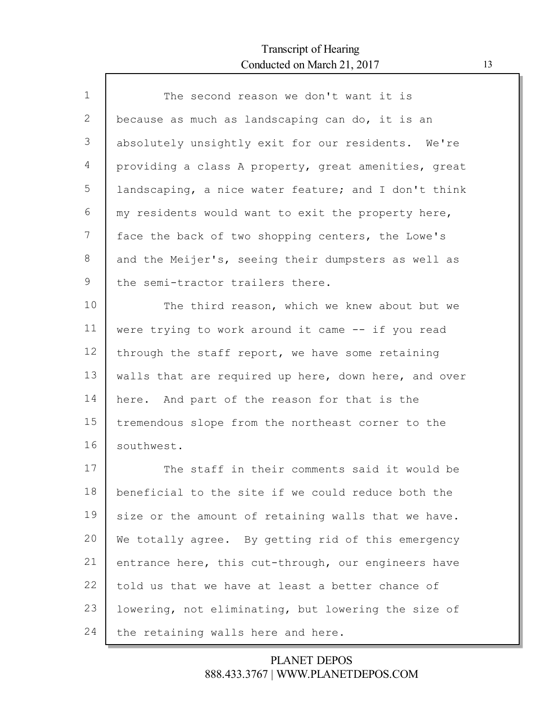Г

| $\mathbf{1}$ | The second reason we don't want it is                |
|--------------|------------------------------------------------------|
| 2            | because as much as landscaping can do, it is an      |
| 3            | absolutely unsightly exit for our residents. We're   |
| 4            | providing a class A property, great amenities, great |
| 5            | landscaping, a nice water feature; and I don't think |
| 6            | my residents would want to exit the property here,   |
| 7            | face the back of two shopping centers, the Lowe's    |
| 8            | and the Meijer's, seeing their dumpsters as well as  |
| 9            | the semi-tractor trailers there.                     |
| 10           | The third reason, which we knew about but we         |
| 11           | were trying to work around it came -- if you read    |
| 12           | through the staff report, we have some retaining     |
| 13           | walls that are required up here, down here, and over |
| 14           | here. And part of the reason for that is the         |
| 15           | tremendous slope from the northeast corner to the    |
| 16           | southwest.                                           |
| 17           | The staff in their comments said it would be         |
| 18           | beneficial to the site if we could reduce both the   |
| 19           | size or the amount of retaining walls that we have.  |
| 20           | We totally agree. By getting rid of this emergency   |
| 21           | entrance here, this cut-through, our engineers have  |
| 22           | told us that we have at least a better chance of     |
| 23           | lowering, not eliminating, but lowering the size of  |
| 24           | the retaining walls here and here.                   |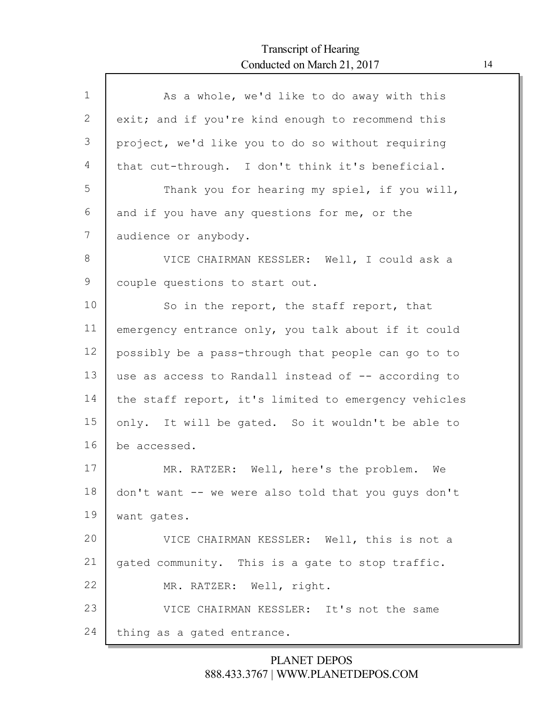Г

| $\mathbf 1$ | As a whole, we'd like to do away with this           |
|-------------|------------------------------------------------------|
| 2           | exit; and if you're kind enough to recommend this    |
| 3           | project, we'd like you to do so without requiring    |
| 4           | that cut-through. I don't think it's beneficial.     |
| 5           | Thank you for hearing my spiel, if you will,         |
| 6           | and if you have any questions for me, or the         |
| 7           | audience or anybody.                                 |
| 8           | VICE CHAIRMAN KESSLER: Well, I could ask a           |
| 9           | couple questions to start out.                       |
| 10          | So in the report, the staff report, that             |
| 11          | emergency entrance only, you talk about if it could  |
| 12          | possibly be a pass-through that people can go to to  |
| 13          | use as access to Randall instead of -- according to  |
| 14          | the staff report, it's limited to emergency vehicles |
| 15          | only. It will be gated. So it wouldn't be able to    |
| 16          | be accessed.                                         |
| 17          | MR. RATZER: Well, here's the problem. We             |
| 18          | don't want -- we were also told that you guys don't  |
| 19          | want gates.                                          |
| 20          | VICE CHAIRMAN KESSLER: Well, this is not a           |
| 21          | gated community. This is a gate to stop traffic.     |
| 22          | MR. RATZER: Well, right.                             |
| 23          | VICE CHAIRMAN KESSLER: It's not the same             |
| 24          | thing as a gated entrance.                           |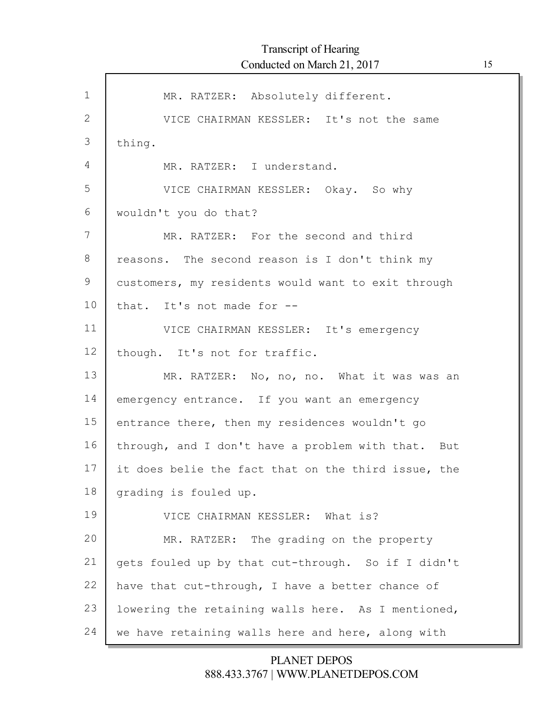| $\mathbf 1$  | MR. RATZER: Absolutely different.                   |
|--------------|-----------------------------------------------------|
| $\mathbf{2}$ | VICE CHAIRMAN KESSLER: It's not the same            |
| 3            | thing.                                              |
| 4            | MR. RATZER: I understand.                           |
| 5            | VICE CHAIRMAN KESSLER: Okay. So why                 |
| 6            | wouldn't you do that?                               |
| 7            | MR. RATZER: For the second and third                |
| 8            | reasons. The second reason is I don't think my      |
| 9            | customers, my residents would want to exit through  |
| 10           | that. It's not made for --                          |
| 11           | VICE CHAIRMAN KESSLER: It's emergency               |
| 12           | though. It's not for traffic.                       |
| 13           | MR. RATZER: No, no, no. What it was was an          |
| 14           | emergency entrance. If you want an emergency        |
| 15           | entrance there, then my residences wouldn't go      |
| 16           | through, and I don't have a problem with that. But  |
| 17           | it does belie the fact that on the third issue, the |
| 18           | grading is fouled up.                               |
| 19           | VICE CHAIRMAN KESSLER: What is?                     |
| 20           | MR. RATZER: The grading on the property             |
| 21           | gets fouled up by that cut-through. So if I didn't  |
| 22           | have that cut-through, I have a better chance of    |
| 23           | lowering the retaining walls here. As I mentioned,  |
| 24           |                                                     |
|              | we have retaining walls here and here, along with   |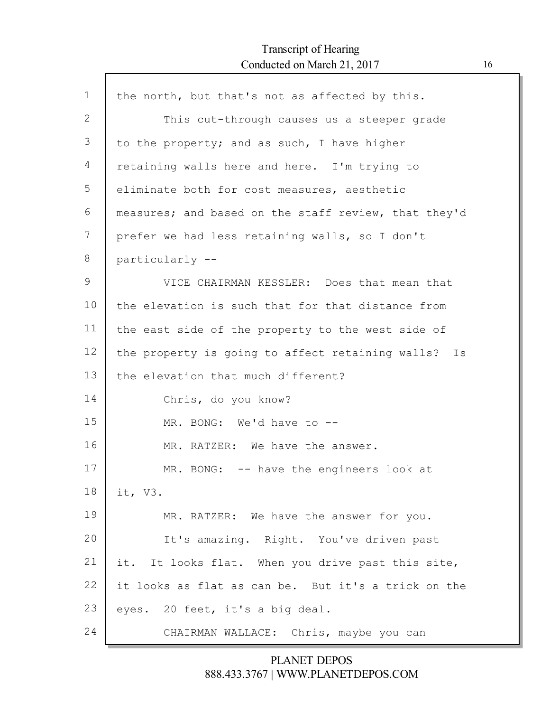Г

| $\mathbf 1$ | the north, but that's not as affected by this.       |
|-------------|------------------------------------------------------|
| 2           | This cut-through causes us a steeper grade           |
| 3           | to the property; and as such, I have higher          |
| 4           | retaining walls here and here. I'm trying to         |
| 5           | eliminate both for cost measures, aesthetic          |
| 6           | measures; and based on the staff review, that they'd |
| 7           | prefer we had less retaining walls, so I don't       |
| 8           | particularly --                                      |
| 9           | VICE CHAIRMAN KESSLER: Does that mean that           |
| 10          | the elevation is such that for that distance from    |
| 11          | the east side of the property to the west side of    |
| 12          | the property is going to affect retaining walls? Is  |
| 13          | the elevation that much different?                   |
| 14          | Chris, do you know?                                  |
| 15          | MR. BONG: We'd have to --                            |
| 16          | MR. RATZER: We have the answer.                      |
| 17          | MR. BONG: -- have the engineers look at              |
| 18          | it, V3.                                              |
| 19          | MR. RATZER: We have the answer for you.              |
| 20          | It's amazing. Right. You've driven past              |
| 21          | it.<br>It looks flat. When you drive past this site, |
| 22          | it looks as flat as can be. But it's a trick on the  |
| 23          | eyes. 20 feet, it's a big deal.                      |
| 24          | CHAIRMAN WALLACE: Chris, maybe you can               |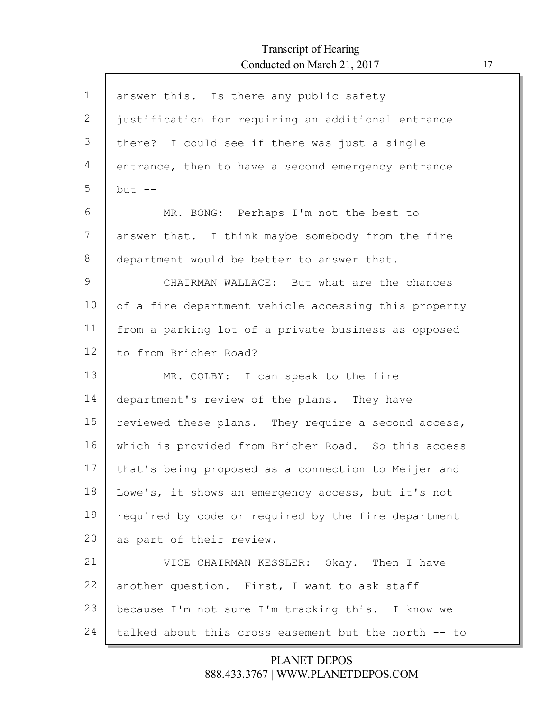Г

| $\mathbf{1}$ | answer this. Is there any public safety              |
|--------------|------------------------------------------------------|
| 2            | justification for requiring an additional entrance   |
| 3            | there? I could see if there was just a single        |
| 4            | entrance, then to have a second emergency entrance   |
| 5            | but $--$                                             |
| 6            | MR. BONG: Perhaps I'm not the best to                |
| 7            | answer that. I think maybe somebody from the fire    |
| 8            | department would be better to answer that.           |
| 9            | CHAIRMAN WALLACE: But what are the chances           |
| 10           | of a fire department vehicle accessing this property |
| 11           | from a parking lot of a private business as opposed  |
| 12           | to from Bricher Road?                                |
| 13           | MR. COLBY: I can speak to the fire                   |
| 14           | department's review of the plans. They have          |
| 15           | reviewed these plans. They require a second access,  |
| 16           | which is provided from Bricher Road. So this access  |
| 17           | that's being proposed as a connection to Meijer and  |
| 18           | Lowe's, it shows an emergency access, but it's not   |
| 19           | required by code or required by the fire department  |
| 20           | as part of their review.                             |
| 21           | VICE CHAIRMAN KESSLER: Okay. Then I have             |
| 22           | another question. First, I want to ask staff         |
| 23           | because I'm not sure I'm tracking this. I know we    |
| 24           | talked about this cross easement but the north -- to |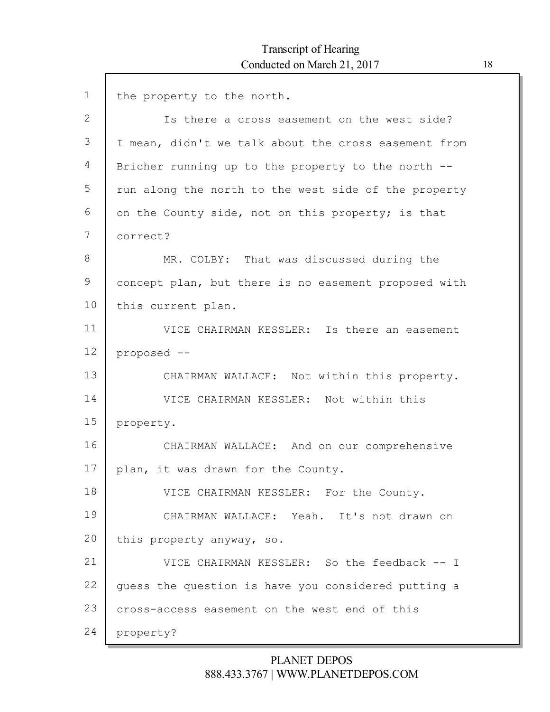1 2 3 4 5 6 7 8 9 10 11 12 13 14 15 16 17 18 19 20 21 22 23 24 the property to the north. Is there a cross easement on the west side? I mean, didn't we talk about the cross easement from Bricher running up to the property to the north - run along the north to the west side of the property on the County side, not on this property; is that correct? MR. COLBY: That was discussed during the concept plan, but there is no easement proposed with this current plan. VICE CHAIRMAN KESSLER: Is there an easement proposed -- CHAIRMAN WALLACE: Not within this property. VICE CHAIRMAN KESSLER: Not within this property. CHAIRMAN WALLACE: And on our comprehensive plan, it was drawn for the County. VICE CHAIRMAN KESSLER: For the County. CHAIRMAN WALLACE: Yeah. It's not drawn on this property anyway, so. VICE CHAIRMAN KESSLER: So the feedback -- I guess the question is have you considered putting a cross-access easement on the west end of this property?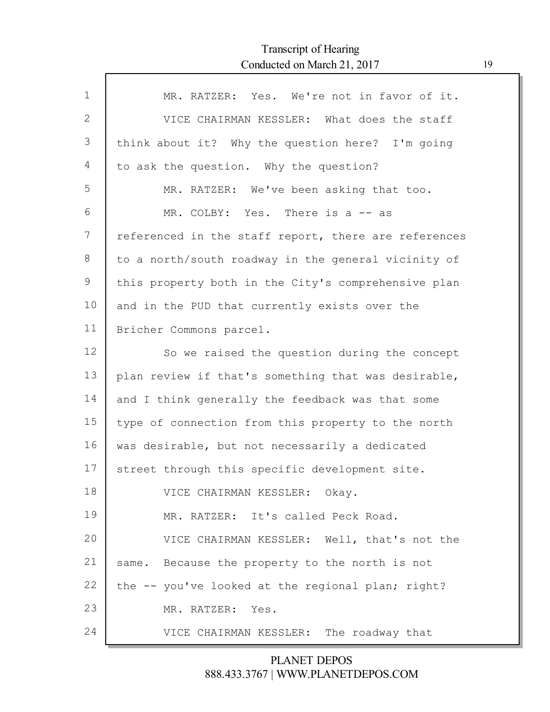| $\mathbf{1}$ | MR. RATZER: Yes. We're not in favor of it.           |
|--------------|------------------------------------------------------|
| 2            | VICE CHAIRMAN KESSLER: What does the staff           |
| 3            | think about it? Why the question here? I'm going     |
| 4            | to ask the question. Why the question?               |
| 5            | MR. RATZER: We've been asking that too.              |
| 6            | MR. COLBY: Yes. There is a -- as                     |
| 7            | referenced in the staff report, there are references |
| 8            | to a north/south roadway in the general vicinity of  |
| 9            | this property both in the City's comprehensive plan  |
| 10           | and in the PUD that currently exists over the        |
| 11           | Bricher Commons parcel.                              |
| 12           | So we raised the question during the concept         |
| 13           | plan review if that's something that was desirable,  |
| 14           | and I think generally the feedback was that some     |
| 15           | type of connection from this property to the north   |
| 16           | was desirable, but not necessarily a dedicated       |
| 17           | street through this specific development site.       |
| 18           | VICE CHAIRMAN KESSLER: Okay.                         |
| 19           | MR. RATZER: It's called Peck Road.                   |
| 20           | VICE CHAIRMAN KESSLER: Well, that's not the          |
| 21           | same. Because the property to the north is not       |
| 22           | the -- you've looked at the regional plan; right?    |
| 23           | MR. RATZER: Yes.                                     |
| 24           | VICE CHAIRMAN KESSLER: The roadway that              |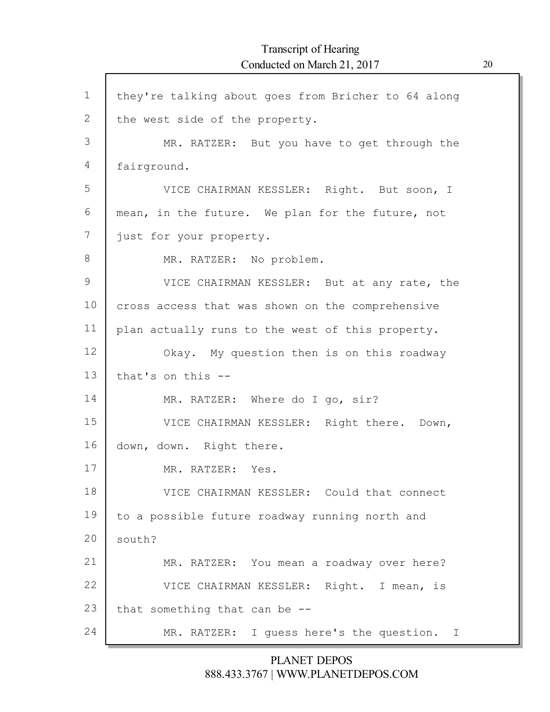| $\mathbf 1$   | they're talking about goes from Bricher to 64 along     |
|---------------|---------------------------------------------------------|
| $\mathbf{2}$  | the west side of the property.                          |
| 3             | MR. RATZER: But you have to get through the             |
| 4             | fairground.                                             |
| 5             | VICE CHAIRMAN KESSLER: Right. But soon, I               |
| 6             | mean, in the future. We plan for the future, not        |
| 7             | just for your property.                                 |
| 8             | MR. RATZER: No problem.                                 |
| $\mathcal{G}$ | VICE CHAIRMAN KESSLER: But at any rate, the             |
| 10            | cross access that was shown on the comprehensive        |
| 11            | plan actually runs to the west of this property.        |
| 12            | Okay. My question then is on this roadway               |
| 13            | that's on this --                                       |
| 14            | MR. RATZER: Where do I go, sir?                         |
| 15            | VICE CHAIRMAN KESSLER: Right there. Down,               |
| 16            | down, down. Right there.                                |
| 17            | MR. RATZER: Yes.                                        |
| 18            | VICE CHAIRMAN KESSLER: Could that connect               |
| 19            | to a possible future roadway running north and          |
| 20            | south?                                                  |
| 21            | MR. RATZER: You mean a roadway over here?               |
| 22            | VICE CHAIRMAN KESSLER: Right. I mean, is                |
| 23            | that something that can be --                           |
| 24            | MR. RATZER: I guess here's the question.<br>$\mathbf I$ |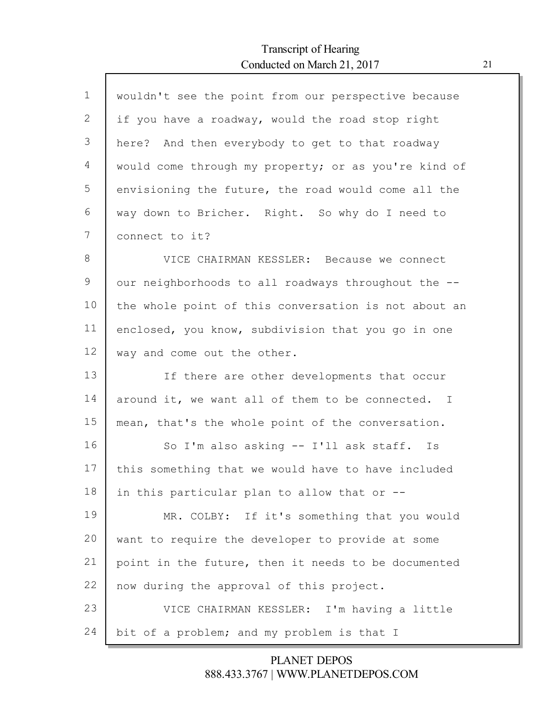Г

| $\mathbf 1$ | wouldn't see the point from our perspective because  |
|-------------|------------------------------------------------------|
| 2           | if you have a roadway, would the road stop right     |
| 3           | here? And then everybody to get to that roadway      |
| 4           | would come through my property; or as you're kind of |
| 5           | envisioning the future, the road would come all the  |
| 6           | way down to Bricher. Right. So why do I need to      |
| 7           | connect to it?                                       |
| 8           | VICE CHAIRMAN KESSLER: Because we connect            |
| 9           | our neighborhoods to all roadways throughout the --  |
| 10          | the whole point of this conversation is not about an |
| 11          | enclosed, you know, subdivision that you go in one   |
| 12          | way and come out the other.                          |
| 13          | If there are other developments that occur           |
| 14          | around it, we want all of them to be connected. I    |
| 15          | mean, that's the whole point of the conversation.    |
| 16          | So I'm also asking -- I'll ask staff. Is             |
| 17          | this something that we would have to have included   |
| 18          | in this particular plan to allow that or --          |
| 19          | MR. COLBY: If it's something that you would          |
| 20          | want to require the developer to provide at some     |
| 21          | point in the future, then it needs to be documented  |
| 22          | now during the approval of this project.             |
| 23          | VICE CHAIRMAN KESSLER: I'm having a little           |
| 24          | bit of a problem; and my problem is that I           |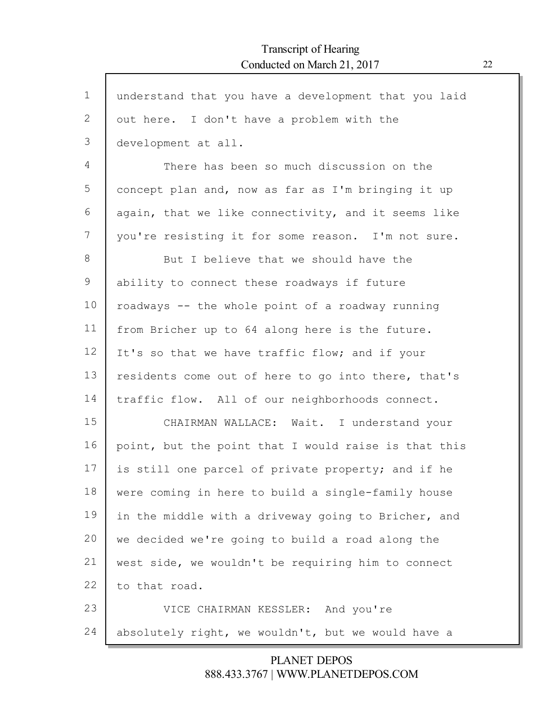| $\mathbf 1$ | understand that you have a development that you laid |
|-------------|------------------------------------------------------|
| 2           | out here. I don't have a problem with the            |
| 3           | development at all.                                  |
| 4           | There has been so much discussion on the             |
| 5           | concept plan and, now as far as I'm bringing it up   |
| 6           | again, that we like connectivity, and it seems like  |
| 7           | you're resisting it for some reason. I'm not sure.   |
| 8           | But I believe that we should have the                |
| 9           | ability to connect these roadways if future          |
| 10          | roadways -- the whole point of a roadway running     |
| 11          | from Bricher up to 64 along here is the future.      |
| 12          | It's so that we have traffic flow; and if your       |
| 13          | residents come out of here to go into there, that's  |
| 14          | traffic flow. All of our neighborhoods connect.      |
| 15          | CHAIRMAN WALLACE: Wait. I understand your            |
| 16          | point, but the point that I would raise is that this |
| 17          | is still one parcel of private property; and if he   |
| 18          | were coming in here to build a single-family house   |
| 19          | in the middle with a driveway going to Bricher, and  |
| 20          | we decided we're going to build a road along the     |
| 21          | west side, we wouldn't be requiring him to connect   |
| 22          | to that road.                                        |
| 23          | VICE CHAIRMAN KESSLER: And you're                    |
| 24          | absolutely right, we wouldn't, but we would have a   |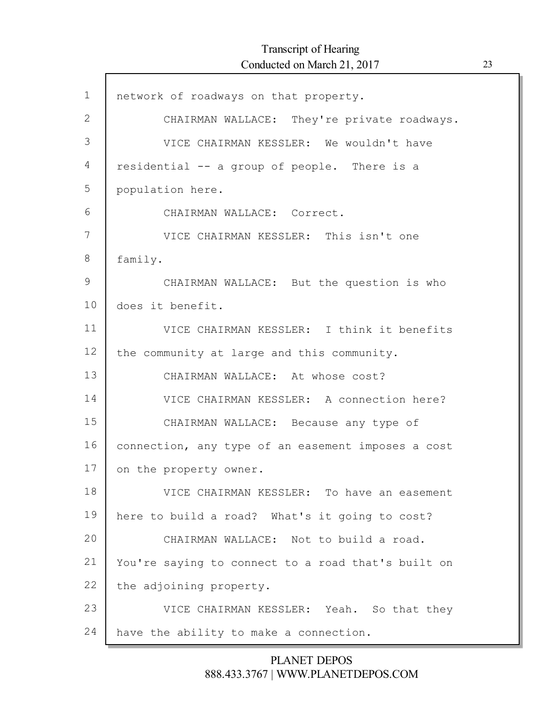| $\mathbf 1$  | network of roadways on that property.              |
|--------------|----------------------------------------------------|
| $\mathbf{2}$ | CHAIRMAN WALLACE: They're private roadways.        |
| 3            | VICE CHAIRMAN KESSLER: We wouldn't have            |
| 4            | residential -- a group of people. There is a       |
| 5            | population here.                                   |
| 6            | CHAIRMAN WALLACE: Correct.                         |
| 7            | VICE CHAIRMAN KESSLER: This isn't one              |
| 8            | family.                                            |
| $\mathsf 9$  | CHAIRMAN WALLACE: But the question is who          |
| 10           | does it benefit.                                   |
| 11           | VICE CHAIRMAN KESSLER: I think it benefits         |
| 12           | the community at large and this community.         |
| 13           | CHAIRMAN WALLACE: At whose cost?                   |
| 14           | VICE CHAIRMAN KESSLER: A connection here?          |
| 15           | CHAIRMAN WALLACE: Because any type of              |
| 16           | connection, any type of an easement imposes a cost |
| 17           | on the property owner.                             |
| 18           | VICE CHAIRMAN KESSLER: To have an easement         |
| 19           | here to build a road? What's it going to cost?     |
| 20           | CHAIRMAN WALLACE: Not to build a road.             |
| 21           | You're saying to connect to a road that's built on |
| 22           | the adjoining property.                            |
| 23           | VICE CHAIRMAN KESSLER: Yeah. So that they          |
| 24           | have the ability to make a connection.             |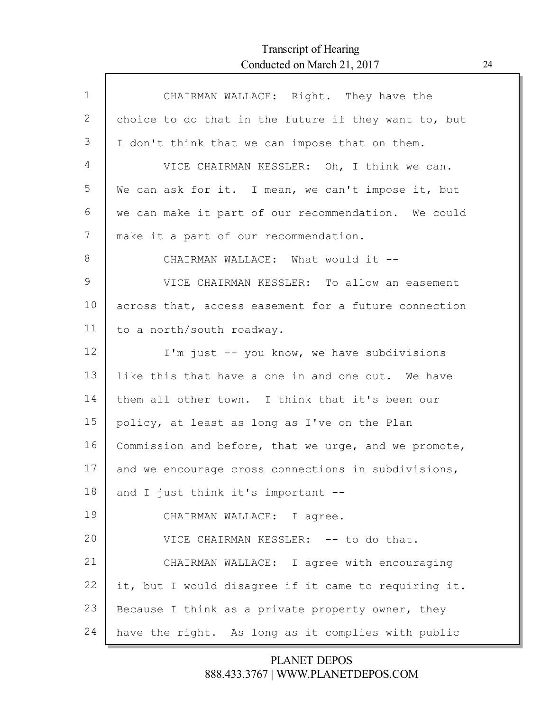$\Gamma$ 

| $\mathbf{1}$ | CHAIRMAN WALLACE: Right. They have the               |
|--------------|------------------------------------------------------|
| 2            | choice to do that in the future if they want to, but |
| 3            | I don't think that we can impose that on them.       |
| 4            | VICE CHAIRMAN KESSLER: Oh, I think we can.           |
| 5            | We can ask for it. I mean, we can't impose it, but   |
| 6            | we can make it part of our recommendation. We could  |
| 7            | make it a part of our recommendation.                |
| 8            | CHAIRMAN WALLACE: What would it --                   |
| 9            | VICE CHAIRMAN KESSLER: To allow an easement          |
| 10           | across that, access easement for a future connection |
| 11           | to a north/south roadway.                            |
| 12           | I'm just -- you know, we have subdivisions           |
| 13           | like this that have a one in and one out. We have    |
| 14           | them all other town. I think that it's been our      |
| 15           | policy, at least as long as I've on the Plan         |
| 16           | Commission and before, that we urge, and we promote, |
| 17           | and we encourage cross connections in subdivisions,  |
| 18           | and I just think it's important --                   |
| 19           | CHAIRMAN WALLACE: I agree.                           |
| 20           | VICE CHAIRMAN KESSLER: -- to do that.                |
| 21           | CHAIRMAN WALLACE: I agree with encouraging           |
| 22           | it, but I would disagree if it came to requiring it. |
| 23           | Because I think as a private property owner, they    |
| 24           | have the right. As long as it complies with public   |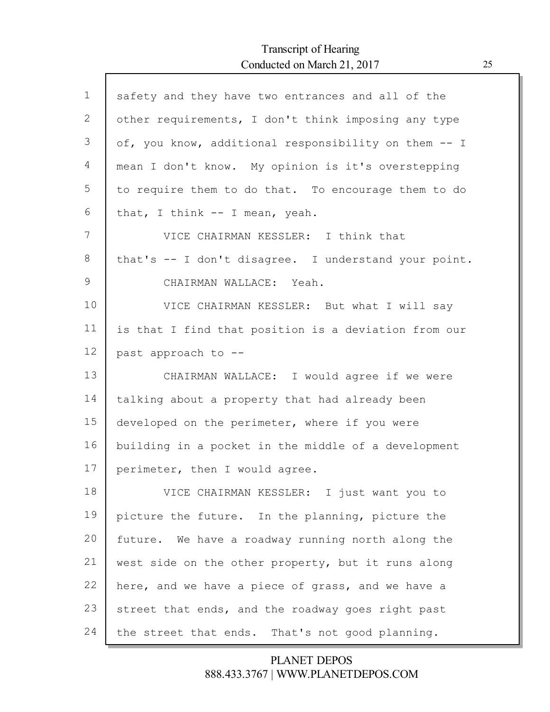Г

| $\mathbf{1}$ | safety and they have two entrances and all of the    |
|--------------|------------------------------------------------------|
| 2            | other requirements, I don't think imposing any type  |
| 3            | of, you know, additional responsibility on them -- I |
| 4            | mean I don't know. My opinion is it's overstepping   |
| 5            | to require them to do that. To encourage them to do  |
| 6            | that, I think -- I mean, yeah.                       |
| 7            | VICE CHAIRMAN KESSLER: I think that                  |
| 8            | that's -- I don't disagree. I understand your point. |
| 9            | CHAIRMAN WALLACE: Yeah.                              |
| 10           | VICE CHAIRMAN KESSLER: But what I will say           |
| 11           | is that I find that position is a deviation from our |
| 12           | past approach to --                                  |
| 13           | CHAIRMAN WALLACE: I would agree if we were           |
| 14           | talking about a property that had already been       |
| 15           | developed on the perimeter, where if you were        |
| 16           | building in a pocket in the middle of a development  |
| 17           | perimeter, then I would agree.                       |
| 18           | VICE CHAIRMAN KESSLER: I just want you to            |
| 19           | picture the future. In the planning, picture the     |
| 20           | future. We have a roadway running north along the    |
| 21           | west side on the other property, but it runs along   |
| 22           | here, and we have a piece of grass, and we have a    |
| 23           | street that ends, and the roadway goes right past    |
| 24           | the street that ends. That's not good planning.      |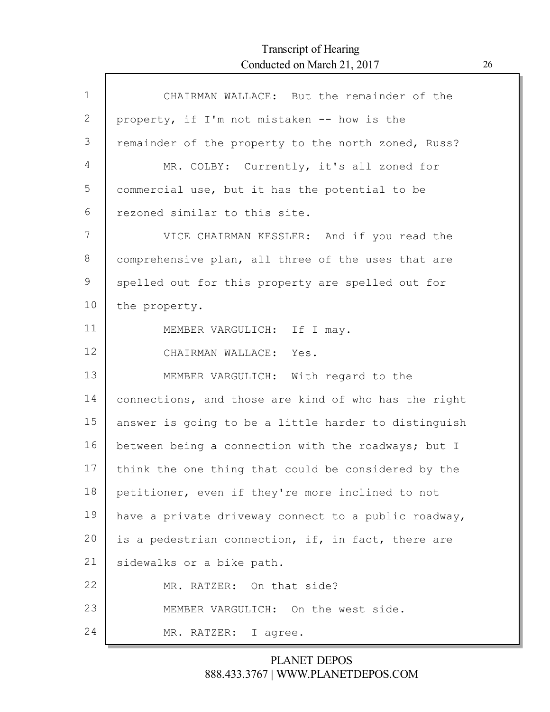| $\mathbf 1$ | CHAIRMAN WALLACE: But the remainder of the           |
|-------------|------------------------------------------------------|
| 2           | property, if I'm not mistaken -- how is the          |
| 3           | remainder of the property to the north zoned, Russ?  |
| 4           | MR. COLBY: Currently, it's all zoned for             |
| 5           | commercial use, but it has the potential to be       |
| 6           | rezoned similar to this site.                        |
| 7           | VICE CHAIRMAN KESSLER: And if you read the           |
| 8           | comprehensive plan, all three of the uses that are   |
| 9           | spelled out for this property are spelled out for    |
| 10          | the property.                                        |
| 11          | MEMBER VARGULICH: If I may.                          |
| 12          | CHAIRMAN WALLACE: Yes.                               |
| 13          | MEMBER VARGULICH: With regard to the                 |
| 14          | connections, and those are kind of who has the right |
| 15          | answer is going to be a little harder to distinguish |
| 16          | between being a connection with the roadways; but I  |
| 17          | think the one thing that could be considered by the  |
| 18          | petitioner, even if they're more inclined to not     |
| 19          | have a private driveway connect to a public roadway, |
| 20          | is a pedestrian connection, if, in fact, there are   |
| 21          | sidewalks or a bike path.                            |
| 22          | MR. RATZER: On that side?                            |
| 23          | MEMBER VARGULICH: On the west side.                  |
| 24          | MR. RATZER: I agree.                                 |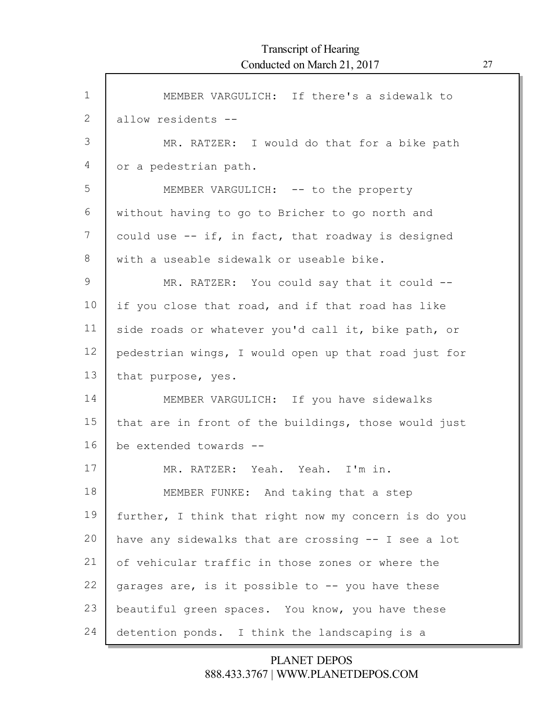ľ

| $\mathbf 1$ | MEMBER VARGULICH: If there's a sidewalk to           |
|-------------|------------------------------------------------------|
| 2           | allow residents --                                   |
| 3           | MR. RATZER: I would do that for a bike path          |
| 4           | or a pedestrian path.                                |
| 5           | MEMBER VARGULICH: -- to the property                 |
| 6           | without having to go to Bricher to go north and      |
| 7           | could use -- if, in fact, that roadway is designed   |
| 8           | with a useable sidewalk or useable bike.             |
| 9           | MR. RATZER: You could say that it could --           |
| 10          | if you close that road, and if that road has like    |
| 11          | side roads or whatever you'd call it, bike path, or  |
| 12          | pedestrian wings, I would open up that road just for |
| 13          | that purpose, yes.                                   |
| 14          | MEMBER VARGULICH: If you have sidewalks              |
| 15          | that are in front of the buildings, those would just |
| 16          | be extended towards --                               |
| 17          | MR. RATZER: Yeah. Yeah. I'm in.                      |
| 18          | MEMBER FUNKE: And taking that a step                 |
| 19          | further, I think that right now my concern is do you |
| 20          | have any sidewalks that are crossing -- I see a lot  |
| 21          | of vehicular traffic in those zones or where the     |
| 22          | garages are, is it possible to -- you have these     |
| 23          | beautiful green spaces. You know, you have these     |
| 24          | detention ponds. I think the landscaping is a        |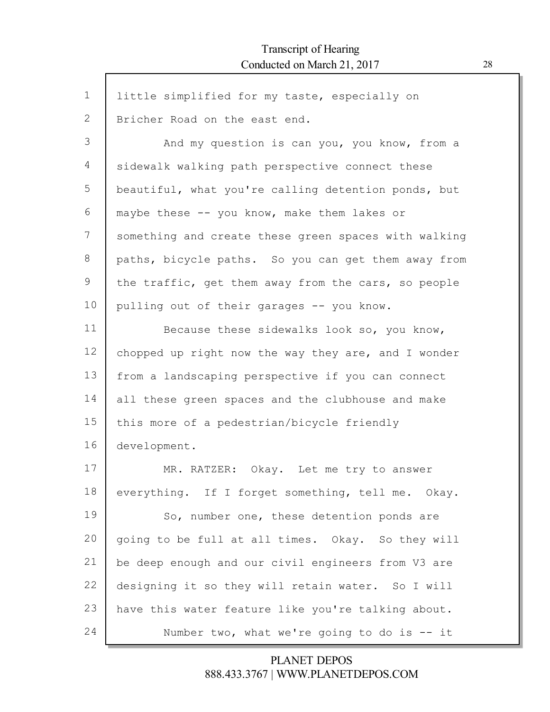| $\mathbf 1$ | little simplified for my taste, especially on        |
|-------------|------------------------------------------------------|
| 2           | Bricher Road on the east end.                        |
| 3           | And my question is can you, you know, from a         |
| 4           | sidewalk walking path perspective connect these      |
| 5           | beautiful, what you're calling detention ponds, but  |
| 6           | maybe these -- you know, make them lakes or          |
| 7           | something and create these green spaces with walking |
| 8           | paths, bicycle paths. So you can get them away from  |
| 9           | the traffic, get them away from the cars, so people  |
| 10          | pulling out of their garages -- you know.            |
| 11          | Because these sidewalks look so, you know,           |
| 12          | chopped up right now the way they are, and I wonder  |
| 13          | from a landscaping perspective if you can connect    |
| 14          | all these green spaces and the clubhouse and make    |
| 15          | this more of a pedestrian/bicycle friendly           |
| 16          | development.                                         |
| 17          | MR. RATZER: Okay. Let me try to answer               |
| 18          | everything. If I forget something, tell me. Okay.    |
| 19          | So, number one, these detention ponds are            |
| 20          | going to be full at all times. Okay. So they will    |
| 21          | be deep enough and our civil engineers from V3 are   |
| 22          | designing it so they will retain water. So I will    |
| 23          | have this water feature like you're talking about.   |
| 24          | Number two, what we're going to do is $-$ it         |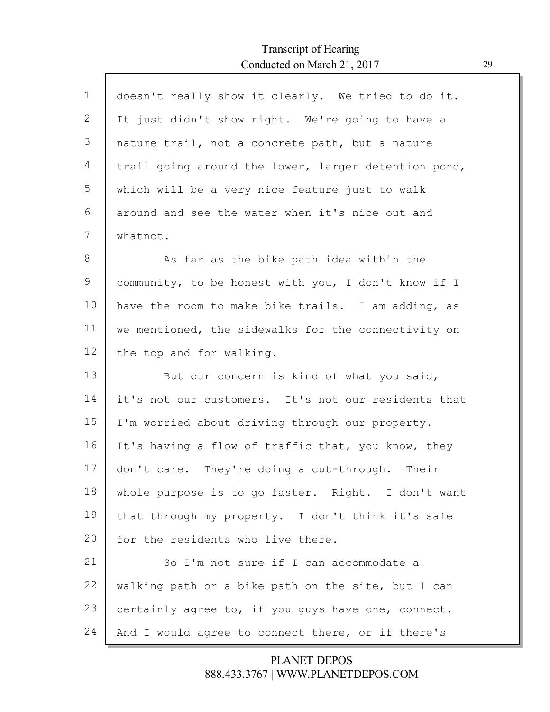Г

| $\mathbf{1}$ | doesn't really show it clearly. We tried to do it.   |
|--------------|------------------------------------------------------|
| 2            | It just didn't show right. We're going to have a     |
| 3            | nature trail, not a concrete path, but a nature      |
| 4            | trail going around the lower, larger detention pond, |
| 5            | which will be a very nice feature just to walk       |
| 6            | around and see the water when it's nice out and      |
| 7            | whatnot.                                             |
| 8            | As far as the bike path idea within the              |
| 9            | community, to be honest with you, I don't know if I  |
| 10           | have the room to make bike trails. I am adding, as   |
| 11           | we mentioned, the sidewalks for the connectivity on  |
| 12           | the top and for walking.                             |
| 13           | But our concern is kind of what you said,            |
| 14           | it's not our customers. It's not our residents that  |
| 15           | I'm worried about driving through our property.      |
| 16           | It's having a flow of traffic that, you know, they   |
| 17           | don't care. They're doing a cut-through. Their       |
| 18           | whole purpose is to go faster. Right. I don't want   |
| 19           | that through my property. I don't think it's safe    |
| 20           | for the residents who live there.                    |
| 21           | So I'm not sure if I can accommodate a               |
| 22           | walking path or a bike path on the site, but I can   |
| 23           | certainly agree to, if you guys have one, connect.   |
| 24           |                                                      |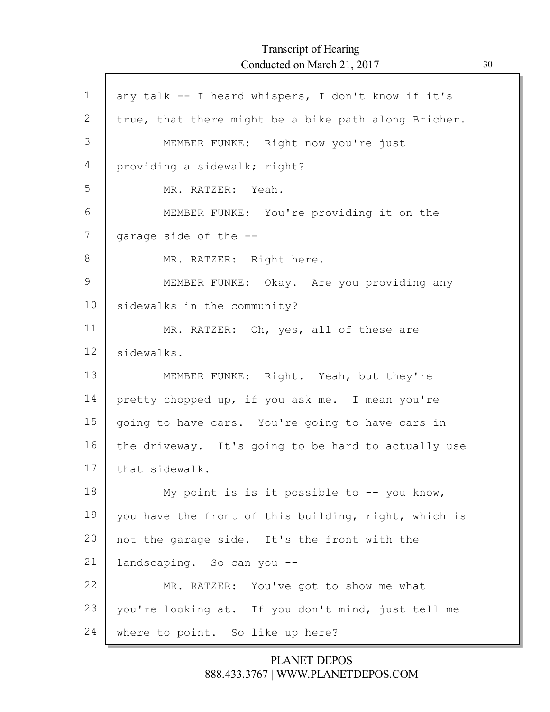$\Gamma$ 

| 1  | any talk -- I heard whispers, I don't know if it's   |
|----|------------------------------------------------------|
| 2  | true, that there might be a bike path along Bricher. |
| 3  | MEMBER FUNKE: Right now you're just                  |
| 4  | providing a sidewalk; right?                         |
| 5  | MR. RATZER: Yeah.                                    |
| 6  | MEMBER FUNKE: You're providing it on the             |
| 7  | garage side of the --                                |
| 8  | MR. RATZER: Right here.                              |
| 9  | MEMBER FUNKE: Okay. Are you providing any            |
| 10 | sidewalks in the community?                          |
| 11 | MR. RATZER: Oh, yes, all of these are                |
| 12 | sidewalks.                                           |
| 13 | MEMBER FUNKE: Right. Yeah, but they're               |
| 14 | pretty chopped up, if you ask me. I mean you're      |
| 15 | going to have cars. You're going to have cars in     |
| 16 | the driveway. It's going to be hard to actually use  |
| 17 | that sidewalk.                                       |
| 18 | My point is is it possible to -- you know,           |
| 19 | you have the front of this building, right, which is |
| 20 | not the garage side. It's the front with the         |
| 21 | landscaping. So can you --                           |
| 22 | MR. RATZER: You've got to show me what               |
| 23 | you're looking at. If you don't mind, just tell me   |
| 24 | where to point. So like up here?                     |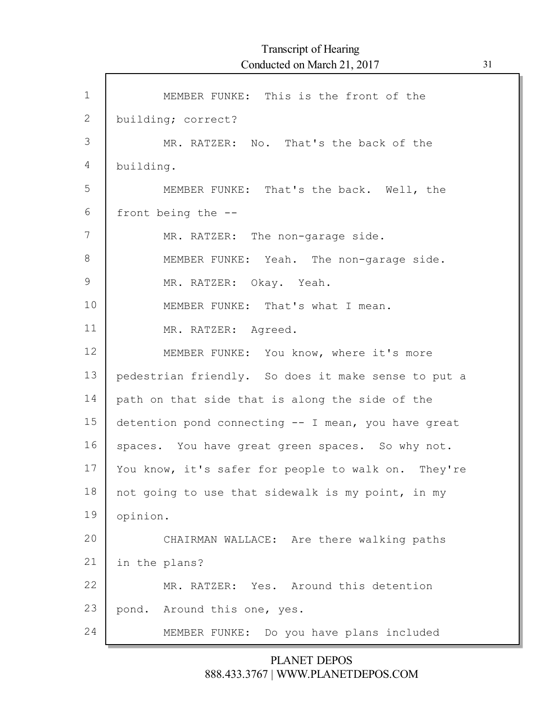| $\mathbf 1$ | MEMBER FUNKE: This is the front of the              |
|-------------|-----------------------------------------------------|
| 2           | building; correct?                                  |
| 3           | MR. RATZER: No. That's the back of the              |
| 4           | building.                                           |
| 5           | MEMBER FUNKE: That's the back. Well, the            |
| 6           | front being the --                                  |
| 7           | MR. RATZER: The non-garage side.                    |
| $8\,$       | MEMBER FUNKE: Yeah. The non-garage side.            |
| $\mathsf 9$ | MR. RATZER: Okay. Yeah.                             |
| 10          | MEMBER FUNKE: That's what I mean.                   |
| 11          | MR. RATZER: Agreed.                                 |
| 12          | MEMBER FUNKE: You know, where it's more             |
| 13          | pedestrian friendly. So does it make sense to put a |
| 14          | path on that side that is along the side of the     |
| 15          | detention pond connecting -- I mean, you have great |
| 16          | spaces. You have great green spaces. So why not.    |
| 17          | You know, it's safer for people to walk on. They're |
| 18          | not going to use that sidewalk is my point, in my   |
| 19          | opinion.                                            |
| 20          | CHAIRMAN WALLACE: Are there walking paths           |
| 21          | in the plans?                                       |
| 22          | MR. RATZER: Yes. Around this detention              |
| 23          | pond. Around this one, yes.                         |
| 24          | MEMBER FUNKE: Do you have plans included            |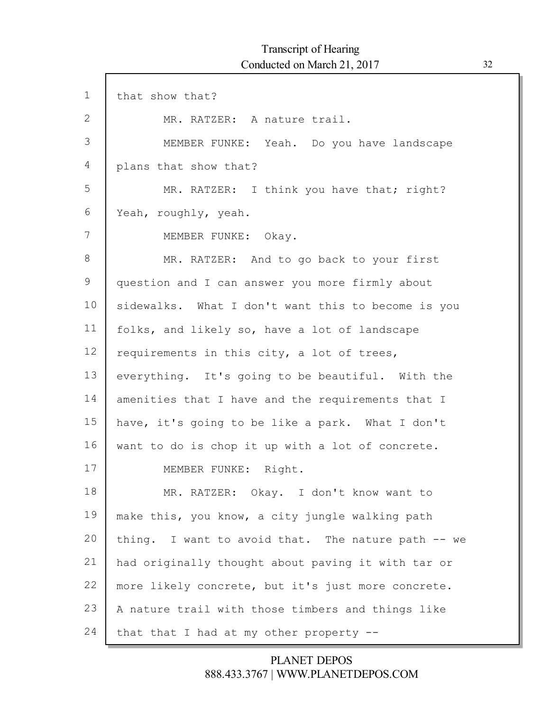| $\mathbf 1$ | that show that?                                    |
|-------------|----------------------------------------------------|
| 2           | MR. RATZER: A nature trail.                        |
| 3           | MEMBER FUNKE: Yeah. Do you have landscape          |
| 4           | plans that show that?                              |
| 5           | MR. RATZER: I think you have that; right?          |
| 6           | Yeah, roughly, yeah.                               |
| 7           | MEMBER FUNKE: Okay.                                |
| 8           | MR. RATZER: And to go back to your first           |
| 9           | question and I can answer you more firmly about    |
| 10          | sidewalks. What I don't want this to become is you |
| 11          | folks, and likely so, have a lot of landscape      |
| 12          | requirements in this city, a lot of trees,         |
| 13          | everything. It's going to be beautiful. With the   |
| 14          | amenities that I have and the requirements that I  |
| 15          | have, it's going to be like a park. What I don't   |
| 16          | want to do is chop it up with a lot of concrete.   |
| 17          | MEMBER FUNKE: Right.                               |
| 18          | MR. RATZER: Okay. I don't know want to             |
| 19          | make this, you know, a city jungle walking path    |
| 20          | thing. I want to avoid that. The nature path -- we |
| 21          | had originally thought about paving it with tar or |
| 22          | more likely concrete, but it's just more concrete. |
| 23          | A nature trail with those timbers and things like  |
| 24          | that that I had at my other property $-$ -         |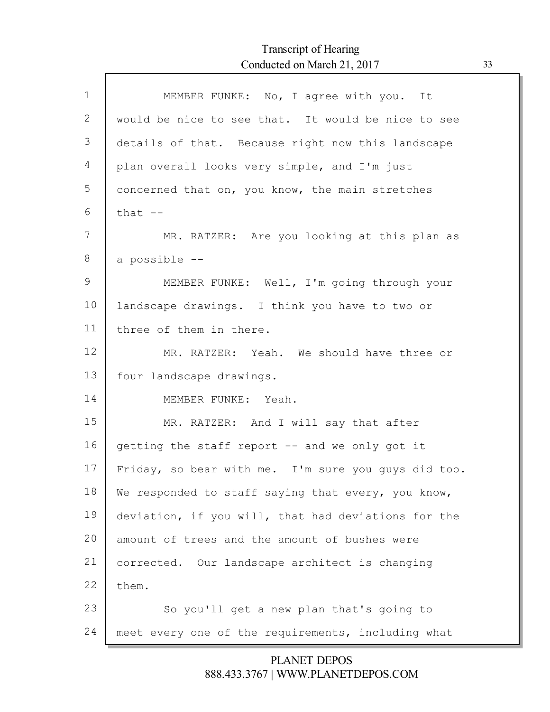$\Gamma$ 

| $\mathbf{1}$  | MEMBER FUNKE: No, I agree with you. It              |
|---------------|-----------------------------------------------------|
| 2             | would be nice to see that. It would be nice to see  |
| 3             | details of that. Because right now this landscape   |
| 4             | plan overall looks very simple, and I'm just        |
| 5             | concerned that on, you know, the main stretches     |
| 6             | that $--$                                           |
| 7             | MR. RATZER: Are you looking at this plan as         |
| 8             | a possible --                                       |
| $\mathcal{G}$ | MEMBER FUNKE: Well, I'm going through your          |
| 10            | landscape drawings. I think you have to two or      |
| 11            | three of them in there.                             |
| 12            | MR. RATZER: Yeah. We should have three or           |
| 13            | four landscape drawings.                            |
| 14            | MEMBER FUNKE: Yeah.                                 |
| 15            | MR. RATZER: And I will say that after               |
| 16            | getting the staff report -- and we only got it      |
| 17            | Friday, so bear with me. I'm sure you guys did too. |
| 18            | We responded to staff saying that every, you know,  |
| 19            | deviation, if you will, that had deviations for the |
| 20            | amount of trees and the amount of bushes were       |
| 21            | corrected. Our landscape architect is changing      |
| 22            | them.                                               |
| 23            | So you'll get a new plan that's going to            |
| 24            | meet every one of the requirements, including what  |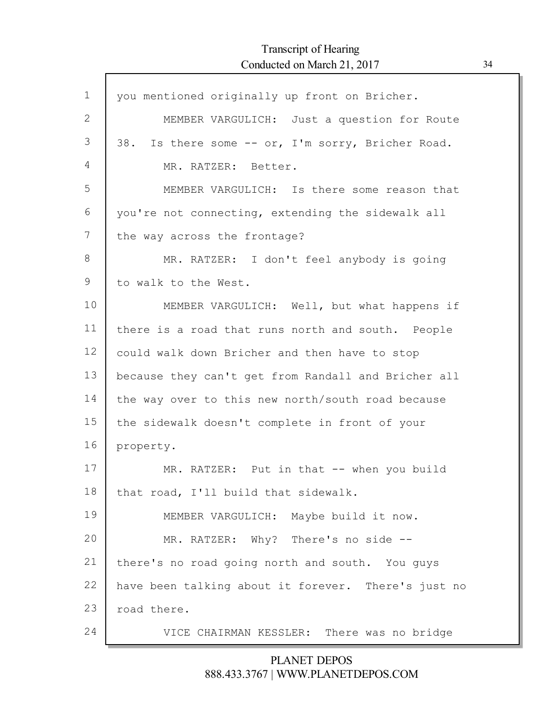ľ

| $\mathbf 1$ | you mentioned originally up front on Bricher.       |
|-------------|-----------------------------------------------------|
| 2           | MEMBER VARGULICH: Just a question for Route         |
| 3           | 38. Is there some -- or, I'm sorry, Bricher Road.   |
| 4           | MR. RATZER: Better.                                 |
| 5           | MEMBER VARGULICH: Is there some reason that         |
| 6           | you're not connecting, extending the sidewalk all   |
| 7           | the way across the frontage?                        |
| 8           | MR. RATZER: I don't feel anybody is going           |
| 9           | to walk to the West.                                |
| 10          | MEMBER VARGULICH: Well, but what happens if         |
| 11          | there is a road that runs north and south. People   |
| 12          | could walk down Bricher and then have to stop       |
| 13          | because they can't get from Randall and Bricher all |
| 14          | the way over to this new north/south road because   |
| 15          | the sidewalk doesn't complete in front of your      |
| 16          | property.                                           |
| 17          | MR. RATZER: Put in that -- when you build           |
| 18          | that road, I'll build that sidewalk.                |
| 19          | MEMBER VARGULICH: Maybe build it now.               |
| 20          | MR. RATZER: Why? There's no side --                 |
| 21          | there's no road going north and south. You guys     |
| 22          | have been talking about it forever. There's just no |
| 23          | road there.                                         |
| 24          | VICE CHAIRMAN KESSLER: There was no bridge          |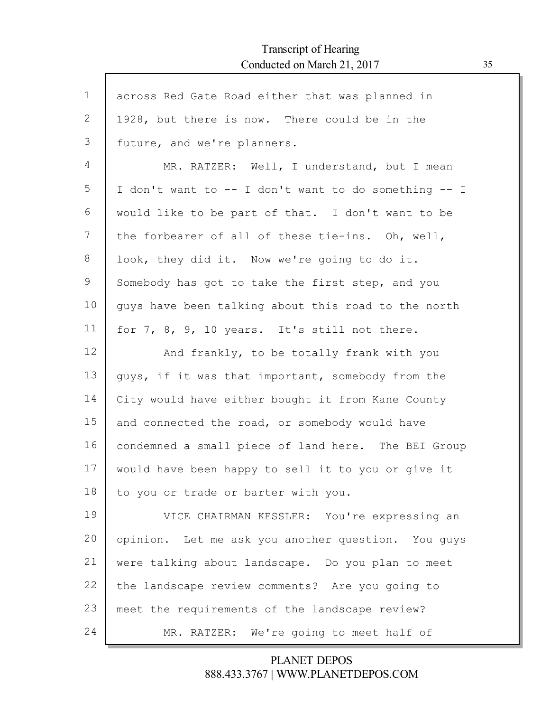$\Gamma$ 

| $\mathbf 1$ | across Red Gate Road either that was planned in      |
|-------------|------------------------------------------------------|
| 2           | 1928, but there is now. There could be in the        |
| 3           | future, and we're planners.                          |
| 4           | MR. RATZER: Well, I understand, but I mean           |
| 5           | I don't want to -- I don't want to do something -- I |
| 6           | would like to be part of that. I don't want to be    |
| 7           | the forbearer of all of these tie-ins. Oh, well,     |
| 8           | look, they did it. Now we're going to do it.         |
| 9           | Somebody has got to take the first step, and you     |
| 10          | guys have been talking about this road to the north  |
| 11          | for 7, 8, 9, 10 years. It's still not there.         |
| 12          | And frankly, to be totally frank with you            |
| 13          | guys, if it was that important, somebody from the    |
| 14          | City would have either bought it from Kane County    |
| 15          | and connected the road, or somebody would have       |
| 16          | condemned a small piece of land here. The BEI Group  |
| 17          | would have been happy to sell it to you or give it   |
| 18          | to you or trade or barter with you.                  |
| 19          | VICE CHAIRMAN KESSLER: You're expressing an          |
| 20          | opinion. Let me ask you another question. You guys   |
| 21          | were talking about landscape. Do you plan to meet    |
| 22          | the landscape review comments? Are you going to      |
| 23          | meet the requirements of the landscape review?       |
| 24          | MR. RATZER: We're going to meet half of              |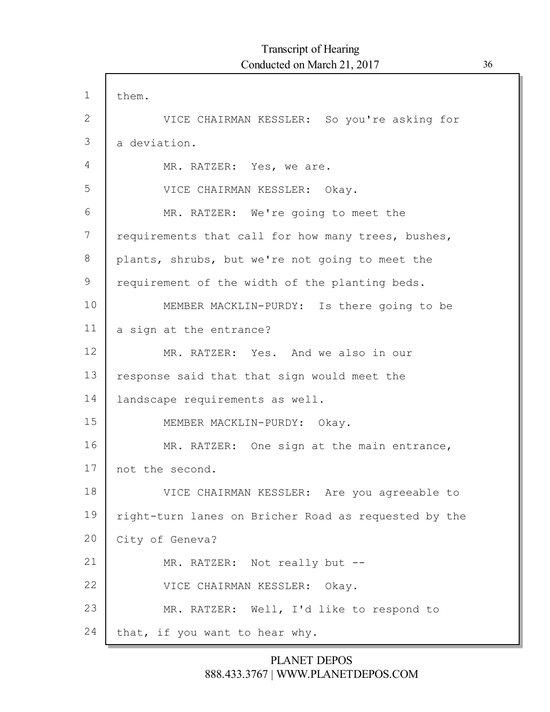| $\mathbf{1}$ | them.                                                |
|--------------|------------------------------------------------------|
| 2            | VICE CHAIRMAN KESSLER: So you're asking for          |
| 3            | a deviation.                                         |
| 4            | MR. RATZER: Yes, we are.                             |
| 5            | VICE CHAIRMAN KESSLER: Okay.                         |
| 6            | MR. RATZER: We're going to meet the                  |
| 7            | requirements that call for how many trees, bushes,   |
| 8            | plants, shrubs, but we're not going to meet the      |
| 9            | requirement of the width of the planting beds.       |
| 10           | MEMBER MACKLIN-PURDY: Is there going to be           |
| 11           | a sign at the entrance?                              |
| 12           | MR. RATZER: Yes. And we also in our                  |
| 13           | response said that that sign would meet the          |
| 14           | landscape requirements as well.                      |
| 15           | MEMBER MACKLIN-PURDY: Okay.                          |
| 16           | MR. RATZER: One sign at the main entrance,           |
| 17           | not the second.                                      |
| 18           | VICE CHAIRMAN KESSLER: Are you agreeable to          |
| 19           | right-turn lanes on Bricher Road as requested by the |
| 20           | City of Geneva?                                      |
| 21           | MR. RATZER: Not really but --                        |
| 22           | VICE CHAIRMAN KESSLER: Okay.                         |
| 23           | MR. RATZER: Well, I'd like to respond to             |
| 24           | that, if you want to hear why.                       |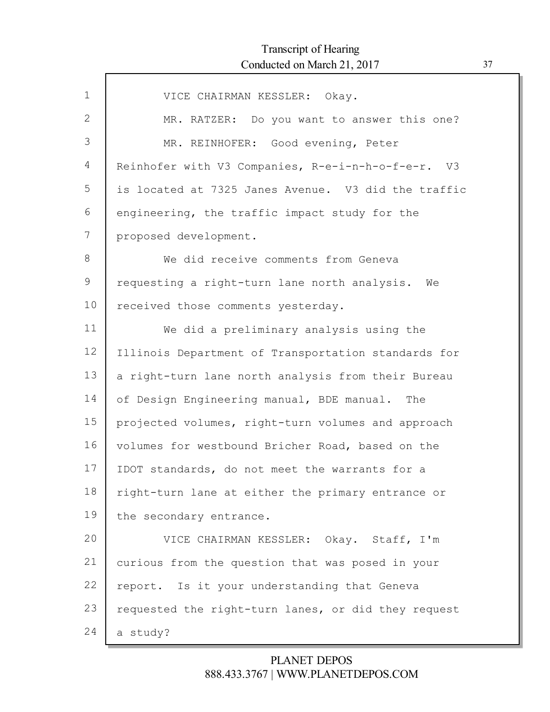| $\mathbf{1}$ | VICE CHAIRMAN KESSLER: Okay.                        |
|--------------|-----------------------------------------------------|
| 2            | MR. RATZER: Do you want to answer this one?         |
| 3            | MR. REINHOFER: Good evening, Peter                  |
| 4            | Reinhofer with V3 Companies, R-e-i-n-h-o-f-e-r. V3  |
| 5            | is located at 7325 Janes Avenue. V3 did the traffic |
| 6            | engineering, the traffic impact study for the       |
| 7            | proposed development.                               |
| 8            | We did receive comments from Geneva                 |
| 9            | requesting a right-turn lane north analysis. We     |
| 10           | received those comments yesterday.                  |
| 11           | We did a preliminary analysis using the             |
| 12           | Illinois Department of Transportation standards for |
| 13           | a right-turn lane north analysis from their Bureau  |
| 14           | of Design Engineering manual, BDE manual. The       |
| 15           | projected volumes, right-turn volumes and approach  |
| 16           | volumes for westbound Bricher Road, based on the    |
| 17           | IDOT standards, do not meet the warrants for a      |
| 18           | right-turn lane at either the primary entrance or   |
| 19           | the secondary entrance.                             |
| 20           | VICE CHAIRMAN KESSLER: Okay. Staff, I'm             |
| 21           | curious from the question that was posed in your    |
| 22           | report. Is it your understanding that Geneva        |
| 23           | requested the right-turn lanes, or did they request |
| 24           | a study?                                            |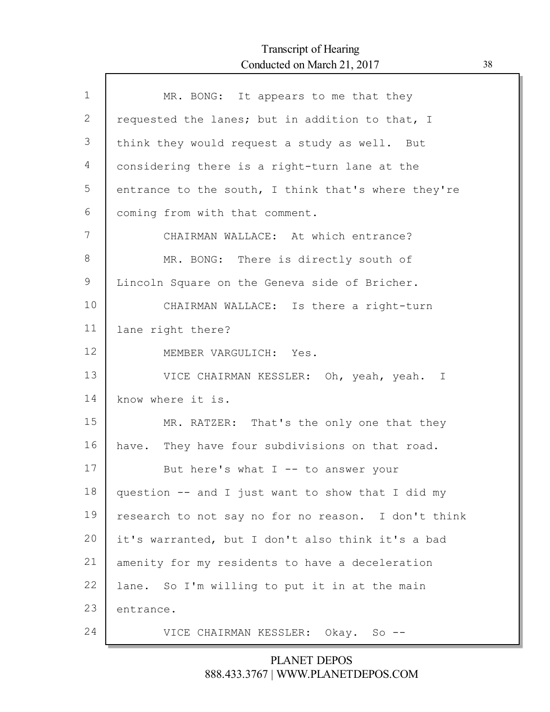Г

| $\mathbf 1$ | MR. BONG: It appears to me that they                |
|-------------|-----------------------------------------------------|
| 2           | requested the lanes; but in addition to that, I     |
| 3           | think they would request a study as well. But       |
| 4           | considering there is a right-turn lane at the       |
| 5           | entrance to the south, I think that's where they're |
| 6           | coming from with that comment.                      |
| 7           | CHAIRMAN WALLACE: At which entrance?                |
| 8           | MR. BONG: There is directly south of                |
| 9           | Lincoln Square on the Geneva side of Bricher.       |
| 10          | CHAIRMAN WALLACE: Is there a right-turn             |
| 11          | lane right there?                                   |
| 12          | MEMBER VARGULICH: Yes.                              |
| 13          | VICE CHAIRMAN KESSLER: Oh, yeah, yeah. I            |
| 14          | know where it is.                                   |
| 15          | MR. RATZER: That's the only one that they           |
| 16          | have. They have four subdivisions on that road.     |
| 17          | But here's what $I$ -- to answer your               |
| 18          | question -- and I just want to show that I did my   |
| 19          | research to not say no for no reason. I don't think |
| 20          | it's warranted, but I don't also think it's a bad   |
| 21          | amenity for my residents to have a deceleration     |
| 22          | lane. So I'm willing to put it in at the main       |
| 23          | entrance.                                           |
| 24          | VICE CHAIRMAN KESSLER: Okay. So --                  |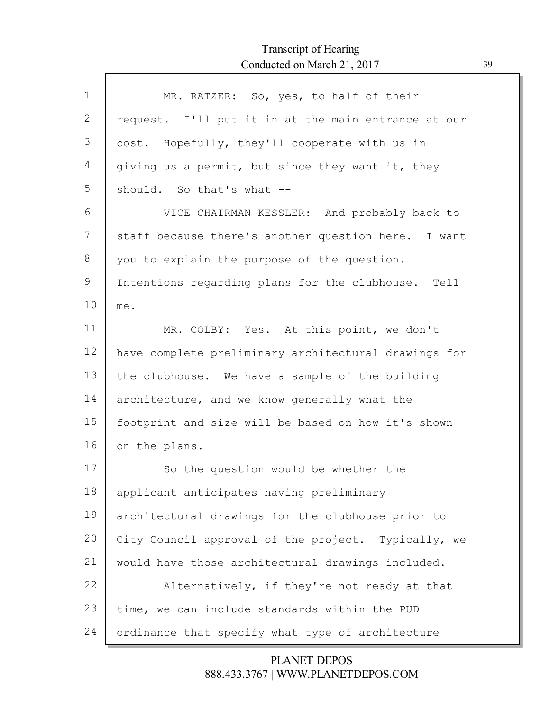Г

| $\mathbf{1}$ | MR. RATZER: So, yes, to half of their                |
|--------------|------------------------------------------------------|
| 2            | request. I'll put it in at the main entrance at our  |
| 3            | cost. Hopefully, they'll cooperate with us in        |
| 4            | giving us a permit, but since they want it, they     |
| 5            | should. So that's what --                            |
| 6            | VICE CHAIRMAN KESSLER: And probably back to          |
| 7            | staff because there's another question here. I want  |
| 8            | you to explain the purpose of the question.          |
| 9            | Intentions regarding plans for the clubhouse. Tell   |
| 10           | me.                                                  |
| 11           | MR. COLBY: Yes. At this point, we don't              |
| 12           | have complete preliminary architectural drawings for |
| 13           | the clubhouse. We have a sample of the building      |
| 14           | architecture, and we know generally what the         |
| 15           | footprint and size will be based on how it's shown   |
| 16           | on the plans.                                        |
| 17           | So the question would be whether the                 |
| 18           | applicant anticipates having preliminary             |
| 19           | architectural drawings for the clubhouse prior to    |
| 20           | City Council approval of the project. Typically, we  |
| 21           | would have those architectural drawings included.    |
| 22           | Alternatively, if they're not ready at that          |
| 23           | time, we can include standards within the PUD        |
| 24           | ordinance that specify what type of architecture     |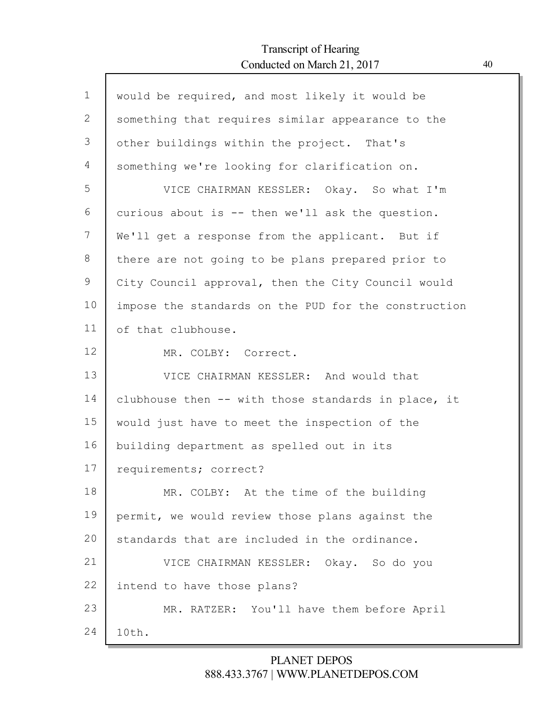Г

| $\mathbf 1$ | would be required, and most likely it would be       |
|-------------|------------------------------------------------------|
| 2           | something that requires similar appearance to the    |
| 3           | other buildings within the project. That's           |
| 4           | something we're looking for clarification on.        |
| 5           | VICE CHAIRMAN KESSLER: Okay. So what I'm             |
| 6           | curious about is -- then we'll ask the question.     |
| 7           | We'll get a response from the applicant. But if      |
| 8           | there are not going to be plans prepared prior to    |
| 9           | City Council approval, then the City Council would   |
| 10          | impose the standards on the PUD for the construction |
| 11          | of that clubhouse.                                   |
| 12          | MR. COLBY: Correct.                                  |
| 13          | VICE CHAIRMAN KESSLER: And would that                |
| 14          | clubhouse then -- with those standards in place, it  |
| 15          | would just have to meet the inspection of the        |
| 16          | building department as spelled out in its            |
| 17          | requirements; correct?                               |
| 18          | MR. COLBY: At the time of the building               |
| 19          | permit, we would review those plans against the      |
| 20          | standards that are included in the ordinance.        |
| 21          | VICE CHAIRMAN KESSLER: Okay. So do you               |
| 22          | intend to have those plans?                          |
| 23          | MR. RATZER: You'll have them before April            |
| 24          | 10th.                                                |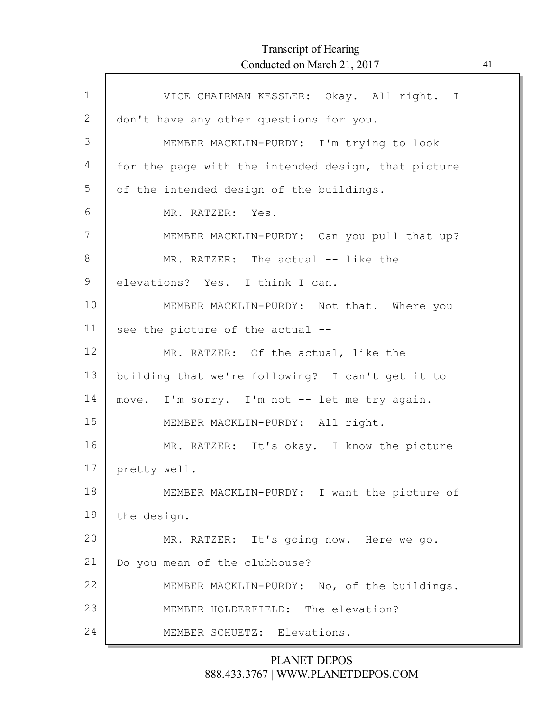Г

| $\mathbf{1}$ | VICE CHAIRMAN KESSLER: Okay. All right. I           |
|--------------|-----------------------------------------------------|
| 2            | don't have any other questions for you.             |
| 3            | MEMBER MACKLIN-PURDY: I'm trying to look            |
| 4            | for the page with the intended design, that picture |
| 5            | of the intended design of the buildings.            |
| 6            | MR. RATZER: Yes.                                    |
| 7            | MEMBER MACKLIN-PURDY: Can you pull that up?         |
| 8            | MR. RATZER: The actual -- like the                  |
| $\mathsf 9$  | elevations? Yes. I think I can.                     |
| 10           | MEMBER MACKLIN-PURDY: Not that. Where you           |
| 11           | see the picture of the actual --                    |
| 12           | MR. RATZER: Of the actual, like the                 |
| 13           | building that we're following? I can't get it to    |
| 14           | move. I'm sorry. I'm not -- let me try again.       |
| 15           | MEMBER MACKLIN-PURDY: All right.                    |
| 16           | MR. RATZER: It's okay. I know the picture           |
| 17           | pretty well.                                        |
| 18           | MEMBER MACKLIN-PURDY: I want the picture of         |
| 19           | the design.                                         |
| 20           | MR. RATZER: It's going now. Here we go.             |
| 21           | Do you mean of the clubhouse?                       |
| 22           | MEMBER MACKLIN-PURDY: No, of the buildings.         |
| 23           | MEMBER HOLDERFIELD: The elevation?                  |
| 24           | MEMBER SCHUETZ: Elevations.                         |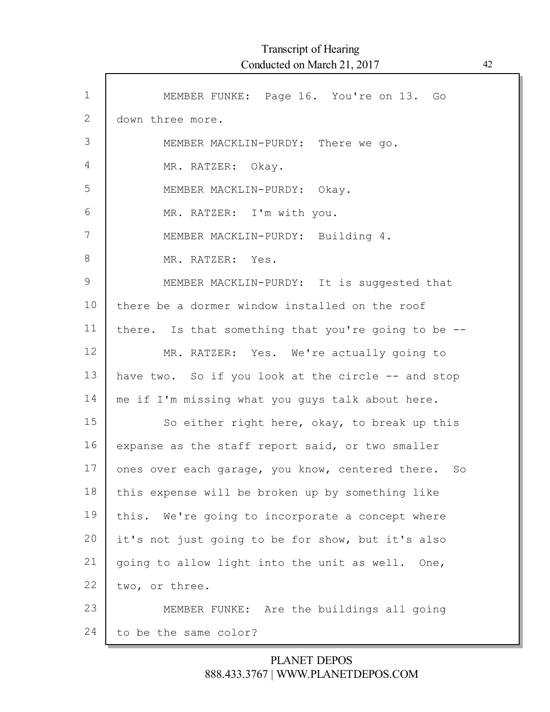| $\mathbf{1}$ | MEMBER FUNKE: Page 16. You're on 13. Go             |
|--------------|-----------------------------------------------------|
| 2            | down three more.                                    |
| 3            | MEMBER MACKLIN-PURDY: There we go.                  |
| 4            | MR. RATZER: Okay.                                   |
| 5            | MEMBER MACKLIN-PURDY: Okay.                         |
| 6            | MR. RATZER: I'm with you.                           |
| 7            | MEMBER MACKLIN-PURDY: Building 4.                   |
| 8            | MR. RATZER: Yes.                                    |
| 9            | MEMBER MACKLIN-PURDY: It is suggested that          |
| 10           | there be a dormer window installed on the roof      |
| 11           | there. Is that something that you're going to be -- |
| 12           | MR. RATZER: Yes. We're actually going to            |
| 13           | have two. So if you look at the circle -- and stop  |
| 14           | me if I'm missing what you guys talk about here.    |
| 15           | So either right here, okay, to break up this        |
| 16           | expanse as the staff report said, or two smaller    |
| 17           | ones over each garage, you know, centered there. So |
| 18           | this expense will be broken up by something like    |
| 19           | We're going to incorporate a concept where<br>this. |
| 20           | it's not just going to be for show, but it's also   |
| 21           | going to allow light into the unit as well. One,    |
| 22           | two, or three.                                      |
| 23           | MEMBER FUNKE: Are the buildings all going           |
| 24           | to be the same color?                               |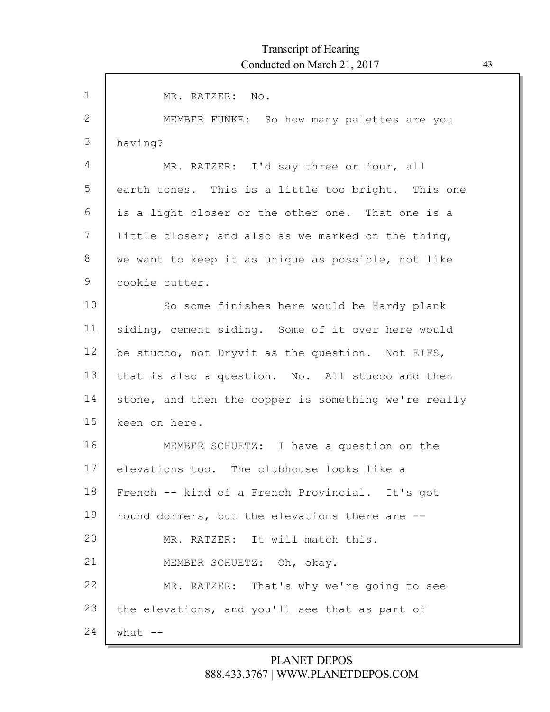| $\mathbf{1}$ | MR. RATZER: No.                                      |
|--------------|------------------------------------------------------|
| 2            | MEMBER FUNKE: So how many palettes are you           |
| 3            | having?                                              |
| 4            | MR. RATZER: I'd say three or four, all               |
| 5            | earth tones. This is a little too bright. This one   |
| 6            | is a light closer or the other one. That one is a    |
| 7            | little closer; and also as we marked on the thing,   |
| 8            | we want to keep it as unique as possible, not like   |
| 9            | cookie cutter.                                       |
| 10           | So some finishes here would be Hardy plank           |
| 11           | siding, cement siding. Some of it over here would    |
| 12           | be stucco, not Dryvit as the question. Not EIFS,     |
| 13           | that is also a question. No. All stucco and then     |
| 14           | stone, and then the copper is something we're really |
| 15           | keen on here.                                        |
| 16           | MEMBER SCHUETZ: I have a question on the             |
| 17           | elevations too. The clubhouse looks like a           |
| 18           | French -- kind of a French Provincial. It's got      |
| 19           | round dormers, but the elevations there are --       |
| 20           | MR. RATZER: It will match this.                      |
| 21           | MEMBER SCHUETZ: Oh, okay.                            |
| 22           | MR. RATZER: That's why we're going to see            |
| 23           | the elevations, and you'll see that as part of       |
| 24           | what $--$                                            |
|              |                                                      |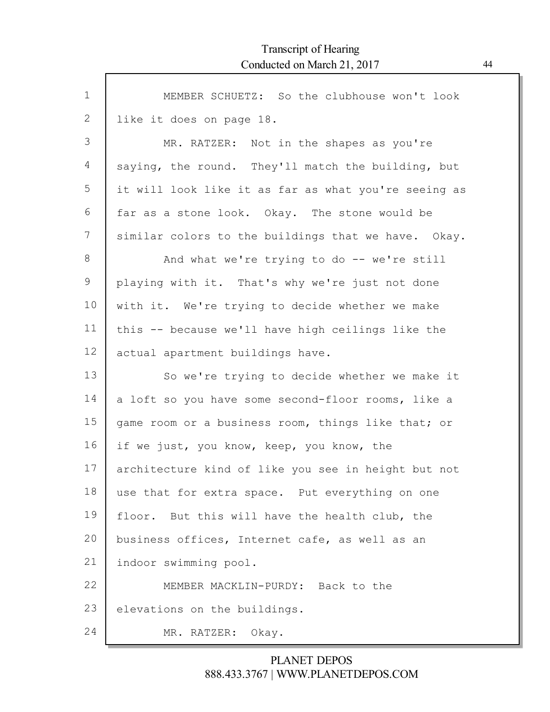| $\mathbf 1$ | MEMBER SCHUETZ: So the clubhouse won't look          |
|-------------|------------------------------------------------------|
| 2           | like it does on page 18.                             |
| 3           | MR. RATZER: Not in the shapes as you're              |
| 4           | saying, the round. They'll match the building, but   |
| 5           | it will look like it as far as what you're seeing as |
| 6           | far as a stone look. Okay. The stone would be        |
| 7           | similar colors to the buildings that we have. Okay.  |
| 8           | And what we're trying to do -- we're still           |
| 9           | playing with it. That's why we're just not done      |
| 10          | with it. We're trying to decide whether we make      |
| 11          | this -- because we'll have high ceilings like the    |
| 12          | actual apartment buildings have.                     |
| 13          | So we're trying to decide whether we make it         |
| 14          | a loft so you have some second-floor rooms, like a   |
| 15          | game room or a business room, things like that; or   |
| 16          | if we just, you know, keep, you know, the            |
| 17          | architecture kind of like you see in height but not  |
| 18          | use that for extra space. Put everything on one      |
| 19          | floor. But this will have the health club, the       |
| 20          | business offices, Internet cafe, as well as an       |
| 21          | indoor swimming pool.                                |
| 22          | MEMBER MACKLIN-PURDY: Back to the                    |
| 23          | elevations on the buildings.                         |
| 24          | MR. RATZER: Okay.                                    |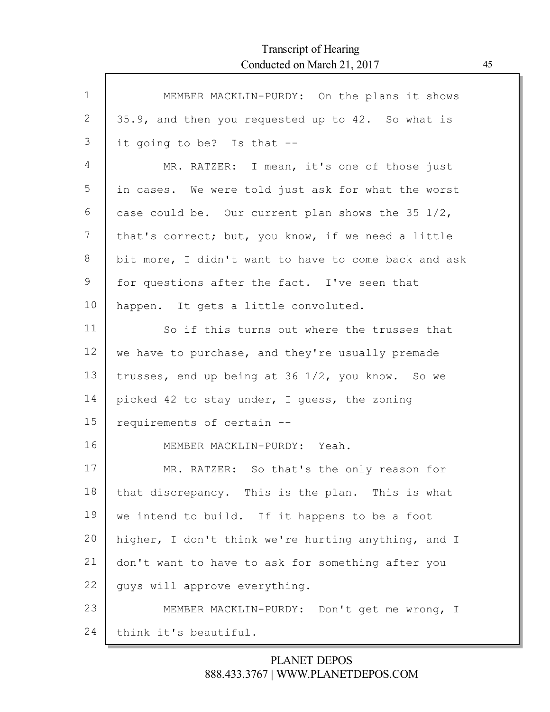Г

| $\mathbf{1}$ | MEMBER MACKLIN-PURDY: On the plans it shows          |
|--------------|------------------------------------------------------|
| 2            | 35.9, and then you requested up to 42. So what is    |
| 3            | it going to be? Is that --                           |
| 4            | MR. RATZER: I mean, it's one of those just           |
| 5            | in cases. We were told just ask for what the worst   |
| 6            | case could be. Our current plan shows the 35 1/2,    |
| 7            | that's correct; but, you know, if we need a little   |
| 8            | bit more, I didn't want to have to come back and ask |
| 9            | for questions after the fact. I've seen that         |
| 10           | happen. It gets a little convoluted.                 |
| 11           | So if this turns out where the trusses that          |
| 12           | we have to purchase, and they're usually premade     |
| 13           | trusses, end up being at 36 1/2, you know. So we     |
| 14           | picked 42 to stay under, I guess, the zoning         |
| 15           | requirements of certain --                           |
| 16           | MEMBER MACKLIN-PURDY: Yeah.                          |
| 17           | MR. RATZER: So that's the only reason for            |
| 18           | that discrepancy. This is the plan. This is what     |
| 19           | we intend to build. If it happens to be a foot       |
| 20           | higher, I don't think we're hurting anything, and I  |
| 21           | don't want to have to ask for something after you    |
| 22           | quys will approve everything.                        |
| 23           | MEMBER MACKLIN-PURDY: Don't get me wrong, I          |
| 24           | think it's beautiful.                                |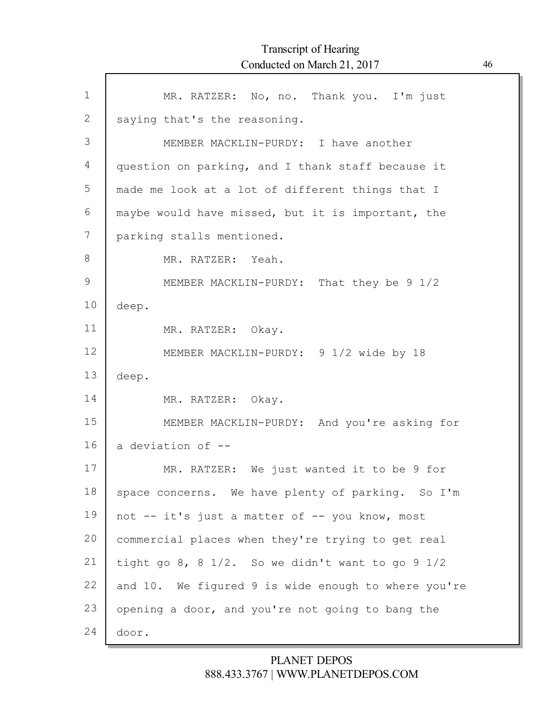$\Gamma$ 

| $\mathbf 1$     | MR. RATZER: No, no. Thank you. I'm just             |
|-----------------|-----------------------------------------------------|
| $\mathbf{2}$    | saying that's the reasoning.                        |
| 3               | MEMBER MACKLIN-PURDY: I have another                |
| $\overline{4}$  | question on parking, and I thank staff because it   |
| 5               | made me look at a lot of different things that I    |
| 6               | maybe would have missed, but it is important, the   |
| 7               | parking stalls mentioned.                           |
| 8               | MR. RATZER: Yeah.                                   |
| 9               | MEMBER MACKLIN-PURDY: That they be 9 1/2            |
| 10              | deep.                                               |
| 11              | MR. RATZER: Okay.                                   |
| 12 <sup>°</sup> | MEMBER MACKLIN-PURDY: 9 1/2 wide by 18              |
| 13              | deep.                                               |
| 14              | MR. RATZER: Okay.                                   |
| 15              | MEMBER MACKLIN-PURDY: And you're asking for         |
| 16              | a deviation of --                                   |
| 17              | MR. RATZER: We just wanted it to be 9 for           |
| 18              | space concerns. We have plenty of parking. So I'm   |
| 19              | not -- it's just a matter of -- you know, most      |
| 20              | commercial places when they're trying to get real   |
| 21              | tight go 8, 8 1/2. So we didn't want to go 9 1/2    |
| 22              | and 10. We figured 9 is wide enough to where you're |
| 23              | opening a door, and you're not going to bang the    |
| 24              | door.                                               |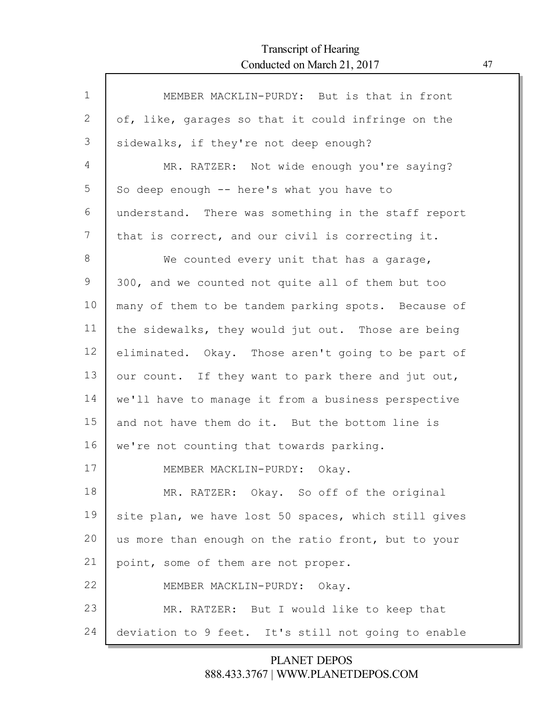Г

| $\mathbf{1}$ | MEMBER MACKLIN-PURDY: But is that in front           |
|--------------|------------------------------------------------------|
| 2            | of, like, garages so that it could infringe on the   |
| 3            | sidewalks, if they're not deep enough?               |
| 4            | MR. RATZER: Not wide enough you're saying?           |
| 5            | So deep enough -- here's what you have to            |
| 6            | understand. There was something in the staff report  |
| 7            | that is correct, and our civil is correcting it.     |
| 8            | We counted every unit that has a garage,             |
| 9            | 300, and we counted not quite all of them but too    |
| 10           | many of them to be tandem parking spots. Because of  |
| 11           | the sidewalks, they would jut out. Those are being   |
| 12           | eliminated. Okay. Those aren't going to be part of   |
| 13           | our count. If they want to park there and jut out,   |
| 14           | we'll have to manage it from a business perspective  |
| 15           | and not have them do it. But the bottom line is      |
| 16           | we're not counting that towards parking.             |
| 17           | MEMBER MACKLIN-PURDY: Okay.                          |
| 18           | MR. RATZER: Okay. So off of the original             |
| 19           | site plan, we have lost 50 spaces, which still gives |
| 20           | us more than enough on the ratio front, but to your  |
| 21           | point, some of them are not proper.                  |
| 22           | MEMBER MACKLIN-PURDY: Okay.                          |
| 23           | MR. RATZER: But I would like to keep that            |
| 24           | deviation to 9 feet. It's still not going to enable  |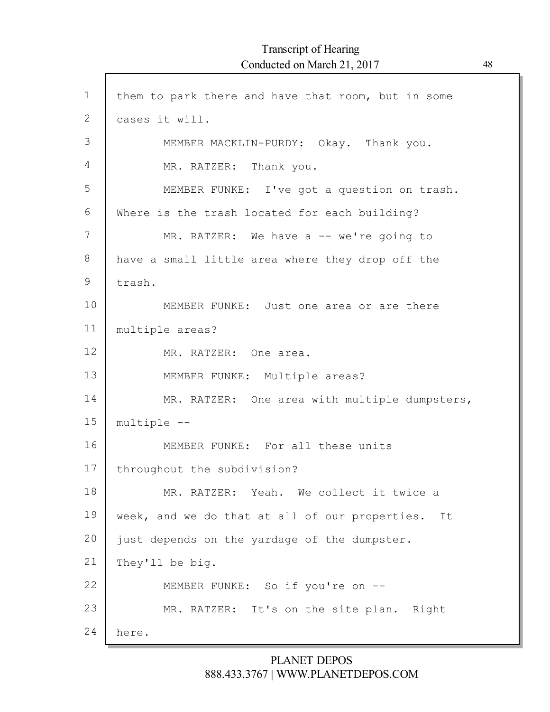$\Gamma$ 

| $\mathbf 1$    | them to park there and have that room, but in some   |
|----------------|------------------------------------------------------|
| $\overline{2}$ | cases it will.                                       |
| 3              | MEMBER MACKLIN-PURDY: Okay. Thank you.               |
| 4              | MR. RATZER: Thank you.                               |
| 5              | MEMBER FUNKE: I've got a question on trash.          |
| 6              | Where is the trash located for each building?        |
| 7              | MR. RATZER: We have a -- we're going to              |
| 8              | have a small little area where they drop off the     |
| 9              | trash.                                               |
| 10             | MEMBER FUNKE: Just one area or are there             |
| 11             | multiple areas?                                      |
| 12             | MR. RATZER: One area.                                |
| 13             | MEMBER FUNKE: Multiple areas?                        |
| 14             | MR. RATZER: One area with multiple dumpsters,        |
| 15             | multiple --                                          |
| 16             | MEMBER FUNKE: For all these units                    |
| 17             | throughout the subdivision?                          |
| 18             | MR. RATZER: Yeah. We collect it twice a              |
| 19             | week, and we do that at all of our properties.<br>It |
| 20             | just depends on the yardage of the dumpster.         |
| 21             | They'll be big.                                      |
| 22             | MEMBER FUNKE: So if you're on --                     |
| 23             | MR. RATZER: It's on the site plan. Right             |
| 24             | here.                                                |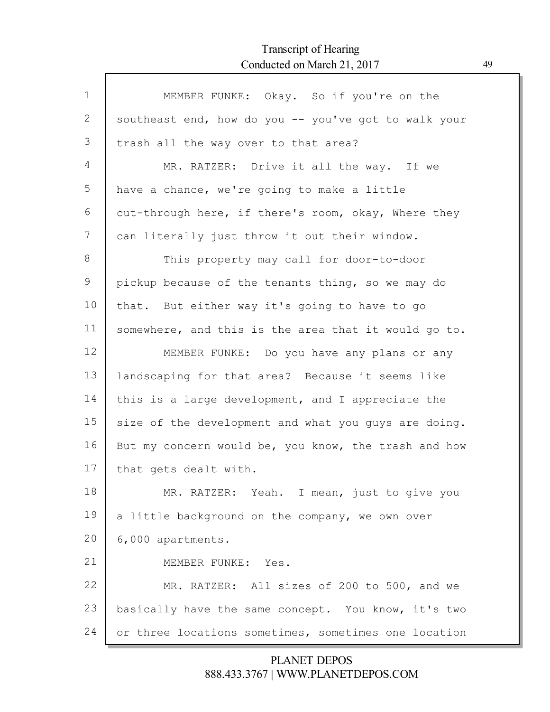$\Gamma$ 

| $\mathbf{1}$ | MEMBER FUNKE: Okay. So if you're on the              |
|--------------|------------------------------------------------------|
| 2            | southeast end, how do you -- you've got to walk your |
| 3            | trash all the way over to that area?                 |
| 4            | MR. RATZER: Drive it all the way. If we              |
| 5            | have a chance, we're going to make a little          |
| 6            | cut-through here, if there's room, okay, Where they  |
| 7            | can literally just throw it out their window.        |
| 8            | This property may call for door-to-door              |
| 9            | pickup because of the tenants thing, so we may do    |
| 10           | that. But either way it's going to have to go        |
| 11           | somewhere, and this is the area that it would go to. |
| 12           | MEMBER FUNKE: Do you have any plans or any           |
| 13           | landscaping for that area? Because it seems like     |
| 14           | this is a large development, and I appreciate the    |
| 15           | size of the development and what you guys are doing. |
| 16           | But my concern would be, you know, the trash and how |
| 17           | that gets dealt with.                                |
| 18           | MR. RATZER: Yeah. I mean, just to give you           |
| 19           | a little background on the company, we own over      |
| 20           | 6,000 apartments.                                    |
| 21           | MEMBER FUNKE: Yes.                                   |
| 22           | MR. RATZER: All sizes of 200 to 500, and we          |
| 23           | basically have the same concept. You know, it's two  |
| 24           | or three locations sometimes, sometimes one location |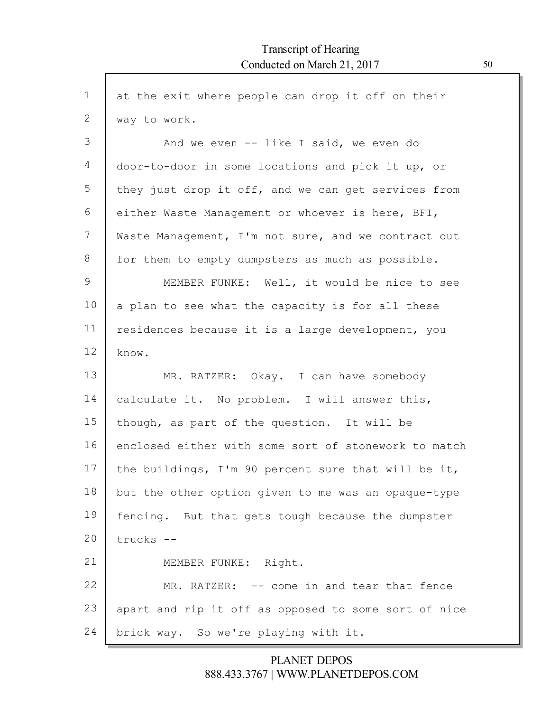| $\mathbf 1$ | at the exit where people can drop it off on their    |
|-------------|------------------------------------------------------|
| 2           | way to work.                                         |
| 3           | And we even $--$ like I said, we even do             |
| 4           | door-to-door in some locations and pick it up, or    |
| 5           | they just drop it off, and we can get services from  |
| 6           | either Waste Management or whoever is here, BFI,     |
| 7           | Waste Management, I'm not sure, and we contract out  |
| 8           | for them to empty dumpsters as much as possible.     |
| 9           | MEMBER FUNKE: Well, it would be nice to see          |
| 10          | a plan to see what the capacity is for all these     |
| 11          | residences because it is a large development, you    |
| 12          | know.                                                |
| 13          | MR. RATZER: Okay. I can have somebody                |
| 14          | calculate it. No problem. I will answer this,        |
| 15          | though, as part of the question. It will be          |
| 16          | enclosed either with some sort of stonework to match |
| 17          | the buildings, I'm 90 percent sure that will be it,  |
| 18          | but the other option given to me was an opaque-type  |
| 19          | fencing. But that gets tough because the dumpster    |
| 20          | trucks --                                            |
| 21          | MEMBER FUNKE: Right.                                 |
| 22          | MR. RATZER: -- come in and tear that fence           |
| 23          | apart and rip it off as opposed to some sort of nice |
| 24          | brick way. So we're playing with it.                 |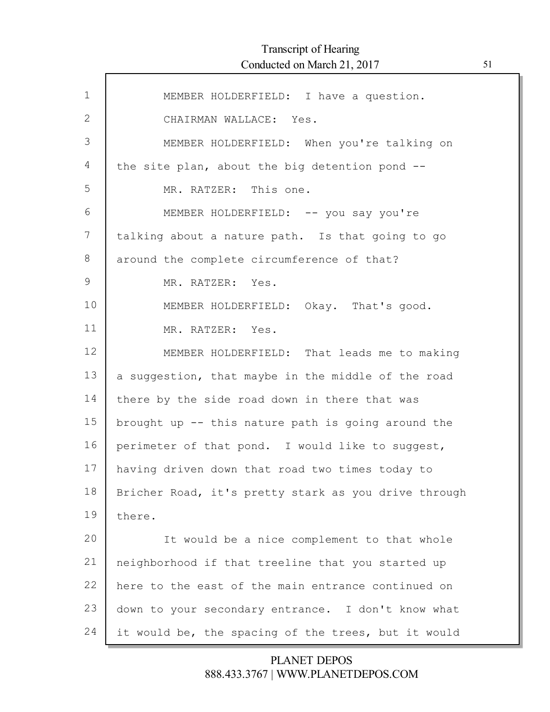Г

| $\mathbf 1$  | MEMBER HOLDERFIELD: I have a question.               |
|--------------|------------------------------------------------------|
| $\mathbf{2}$ | CHAIRMAN WALLACE: Yes.                               |
| 3            | MEMBER HOLDERFIELD: When you're talking on           |
| 4            | the site plan, about the big detention pond --       |
| 5            | MR. RATZER: This one.                                |
| 6            | MEMBER HOLDERFIELD: -- you say you're                |
| 7            | talking about a nature path. Is that going to go     |
| 8            | around the complete circumference of that?           |
| 9            | MR. RATZER: Yes.                                     |
| 10           | MEMBER HOLDERFIELD: Okay. That's good.               |
| 11           | MR. RATZER: Yes.                                     |
| 12           | MEMBER HOLDERFIELD: That leads me to making          |
| 13           | a suggestion, that maybe in the middle of the road   |
| 14           | there by the side road down in there that was        |
| 15           | brought up -- this nature path is going around the   |
| 16           | perimeter of that pond. I would like to suggest,     |
| 17           | having driven down that road two times today to      |
| 18           | Bricher Road, it's pretty stark as you drive through |
| 19           | there.                                               |
| 20           | It would be a nice complement to that whole          |
| 21           | neighborhood if that treeline that you started up    |
| 22           | here to the east of the main entrance continued on   |
| 23           | down to your secondary entrance. I don't know what   |
| 24           | it would be, the spacing of the trees, but it would  |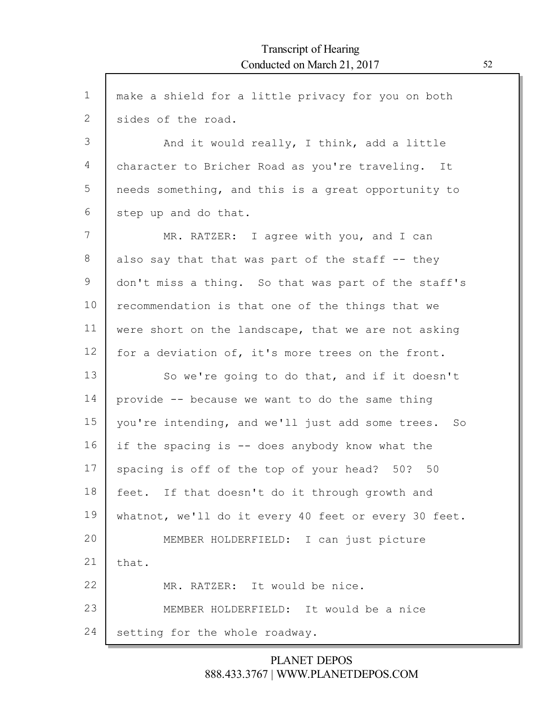| $\mathbf{1}$ | make a shield for a little privacy for you on both   |
|--------------|------------------------------------------------------|
| $\mathbf{2}$ | sides of the road.                                   |
| 3            | And it would really, I think, add a little           |
| 4            | character to Bricher Road as you're traveling. It    |
| 5            | needs something, and this is a great opportunity to  |
| 6            | step up and do that.                                 |
| 7            | MR. RATZER: I agree with you, and I can              |
| 8            | also say that that was part of the staff -- they     |
| 9            | don't miss a thing. So that was part of the staff's  |
| 10           | recommendation is that one of the things that we     |
| 11           | were short on the landscape, that we are not asking  |
| 12           | for a deviation of, it's more trees on the front.    |
| 13           | So we're going to do that, and if it doesn't         |
| 14           | provide -- because we want to do the same thing      |
| 15           | you're intending, and we'll just add some trees. So  |
| 16           | if the spacing is -- does anybody know what the      |
| 17           | spacing is off of the top of your head? 50? 50       |
| 18           | feet. If that doesn't do it through growth and       |
| 19           | whatnot, we'll do it every 40 feet or every 30 feet. |
| 20           | MEMBER HOLDERFIELD: I can just picture               |
| 21           | that.                                                |
| 22           | MR. RATZER: It would be nice.                        |
| 23           | MEMBER HOLDERFIELD: It would be a nice               |
| 24           | setting for the whole roadway.                       |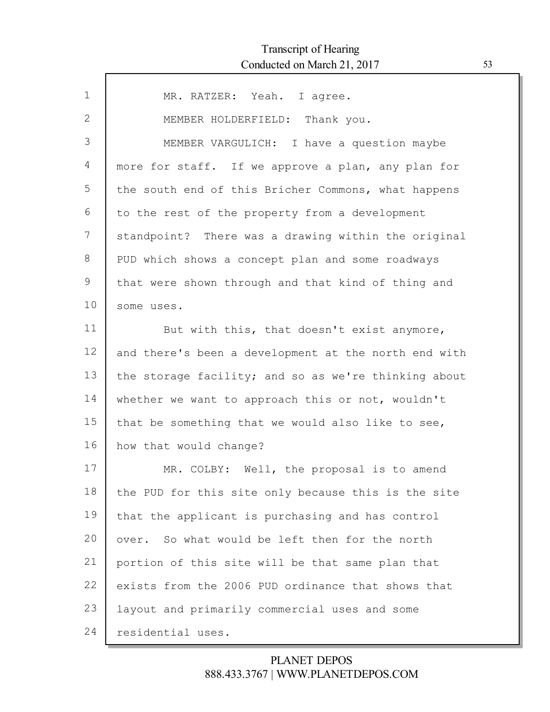| $\mathbf{1}$ | MR. RATZER: Yeah. I agree.                           |
|--------------|------------------------------------------------------|
| $\mathbf{2}$ | MEMBER HOLDERFIELD: Thank you.                       |
| 3            | MEMBER VARGULICH: I have a question maybe            |
| 4            | more for staff. If we approve a plan, any plan for   |
| 5            | the south end of this Bricher Commons, what happens  |
| 6            | to the rest of the property from a development       |
| 7            | standpoint? There was a drawing within the original  |
| 8            | PUD which shows a concept plan and some roadways     |
| 9            | that were shown through and that kind of thing and   |
| 10           | some uses.                                           |
| 11           | But with this, that doesn't exist anymore,           |
| 12           | and there's been a development at the north end with |
| 13           | the storage facility; and so as we're thinking about |
| 14           | whether we want to approach this or not, wouldn't    |
| 15           | that be something that we would also like to see,    |
| 16           | how that would change?                               |
| 17           | MR. COLBY: Well, the proposal is to amend            |
| 18           | the PUD for this site only because this is the site  |
| 19           | that the applicant is purchasing and has control     |
| 20           | over. So what would be left then for the north       |
| 21           | portion of this site will be that same plan that     |
| 22           | exists from the 2006 PUD ordinance that shows that   |
| 23           | layout and primarily commercial uses and some        |
| 24           | residential uses.                                    |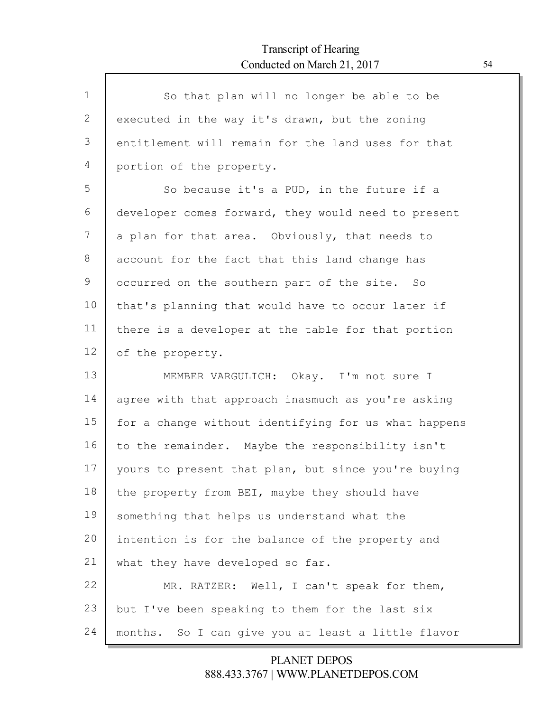| $\mathbf{1}$ | So that plan will no longer be able to be            |
|--------------|------------------------------------------------------|
| 2            | executed in the way it's drawn, but the zoning       |
| 3            | entitlement will remain for the land uses for that   |
| 4            | portion of the property.                             |
| 5            | So because it's a PUD, in the future if a            |
| 6            | developer comes forward, they would need to present  |
| 7            | a plan for that area. Obviously, that needs to       |
| 8            | account for the fact that this land change has       |
| 9            | occurred on the southern part of the site. So        |
| 10           | that's planning that would have to occur later if    |
| 11           | there is a developer at the table for that portion   |
| 12           | of the property.                                     |
|              |                                                      |
| 13           | MEMBER VARGULICH: Okay. I'm not sure I               |
| 14           | agree with that approach inasmuch as you're asking   |
| 15           | for a change without identifying for us what happens |
| 16           | to the remainder. Maybe the responsibility isn't     |
| 17           | yours to present that plan, but since you're buying  |
| 18           | the property from BEI, maybe they should have        |
| 19           | something that helps us understand what the          |
| 20           | intention is for the balance of the property and     |
| 21           | what they have developed so far.                     |
| 22           | MR. RATZER: Well, I can't speak for them,            |
| 23           | but I've been speaking to them for the last six      |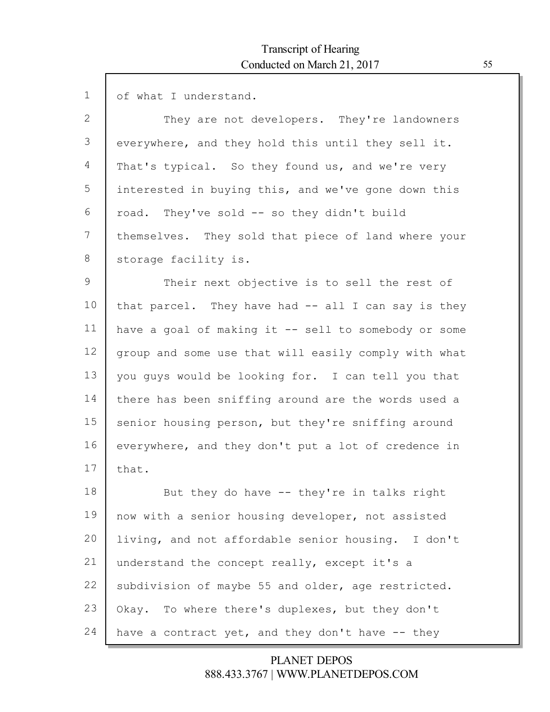| $\mathbf{1}$ | of what I understand.                                |
|--------------|------------------------------------------------------|
| $\mathbf{2}$ | They are not developers. They're landowners          |
| 3            | everywhere, and they hold this until they sell it.   |
| 4            | That's typical. So they found us, and we're very     |
| 5            | interested in buying this, and we've gone down this  |
| 6            | road. They've sold -- so they didn't build           |
| 7            | themselves. They sold that piece of land where your  |
| 8            | storage facility is.                                 |
| 9            | Their next objective is to sell the rest of          |
| 10           | that parcel. They have had $-$ all I can say is they |
| 11           | have a goal of making it -- sell to somebody or some |
| 12           | group and some use that will easily comply with what |
| 13           | you guys would be looking for. I can tell you that   |
| 14           | there has been sniffing around are the words used a  |
| 15           | senior housing person, but they're sniffing around   |
| 16           | everywhere, and they don't put a lot of credence in  |
| 17           | that.                                                |
| 18           | But they do have -- they're in talks right           |
| 19           | now with a senior housing developer, not assisted    |
| 20           | living, and not affordable senior housing. I don't   |
| 21           | understand the concept really, except it's a         |
| 22           | subdivision of maybe 55 and older, age restricted.   |
| 23           | Okay. To where there's duplexes, but they don't      |
| 24           | have a contract yet, and they don't have -- they     |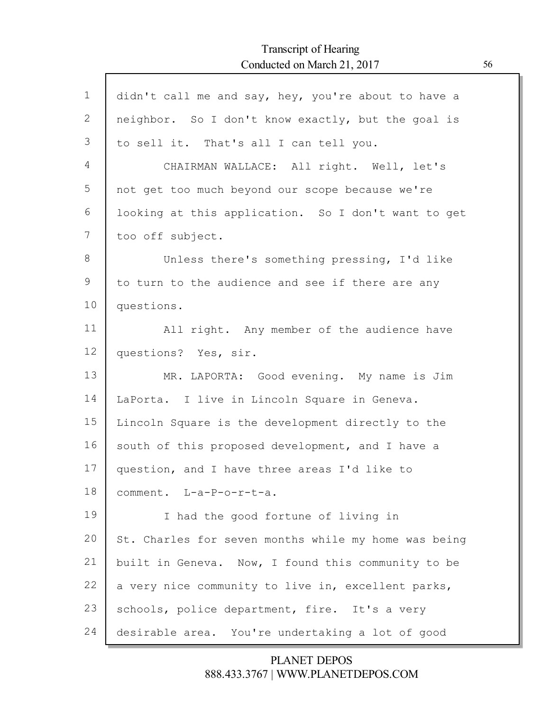Г

| $\mathbf 1$ | didn't call me and say, hey, you're about to have a  |
|-------------|------------------------------------------------------|
| 2           | neighbor. So I don't know exactly, but the goal is   |
| 3           | to sell it. That's all I can tell you.               |
| 4           | CHAIRMAN WALLACE: All right. Well, let's             |
| 5           | not get too much beyond our scope because we're      |
| 6           | looking at this application. So I don't want to get  |
| 7           | too off subject.                                     |
| 8           | Unless there's something pressing, I'd like          |
| 9           | to turn to the audience and see if there are any     |
| 10          | questions.                                           |
| 11          | All right. Any member of the audience have           |
| 12          | questions? Yes, sir.                                 |
| 13          | MR. LAPORTA: Good evening. My name is Jim            |
| 14          | LaPorta. I live in Lincoln Square in Geneva.         |
| 15          | Lincoln Square is the development directly to the    |
| 16          | south of this proposed development, and I have a     |
| 17          | question, and I have three areas I'd like to         |
| 18          | comment. L-a-P-o-r-t-a.                              |
| 19          | I had the good fortune of living in                  |
| 20          | St. Charles for seven months while my home was being |
| 21          | built in Geneva. Now, I found this community to be   |
| 22          | a very nice community to live in, excellent parks,   |
| 23          | schools, police department, fire. It's a very        |
| 24          | desirable area. You're undertaking a lot of good     |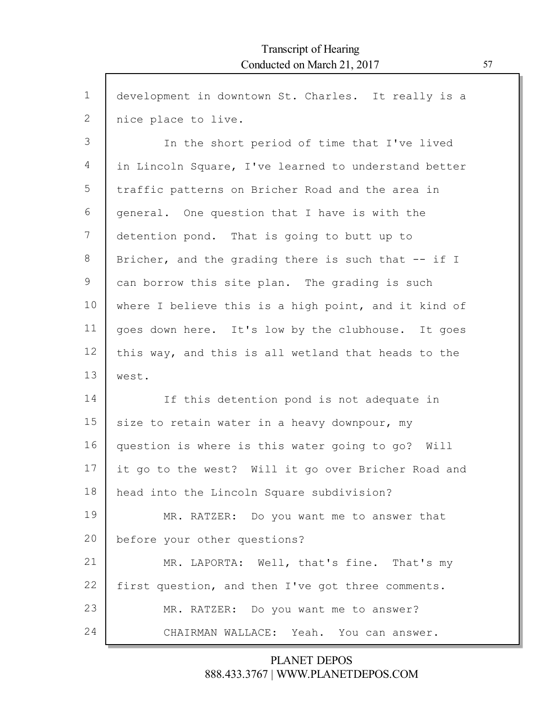| $\mathbf{1}$ | development in downtown St. Charles. It really is a  |
|--------------|------------------------------------------------------|
| $\mathbf{2}$ | nice place to live.                                  |
| 3            | In the short period of time that I've lived          |
| 4            | in Lincoln Square, I've learned to understand better |
| 5            | traffic patterns on Bricher Road and the area in     |
| 6            | general. One question that I have is with the        |
| 7            | detention pond. That is going to butt up to          |
| 8            | Bricher, and the grading there is such that -- if I  |
| 9            | can borrow this site plan. The grading is such       |
| 10           | where I believe this is a high point, and it kind of |
| 11           | goes down here. It's low by the clubhouse. It goes   |
| 12           | this way, and this is all wetland that heads to the  |
| 13           | west.                                                |
| 14           | If this detention pond is not adequate in            |
| 15           | size to retain water in a heavy downpour, my         |
| 16           | question is where is this water going to go? Will    |
| 17           | it go to the west? Will it go over Bricher Road and  |
| 18           | head into the Lincoln Square subdivision?            |
| 19           | MR. RATZER: Do you want me to answer that            |
| 20           | before your other questions?                         |
| 21           | MR. LAPORTA: Well, that's fine. That's my            |
| 22           | first question, and then I've got three comments.    |
| 23           | MR. RATZER: Do you want me to answer?                |
| 24           | CHAIRMAN WALLACE: Yeah. You can answer.              |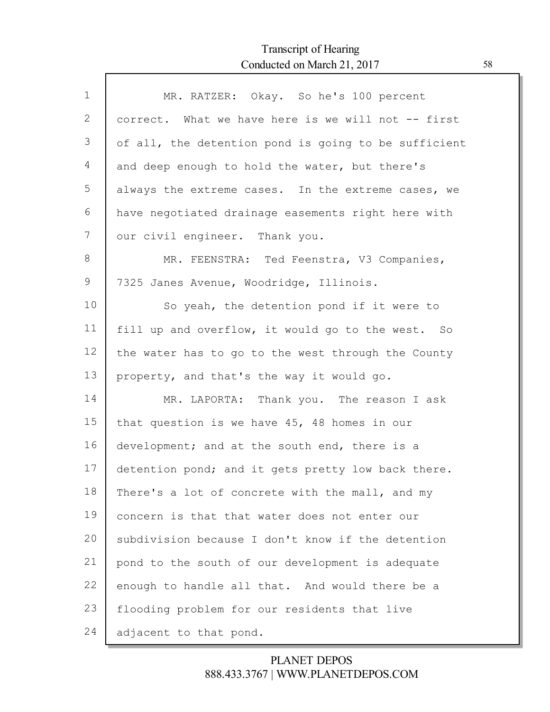| $\mathbf 1$ | MR. RATZER: Okay. So he's 100 percent                |
|-------------|------------------------------------------------------|
| 2           | correct. What we have here is we will not -- first   |
| 3           | of all, the detention pond is going to be sufficient |
| 4           | and deep enough to hold the water, but there's       |
| 5           | always the extreme cases. In the extreme cases, we   |
| 6           | have negotiated drainage easements right here with   |
| 7           | our civil engineer. Thank you.                       |
| 8           | MR. FEENSTRA: Ted Feenstra, V3 Companies,            |
| 9           | 7325 Janes Avenue, Woodridge, Illinois.              |
| 10          | So yeah, the detention pond if it were to            |
| 11          | fill up and overflow, it would go to the west. So    |
| 12          | the water has to go to the west through the County   |
| 13          | property, and that's the way it would go.            |
| 14          | MR. LAPORTA: Thank you. The reason I ask             |
| 15          | that question is we have 45, 48 homes in our         |
| 16          | development; and at the south end, there is a        |
| 17          | detention pond; and it gets pretty low back there.   |
| 18          | There's a lot of concrete with the mall, and my      |
| 19          | concern is that that water does not enter our        |
| 20          | subdivision because I don't know if the detention    |
| 21          | pond to the south of our development is adequate     |
| 22          | enough to handle all that. And would there be a      |
| 23          | flooding problem for our residents that live         |
| 24          | adjacent to that pond.                               |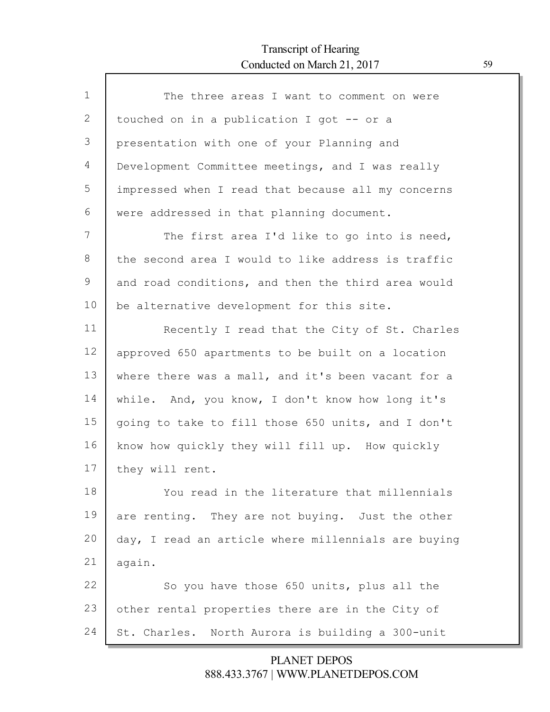Г

| $\mathbf 1$ | The three areas I want to comment on were           |
|-------------|-----------------------------------------------------|
| 2           | touched on in a publication I got -- or a           |
| 3           | presentation with one of your Planning and          |
| 4           | Development Committee meetings, and I was really    |
| 5           | impressed when I read that because all my concerns  |
| 6           | were addressed in that planning document.           |
| 7           | The first area I'd like to go into is need,         |
| 8           | the second area I would to like address is traffic  |
| 9           | and road conditions, and then the third area would  |
| 10          | be alternative development for this site.           |
| 11          | Recently I read that the City of St. Charles        |
| 12          | approved 650 apartments to be built on a location   |
| 13          | where there was a mall, and it's been vacant for a  |
| 14          | while. And, you know, I don't know how long it's    |
| 15          | going to take to fill those 650 units, and I don't  |
| 16          | know how quickly they will fill up. How quickly     |
| 17          | they will rent.                                     |
| 18          | You read in the literature that millennials         |
| 19          | are renting. They are not buying. Just the other    |
| 20          | day, I read an article where millennials are buying |
| 21          | again.                                              |
| 22          | So you have those 650 units, plus all the           |
| 23          | other rental properties there are in the City of    |
| 24          | St. Charles. North Aurora is building a 300-unit    |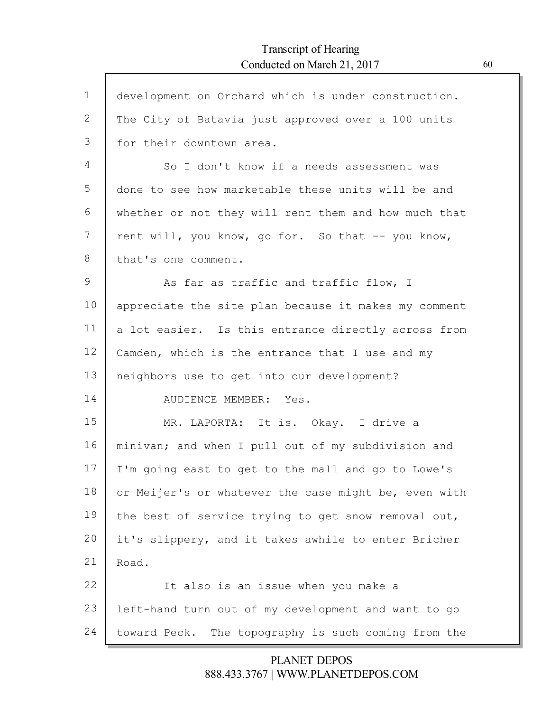Г

| $\mathbf 1$    | development on Orchard which is under construction.  |
|----------------|------------------------------------------------------|
| $\overline{2}$ | The City of Batavia just approved over a 100 units   |
| 3              | for their downtown area.                             |
| 4              | So I don't know if a needs assessment was            |
| 5              | done to see how marketable these units will be and   |
| 6              | whether or not they will rent them and how much that |
| 7              | rent will, you know, go for. So that -- you know,    |
| 8              | that's one comment.                                  |
| 9              | As far as traffic and traffic flow, I                |
| 10             | appreciate the site plan because it makes my comment |
| 11             | a lot easier. Is this entrance directly across from  |
| 12             | Camden, which is the entrance that I use and my      |
| 13             | neighbors use to get into our development?           |
| 14             | AUDIENCE MEMBER: Yes.                                |
| 15             | MR. LAPORTA: It is. Okay. I drive a                  |
| 16             | minivan; and when I pull out of my subdivision and   |
| 17             | I'm going east to get to the mall and go to Lowe's   |
| 18             | or Meijer's or whatever the case might be, even with |
| 19             | the best of service trying to get snow removal out,  |
| 20             | it's slippery, and it takes awhile to enter Bricher  |
| 21             | Road.                                                |
| 22             | It also is an issue when you make a                  |
| 23             | left-hand turn out of my development and want to go  |
| 24             | toward Peck. The topography is such coming from the  |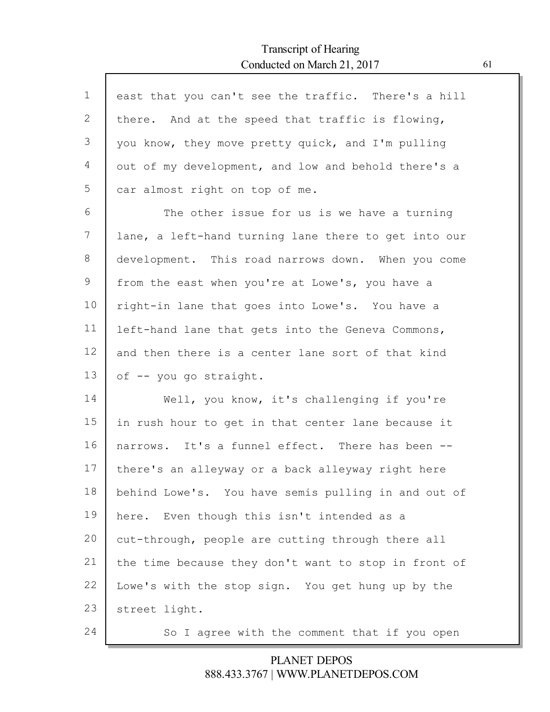Г

| $\mathbf{1}$ | east that you can't see the traffic. There's a hill  |
|--------------|------------------------------------------------------|
| 2            | there. And at the speed that traffic is flowing,     |
| 3            | you know, they move pretty quick, and I'm pulling    |
| 4            | out of my development, and low and behold there's a  |
| 5            | car almost right on top of me.                       |
| 6            | The other issue for us is we have a turning          |
| 7            | lane, a left-hand turning lane there to get into our |
| 8            | development. This road narrows down. When you come   |
| 9            | from the east when you're at Lowe's, you have a      |
| 10           | right-in lane that goes into Lowe's. You have a      |
| 11           | left-hand lane that gets into the Geneva Commons,    |
| 12           | and then there is a center lane sort of that kind    |
| 13           | of -- you go straight.                               |
| 14           | Well, you know, it's challenging if you're           |
| 15           | in rush hour to get in that center lane because it   |
| 16           | narrows. It's a funnel effect. There has been --     |
| 17           | there's an alleyway or a back alleyway right here    |
| 18           | behind Lowe's. You have semis pulling in and out of  |
| 19           | here. Even though this isn't intended as a           |
| 20           | cut-through, people are cutting through there all    |
| 21           | the time because they don't want to stop in front of |
| 22           | Lowe's with the stop sign. You get hung up by the    |
| 23           | street light.                                        |
| 24           | So I agree with the comment that if you open         |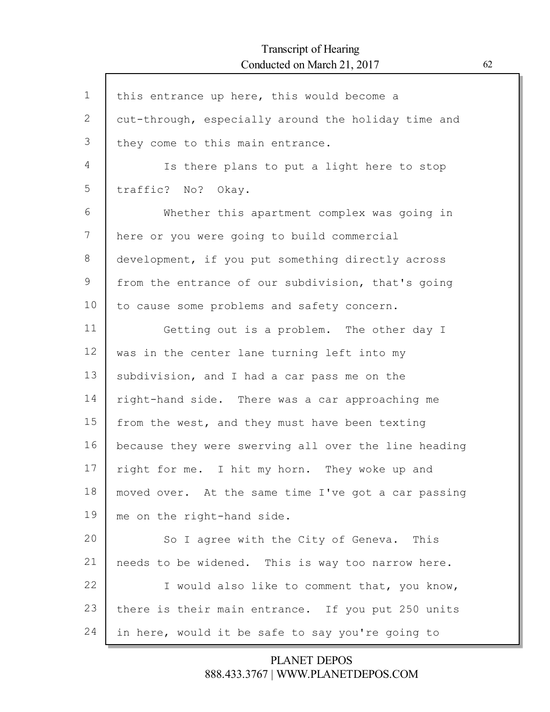Г

| $\mathbf 1$  | this entrance up here, this would become a           |
|--------------|------------------------------------------------------|
| $\mathbf{2}$ | cut-through, especially around the holiday time and  |
| 3            | they come to this main entrance.                     |
| 4            | Is there plans to put a light here to stop           |
| 5            | traffic? No? Okay.                                   |
| 6            | Whether this apartment complex was going in          |
| 7            | here or you were going to build commercial           |
| 8            | development, if you put something directly across    |
| 9            | from the entrance of our subdivision, that's going   |
| 10           | to cause some problems and safety concern.           |
| 11           | Getting out is a problem. The other day I            |
| 12           | was in the center lane turning left into my          |
| 13           | subdivision, and I had a car pass me on the          |
| 14           | right-hand side. There was a car approaching me      |
| 15           | from the west, and they must have been texting       |
| 16           | because they were swerving all over the line heading |
| 17           | right for me. I hit my horn. They woke up and        |
| 18           | moved over. At the same time I've got a car passing  |
| 19           | me on the right-hand side.                           |
| 20           | So I agree with the City of Geneva. This             |
| 21           | needs to be widened. This is way too narrow here.    |
| 22           | I would also like to comment that, you know,         |
| 23           | there is their main entrance. If you put 250 units   |
| 24           | in here, would it be safe to say you're going to     |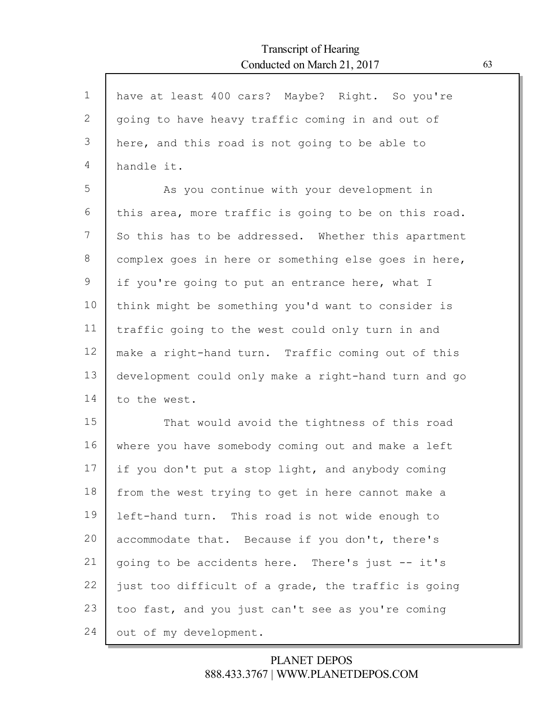| $\mathbf{1}$ | have at least 400 cars? Maybe? Right. So you're      |
|--------------|------------------------------------------------------|
| 2            |                                                      |
|              | going to have heavy traffic coming in and out of     |
| 3            | here, and this road is not going to be able to       |
| 4            | handle it.                                           |
| 5            | As you continue with your development in             |
| 6            | this area, more traffic is going to be on this road. |
| 7            | So this has to be addressed. Whether this apartment  |
| 8            | complex goes in here or something else goes in here, |
| 9            | if you're going to put an entrance here, what I      |
| 10           | think might be something you'd want to consider is   |
| 11           | traffic going to the west could only turn in and     |
| 12           | make a right-hand turn. Traffic coming out of this   |
| 13           | development could only make a right-hand turn and go |
| 14           | to the west.                                         |
| 15           | That would avoid the tightness of this road          |
| 16           | where you have somebody coming out and make a left   |
| 17           | if you don't put a stop light, and anybody coming    |
| 18           | from the west trying to get in here cannot make a    |
| 19           | left-hand turn. This road is not wide enough to      |
| 20           | accommodate that. Because if you don't, there's      |
| 21           | going to be accidents here. There's just -- it's     |
| 22           | just too difficult of a grade, the traffic is going  |
| 23           | too fast, and you just can't see as you're coming    |
| 24           | out of my development.                               |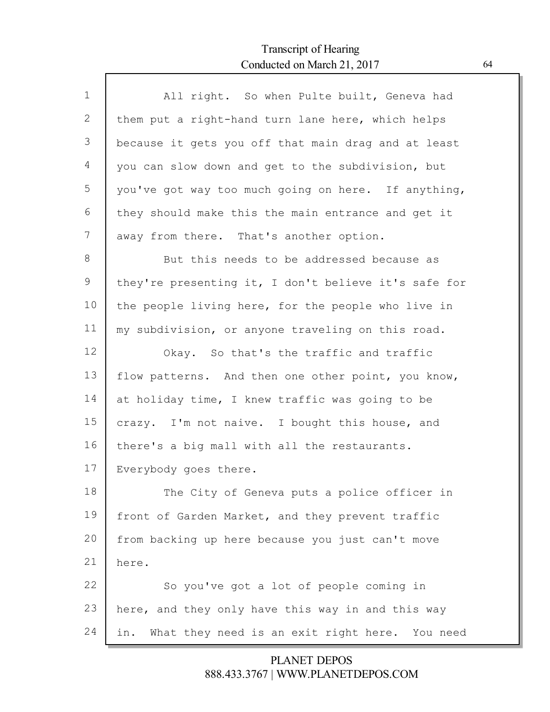Г

| $\mathbf 1$    | All right. So when Pulte built, Geneva had            |
|----------------|-------------------------------------------------------|
| $\overline{2}$ | them put a right-hand turn lane here, which helps     |
| 3              | because it gets you off that main drag and at least   |
| 4              | you can slow down and get to the subdivision, but     |
| 5              | you've got way too much going on here. If anything,   |
| 6              | they should make this the main entrance and get it    |
| 7              | away from there. That's another option.               |
| 8              | But this needs to be addressed because as             |
| 9              | they're presenting it, I don't believe it's safe for  |
| 10             | the people living here, for the people who live in    |
| 11             | my subdivision, or anyone traveling on this road.     |
| 12             | Okay. So that's the traffic and traffic               |
| 13             | flow patterns. And then one other point, you know,    |
| 14             | at holiday time, I knew traffic was going to be       |
| 15             | crazy. I'm not naive. I bought this house, and        |
| 16             | there's a big mall with all the restaurants.          |
| 17             | Everybody goes there.                                 |
| 18             | The City of Geneva puts a police officer in           |
| 19             | front of Garden Market, and they prevent traffic      |
| 20             | from backing up here because you just can't move      |
| 21             | here.                                                 |
| 22             | So you've got a lot of people coming in               |
| 23             | here, and they only have this way in and this way     |
| 24             | What they need is an exit right here. You need<br>in. |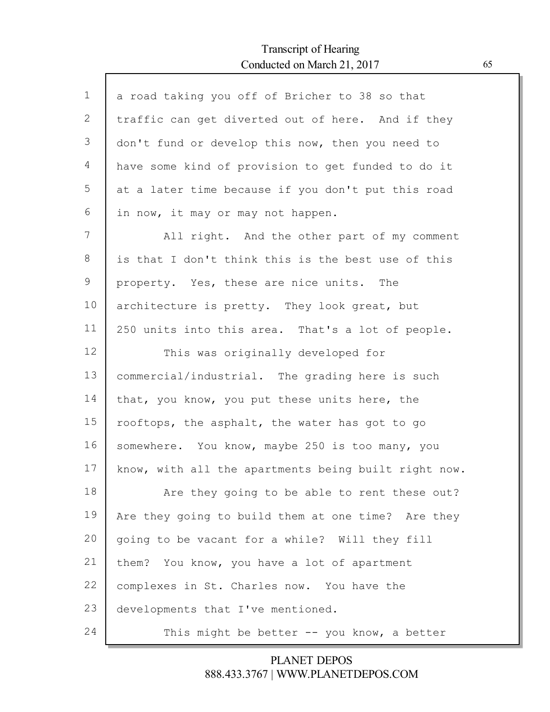Г

| $\mathbf 1$ | a road taking you off of Bricher to 38 so that       |
|-------------|------------------------------------------------------|
| 2           | traffic can get diverted out of here. And if they    |
| 3           | don't fund or develop this now, then you need to     |
| 4           | have some kind of provision to get funded to do it   |
| 5           | at a later time because if you don't put this road   |
| 6           | in now, it may or may not happen.                    |
| 7           | All right. And the other part of my comment          |
| 8           | is that I don't think this is the best use of this   |
| 9           | property. Yes, these are nice units. The             |
| 10          | architecture is pretty. They look great, but         |
| 11          | 250 units into this area. That's a lot of people.    |
| 12          | This was originally developed for                    |
| 13          | commercial/industrial. The grading here is such      |
| 14          | that, you know, you put these units here, the        |
| 15          | rooftops, the asphalt, the water has got to go       |
| 16          | somewhere. You know, maybe 250 is too many, you      |
| 17          | know, with all the apartments being built right now. |
| 18          | Are they going to be able to rent these out?         |
| 19          | Are they going to build them at one time? Are they   |
| 20          | going to be vacant for a while? Will they fill       |
| 21          | them? You know, you have a lot of apartment          |
| 22          | complexes in St. Charles now. You have the           |
| 23          | developments that I've mentioned.                    |
| 24          | This might be better -- you know, a better           |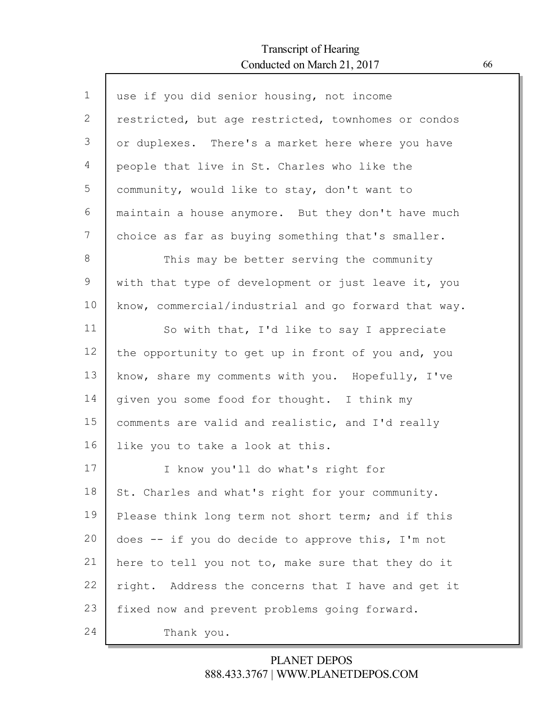Г

| $\mathbf 1$ | use if you did senior housing, not income            |
|-------------|------------------------------------------------------|
| 2           | restricted, but age restricted, townhomes or condos  |
| 3           | or duplexes. There's a market here where you have    |
| 4           | people that live in St. Charles who like the         |
| 5           | community, would like to stay, don't want to         |
| 6           | maintain a house anymore. But they don't have much   |
| 7           | choice as far as buying something that's smaller.    |
| 8           | This may be better serving the community             |
| 9           | with that type of development or just leave it, you  |
| 10          | know, commercial/industrial and go forward that way. |
| 11          | So with that, I'd like to say I appreciate           |
| 12          | the opportunity to get up in front of you and, you   |
| 13          | know, share my comments with you. Hopefully, I've    |
| 14          | given you some food for thought. I think my          |
| 15          | comments are valid and realistic, and I'd really     |
| 16          | like you to take a look at this.                     |
| 17          | I know you'll do what's right for                    |
| 18          | St. Charles and what's right for your community.     |
| 19          | Please think long term not short term; and if this   |
| 20          | does -- if you do decide to approve this, I'm not    |
| 21          | here to tell you not to, make sure that they do it   |
| 22          | right. Address the concerns that I have and get it   |
| 23          | fixed now and prevent problems going forward.        |
| 24          | Thank you.                                           |
|             |                                                      |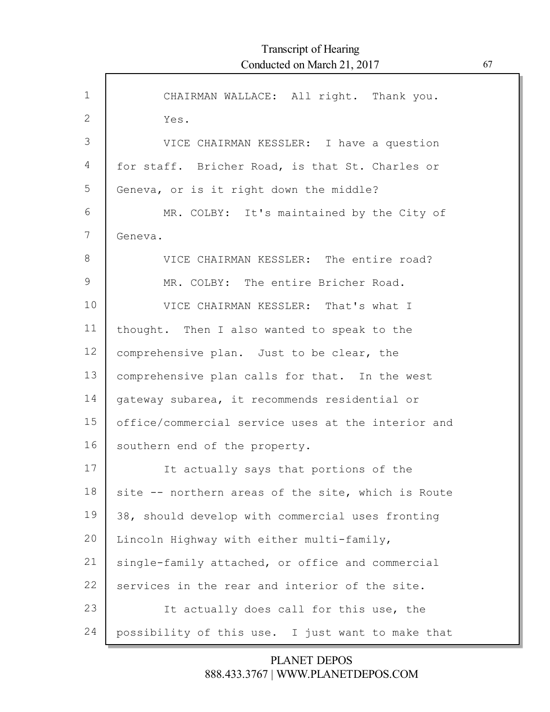$\Gamma$ 

| $\mathbf 1$  | CHAIRMAN WALLACE: All right. Thank you.            |
|--------------|----------------------------------------------------|
| $\mathbf{2}$ | Yes.                                               |
| 3            | VICE CHAIRMAN KESSLER: I have a question           |
| 4            | for staff. Bricher Road, is that St. Charles or    |
| 5            | Geneva, or is it right down the middle?            |
| 6            | MR. COLBY: It's maintained by the City of          |
| 7            | Geneva.                                            |
| 8            | VICE CHAIRMAN KESSLER: The entire road?            |
| 9            | MR. COLBY: The entire Bricher Road.                |
| 10           | VICE CHAIRMAN KESSLER: That's what I               |
| 11           | thought. Then I also wanted to speak to the        |
| 12           | comprehensive plan. Just to be clear, the          |
| 13           | comprehensive plan calls for that. In the west     |
| 14           | gateway subarea, it recommends residential or      |
| 15           | office/commercial service uses at the interior and |
| 16           | southern end of the property.                      |
| 17           | It actually says that portions of the              |
| 18           | site -- northern areas of the site, which is Route |
| 19           | 38, should develop with commercial uses fronting   |
| 20           | Lincoln Highway with either multi-family,          |
| 21           | single-family attached, or office and commercial   |
| 22           | services in the rear and interior of the site.     |
| 23           | It actually does call for this use, the            |
| 24           | possibility of this use. I just want to make that  |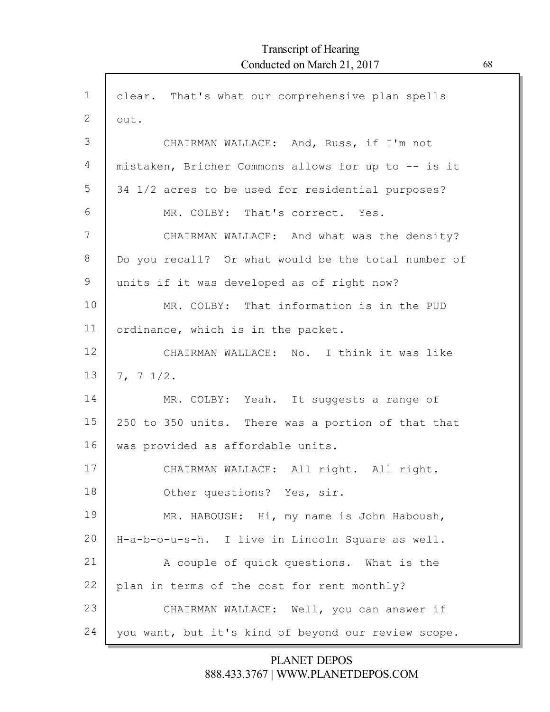| $\mathbf 1$  | clear. That's what our comprehensive plan spells    |
|--------------|-----------------------------------------------------|
| $\mathbf{2}$ | out.                                                |
| 3            | CHAIRMAN WALLACE: And, Russ, if I'm not             |
| 4            | mistaken, Bricher Commons allows for up to -- is it |
| 5            | 34 1/2 acres to be used for residential purposes?   |
| 6            | MR. COLBY: That's correct. Yes.                     |
| 7            | CHAIRMAN WALLACE: And what was the density?         |
| $8\,$        | Do you recall? Or what would be the total number of |
| 9            | units if it was developed as of right now?          |
| 10           | MR. COLBY: That information is in the PUD           |
| 11           | ordinance, which is in the packet.                  |
| 12           | CHAIRMAN WALLACE: No. I think it was like           |
| 13           | 7, 7, 1/2.                                          |
| 14           | MR. COLBY: Yeah. It suggests a range of             |
| 15           | 250 to 350 units. There was a portion of that that  |
| 16           | was provided as affordable units.                   |
| 17           | CHAIRMAN WALLACE: All right. All right.             |
| 18           | Other questions? Yes, sir.                          |
| 19           | MR. HABOUSH: Hi, my name is John Haboush,           |
| 20           | H-a-b-o-u-s-h. I live in Lincoln Square as well.    |
| 21           | A couple of quick questions. What is the            |
| 22           | plan in terms of the cost for rent monthly?         |
| 23           | CHAIRMAN WALLACE: Well, you can answer if           |
| 24           | you want, but it's kind of beyond our review scope. |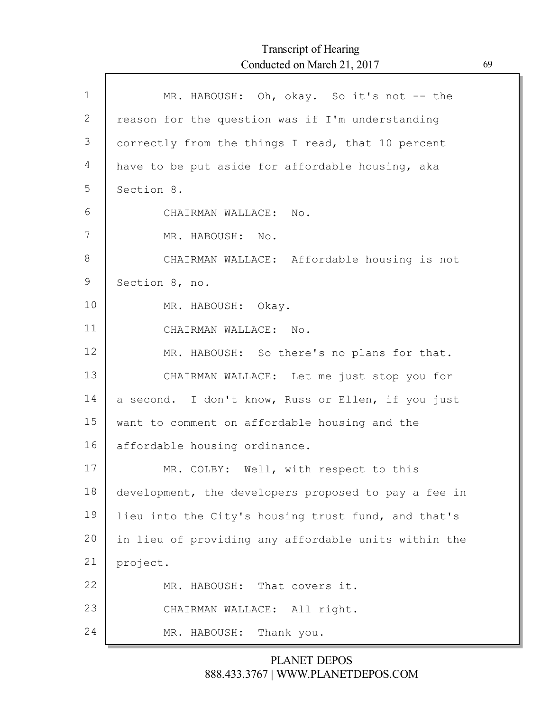| $\mathbf 1$ | MR. HABOUSH: Oh, okay. So it's not -- the            |
|-------------|------------------------------------------------------|
| 2           | reason for the question was if I'm understanding     |
| 3           | correctly from the things I read, that 10 percent    |
| 4           | have to be put aside for affordable housing, aka     |
| 5           | Section 8.                                           |
| 6           | CHAIRMAN WALLACE: No.                                |
| 7           | MR. HABOUSH: No.                                     |
| 8           | CHAIRMAN WALLACE: Affordable housing is not          |
| 9           | Section 8, no.                                       |
| 10          | MR. HABOUSH: Okay.                                   |
| 11          | CHAIRMAN WALLACE: No.                                |
| 12          | MR. HABOUSH: So there's no plans for that.           |
| 13          | CHAIRMAN WALLACE: Let me just stop you for           |
| 14          | a second. I don't know, Russ or Ellen, if you just   |
| 15          | want to comment on affordable housing and the        |
| 16          | affordable housing ordinance.                        |
| 17          | MR. COLBY: Well, with respect to this                |
| 18          | development, the developers proposed to pay a fee in |
| 19          | lieu into the City's housing trust fund, and that's  |
| 20          | in lieu of providing any affordable units within the |
| 21          | project.                                             |
| 22          | That covers it.<br>MR. HABOUSH:                      |
| 23          | CHAIRMAN WALLACE: All right.                         |
| 24          | Thank you.<br>MR. HABOUSH:                           |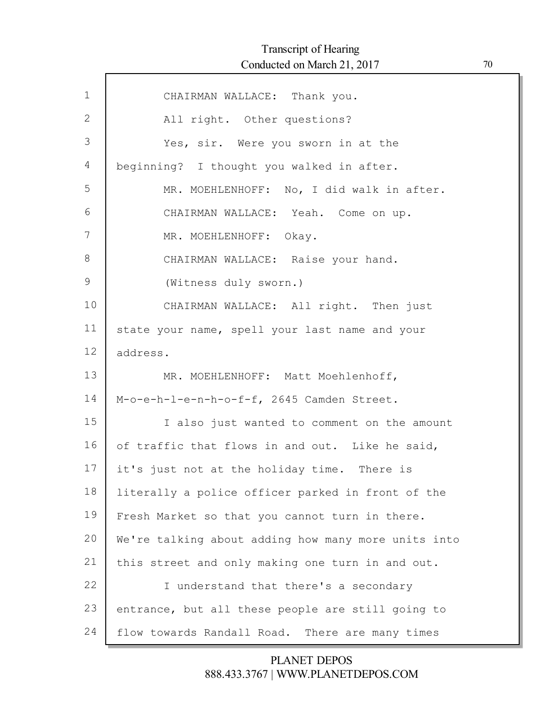$\mathsf{l}$ 

| $\mathbf{1}$  | CHAIRMAN WALLACE: Thank you.                        |
|---------------|-----------------------------------------------------|
| 2             | All right. Other questions?                         |
| 3             | Yes, sir. Were you sworn in at the                  |
| 4             | beginning? I thought you walked in after.           |
| 5             | MR. MOEHLENHOFF: No, I did walk in after.           |
| 6             | CHAIRMAN WALLACE: Yeah. Come on up.                 |
| 7             | MR. MOEHLENHOFF: Okay.                              |
| 8             | CHAIRMAN WALLACE: Raise your hand.                  |
| $\mathcal{G}$ | (Witness duly sworn.)                               |
| 10            | CHAIRMAN WALLACE: All right. Then just              |
| 11            | state your name, spell your last name and your      |
| 12            | address.                                            |
| 13            | MR. MOEHLENHOFF: Matt Moehlenhoff,                  |
| 14            | M-o-e-h-l-e-n-h-o-f-f, 2645 Camden Street.          |
| 15            | I also just wanted to comment on the amount         |
| 16            | of traffic that flows in and out. Like he said,     |
| 17            | it's just not at the holiday time. There is         |
| 18            | literally a police officer parked in front of the   |
| 19            | Fresh Market so that you cannot turn in there.      |
| 20            | We're talking about adding how many more units into |
| 21            | this street and only making one turn in and out.    |
| 22            | I understand that there's a secondary               |
| 23            | entrance, but all these people are still going to   |
| 24            | flow towards Randall Road. There are many times     |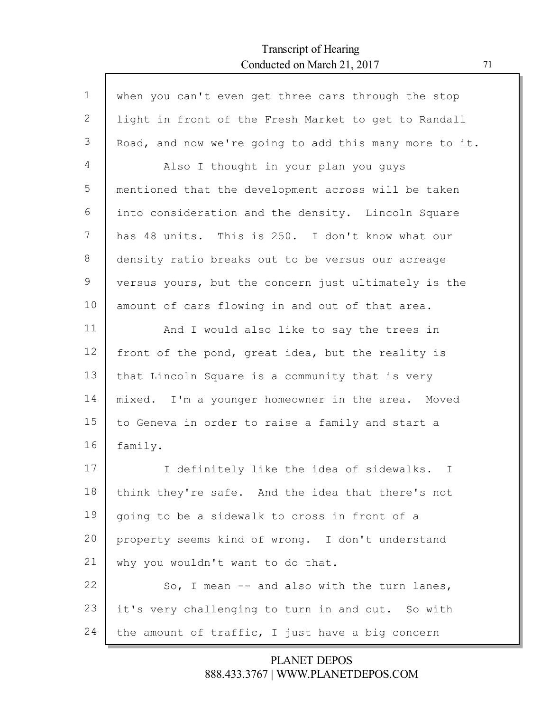Г

| $\mathbf 1$ | when you can't even get three cars through the stop    |
|-------------|--------------------------------------------------------|
| 2           | light in front of the Fresh Market to get to Randall   |
| 3           | Road, and now we're going to add this many more to it. |
| 4           | Also I thought in your plan you guys                   |
| 5           | mentioned that the development across will be taken    |
| 6           | into consideration and the density. Lincoln Square     |
| 7           | has 48 units. This is 250. I don't know what our       |
| 8           | density ratio breaks out to be versus our acreage      |
| 9           | versus yours, but the concern just ultimately is the   |
| 10          | amount of cars flowing in and out of that area.        |
| 11          | And I would also like to say the trees in              |
| 12          | front of the pond, great idea, but the reality is      |
| 13          | that Lincoln Square is a community that is very        |
| 14          | mixed. I'm a younger homeowner in the area. Moved      |
| 15          | to Geneva in order to raise a family and start a       |
| 16          | family.                                                |
| 17          | I definitely like the idea of sidewalks. I             |
| 18          | think they're safe. And the idea that there's not      |
| 19          | going to be a sidewalk to cross in front of a          |
| 20          | property seems kind of wrong. I don't understand       |
| 21          | why you wouldn't want to do that.                      |
| 22          | So, I mean $-$ and also with the turn lanes,           |
| 23          | it's very challenging to turn in and out. So with      |
| 24          | the amount of traffic, I just have a big concern       |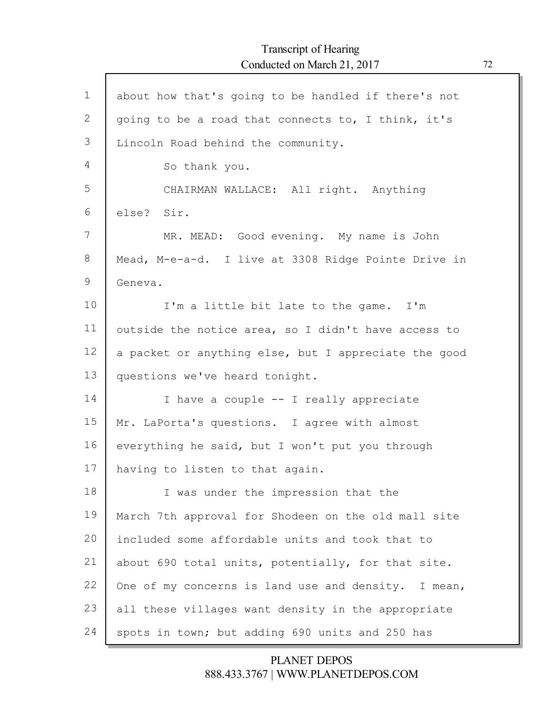| $\mathbf{1}$ | about how that's going to be handled if there's not  |
|--------------|------------------------------------------------------|
| $\mathbf{2}$ | going to be a road that connects to, I think, it's   |
| 3            | Lincoln Road behind the community.                   |
| 4            | So thank you.                                        |
| 5            | CHAIRMAN WALLACE: All right. Anything                |
| 6            | else? Sir.                                           |
| 7            | MR. MEAD: Good evening. My name is John              |
| 8            | Mead, M-e-a-d. I live at 3308 Ridge Pointe Drive in  |
| 9            | Geneva.                                              |
| 10           | I'm a little bit late to the game. I'm               |
| 11           | outside the notice area, so I didn't have access to  |
| 12           | a packet or anything else, but I appreciate the good |
| 13           | questions we've heard tonight.                       |
| 14           | I have a couple -- I really appreciate               |
| 15           | Mr. LaPorta's questions. I agree with almost         |
| 16           | everything he said, but I won't put you through      |
| 17           | having to listen to that again.                      |
| 18           | I was under the impression that the                  |
| 19           | March 7th approval for Shodeen on the old mall site  |
| 20           | included some affordable units and took that to      |
| 21           | about 690 total units, potentially, for that site.   |
| 22           | One of my concerns is land use and density. I mean,  |
| 23           | all these villages want density in the appropriate   |
| 24           | spots in town; but adding 690 units and 250 has      |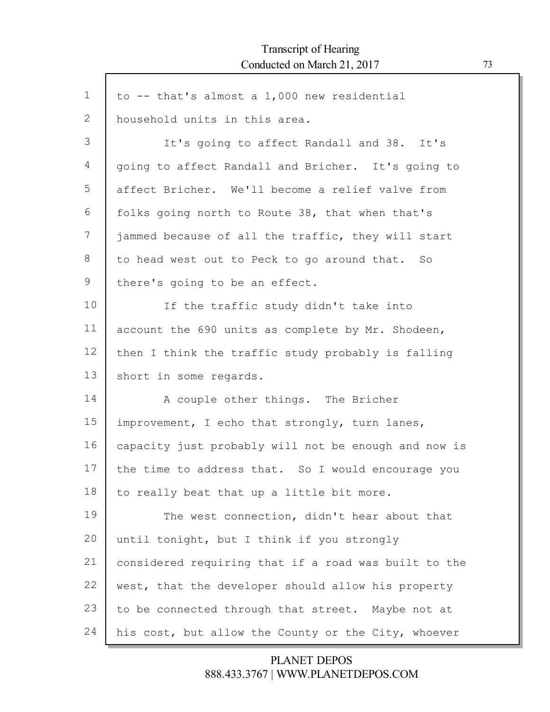| $\mathbf 1$  | to -- that's almost a 1,000 new residential          |
|--------------|------------------------------------------------------|
| $\mathbf{2}$ | household units in this area.                        |
| 3            | It's going to affect Randall and 38. It's            |
| 4            | going to affect Randall and Bricher. It's going to   |
| 5            | affect Bricher. We'll become a relief valve from     |
| 6            | folks going north to Route 38, that when that's      |
| 7            | jammed because of all the traffic, they will start   |
| $8\,$        | to head west out to Peck to go around that. So       |
| 9            | there's going to be an effect.                       |
| 10           | If the traffic study didn't take into                |
| 11           | account the 690 units as complete by Mr. Shodeen,    |
| 12           | then I think the traffic study probably is falling   |
| 13           | short in some regards.                               |
| 14           | A couple other things. The Bricher                   |
| 15           | improvement, I echo that strongly, turn lanes,       |
| 16           | capacity just probably will not be enough and now is |
| 17           | the time to address that. So I would encourage you   |
| 18           | to really beat that up a little bit more.            |
| 19           | The west connection, didn't hear about that          |
| 20           | until tonight, but I think if you strongly           |
| 21           | considered requiring that if a road was built to the |
| 22           | west, that the developer should allow his property   |
| 23           | to be connected through that street. Maybe not at    |
| 24           | his cost, but allow the County or the City, whoever  |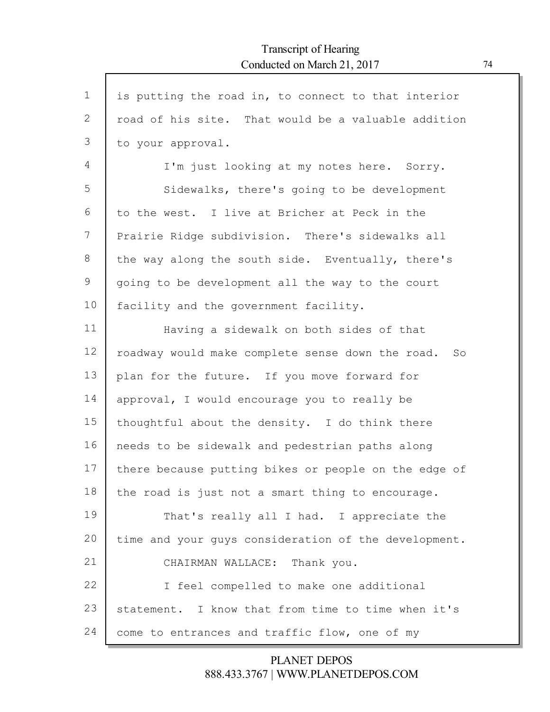$\mathsf{l}$ 

| $\mathbf 1$     | is putting the road in, to connect to that interior    |
|-----------------|--------------------------------------------------------|
| $\mathbf{2}$    | road of his site. That would be a valuable addition    |
| 3               | to your approval.                                      |
| 4               | I'm just looking at my notes here. Sorry.              |
| 5               | Sidewalks, there's going to be development             |
| 6               | to the west. I live at Bricher at Peck in the          |
| 7               | Prairie Ridge subdivision. There's sidewalks all       |
| $8\,$           | the way along the south side. Eventually, there's      |
| $\mathcal{G}$   | going to be development all the way to the court       |
| 10              | facility and the government facility.                  |
| 11              | Having a sidewalk on both sides of that                |
| 12 <sup>°</sup> | roadway would make complete sense down the road.<br>SO |
| 13              | plan for the future. If you move forward for           |
| 14              | approval, I would encourage you to really be           |
| 15              | thoughtful about the density. I do think there         |
| 16              | needs to be sidewalk and pedestrian paths along        |
| 17              | there because putting bikes or people on the edge of   |
| 18              | the road is just not a smart thing to encourage.       |
| 19              | That's really all I had. I appreciate the              |
| 20              | time and your guys consideration of the development.   |
| 21              | CHAIRMAN WALLACE: Thank you.                           |
| 22              | I feel compelled to make one additional                |
| 23              | statement. I know that from time to time when it's     |
| 24              | come to entrances and traffic flow, one of my          |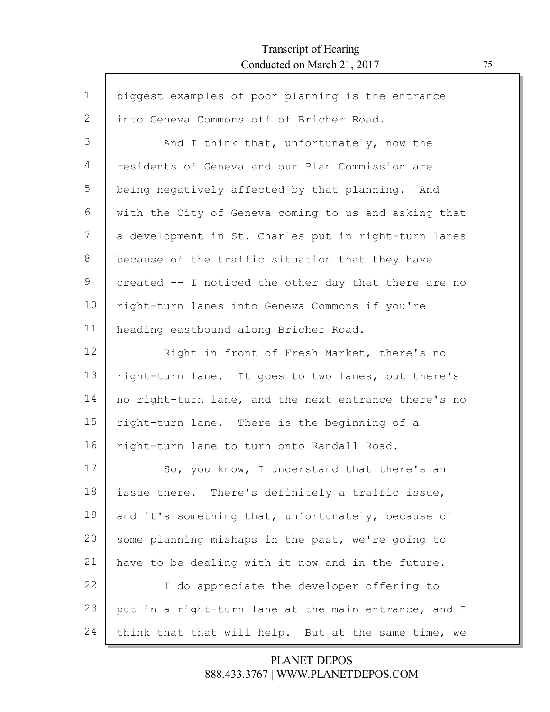Г

| $\mathbf{1}$ | biggest examples of poor planning is the entrance    |
|--------------|------------------------------------------------------|
| 2            | into Geneva Commons off of Bricher Road.             |
| 3            | And I think that, unfortunately, now the             |
| 4            | residents of Geneva and our Plan Commission are      |
| 5            | being negatively affected by that planning. And      |
| 6            | with the City of Geneva coming to us and asking that |
| 7            | a development in St. Charles put in right-turn lanes |
| 8            | because of the traffic situation that they have      |
| 9            | created -- I noticed the other day that there are no |
| 10           | right-turn lanes into Geneva Commons if you're       |
| 11           | heading eastbound along Bricher Road.                |
| 12           | Right in front of Fresh Market, there's no           |
| 13           | right-turn lane. It goes to two lanes, but there's   |
| 14           | no right-turn lane, and the next entrance there's no |
| 15           | right-turn lane. There is the beginning of a         |
| 16           | right-turn lane to turn onto Randall Road.           |
| 17           | So, you know, I understand that there's an           |
| 18           | issue there. There's definitely a traffic issue,     |
| 19           | and it's something that, unfortunately, because of   |
| 20           | some planning mishaps in the past, we're going to    |
| 21           | have to be dealing with it now and in the future.    |
| 22           | I do appreciate the developer offering to            |
| 23           | put in a right-turn lane at the main entrance, and I |
| 24           | think that that will help. But at the same time, we  |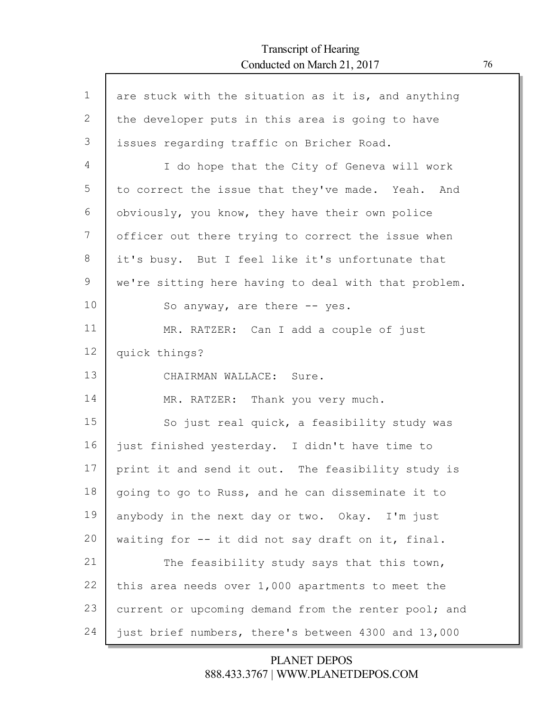Г

| $\mathbf{1}$ | are stuck with the situation as it is, and anything  |
|--------------|------------------------------------------------------|
| 2            | the developer puts in this area is going to have     |
| 3            | issues regarding traffic on Bricher Road.            |
| 4            | I do hope that the City of Geneva will work          |
| 5            | to correct the issue that they've made. Yeah. And    |
| 6            | obviously, you know, they have their own police      |
| 7            | officer out there trying to correct the issue when   |
| 8            | it's busy. But I feel like it's unfortunate that     |
| 9            | we're sitting here having to deal with that problem. |
| 10           | So anyway, are there -- yes.                         |
| 11           | MR. RATZER: Can I add a couple of just               |
| 12           | quick things?                                        |
| 13           | CHAIRMAN WALLACE: Sure.                              |
| 14           | MR. RATZER: Thank you very much.                     |
| 15           | So just real quick, a feasibility study was          |
| 16           | just finished yesterday. I didn't have time to       |
| 17           | print it and send it out. The feasibility study is   |
| 18           | going to go to Russ, and he can disseminate it to    |
| 19           | anybody in the next day or two. Okay. I'm just       |
| 20           | waiting for -- it did not say draft on it, final.    |
| 21           | The feasibility study says that this town,           |
| 22           | this area needs over 1,000 apartments to meet the    |
| 23           | current or upcoming demand from the renter pool; and |
| 24           | just brief numbers, there's between 4300 and 13,000  |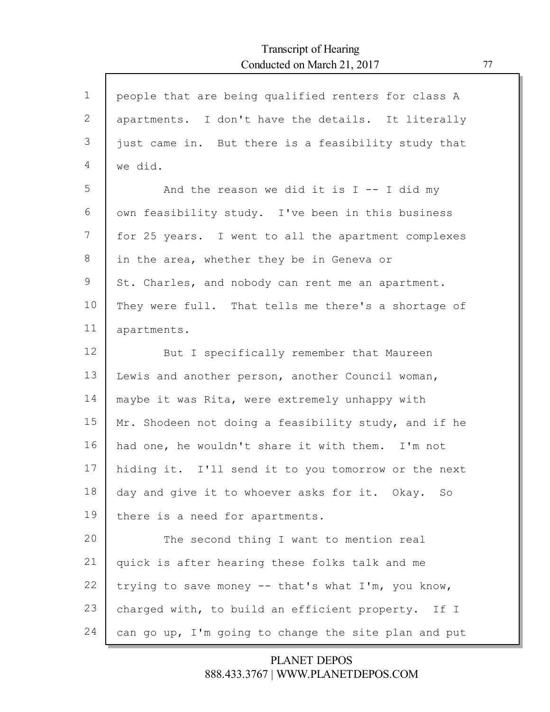| $\mathbf 1$ | people that are being qualified renters for class A  |
|-------------|------------------------------------------------------|
| 2           | apartments. I don't have the details. It literally   |
| 3           | just came in. But there is a feasibility study that  |
| 4           | we did.                                              |
| 5           | And the reason we did it is $I$ -- I did my          |
| 6           | own feasibility study. I've been in this business    |
| 7           | for 25 years. I went to all the apartment complexes  |
| 8           | in the area, whether they be in Geneva or            |
| 9           | St. Charles, and nobody can rent me an apartment.    |
| 10          | They were full. That tells me there's a shortage of  |
| 11          | apartments.                                          |
| 12          | But I specifically remember that Maureen             |
| 13          | Lewis and another person, another Council woman,     |
| 14          | maybe it was Rita, were extremely unhappy with       |
| 15          | Mr. Shodeen not doing a feasibility study, and if he |
| 16          | had one, he wouldn't share it with them. I'm not     |
| 17          | hiding it. I'll send it to you tomorrow or the next  |
| 18          | day and give it to whoever asks for it. Okay. So     |
| 19          | there is a need for apartments.                      |
| 20          | The second thing I want to mention real              |
| 21          | quick is after hearing these folks talk and me       |
| 22          | trying to save money -- that's what I'm, you know,   |
| 23          | charged with, to build an efficient property. If I   |
| 24          | can go up, I'm going to change the site plan and put |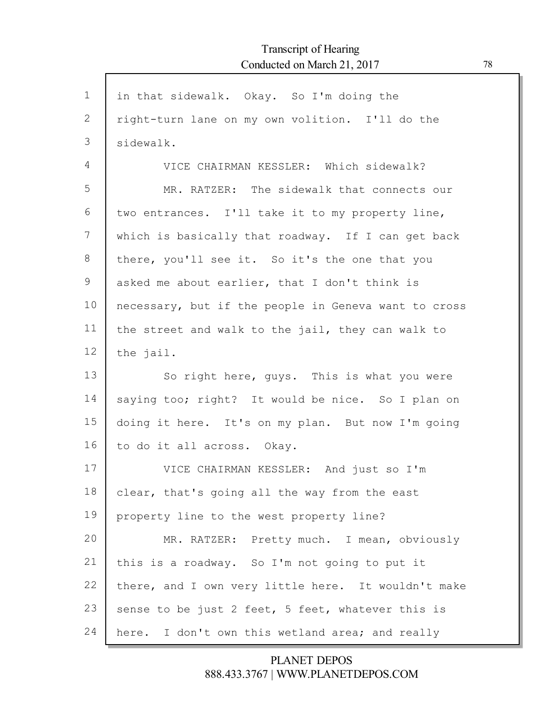| $\mathbf 1$ | in that sidewalk. Okay. So I'm doing the             |
|-------------|------------------------------------------------------|
| 2           | right-turn lane on my own volition. I'll do the      |
| 3           | sidewalk.                                            |
| 4           | VICE CHAIRMAN KESSLER: Which sidewalk?               |
| 5           | MR. RATZER: The sidewalk that connects our           |
| 6           | two entrances. I'll take it to my property line,     |
| 7           | which is basically that roadway. If I can get back   |
| $8\,$       | there, you'll see it. So it's the one that you       |
| 9           | asked me about earlier, that I don't think is        |
| 10          | necessary, but if the people in Geneva want to cross |
| 11          | the street and walk to the jail, they can walk to    |
| 12          | the jail.                                            |
| 13          | So right here, guys. This is what you were           |
| 14          | saying too; right? It would be nice. So I plan on    |
| 15          | doing it here. It's on my plan. But now I'm going    |
| 16          | to do it all across. Okay.                           |
| 17          | VICE CHAIRMAN KESSLER: And just so I'm               |
| 18          | clear, that's going all the way from the east        |
| 19          | property line to the west property line?             |
| 20          | MR. RATZER: Pretty much. I mean, obviously           |
| 21          | this is a roadway. So I'm not going to put it        |
| 22          | there, and I own very little here. It wouldn't make  |
| 23          | sense to be just 2 feet, 5 feet, whatever this is    |
| 24          | here. I don't own this wetland area; and really      |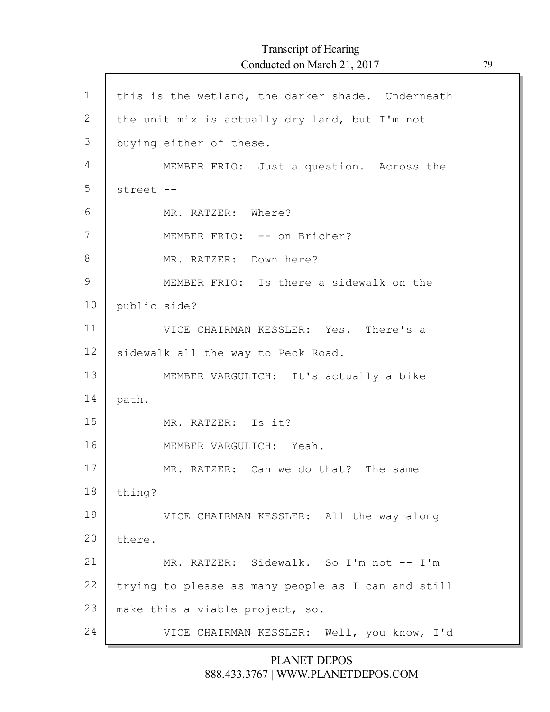1 2 3 4 5 6 7 8 9 10 11 12 13 14 15 16 17 18 19 20 21 22 23 24 this is the wetland, the darker shade. Underneath the unit mix is actually dry land, but I'm not buying either of these. MEMBER FRIO: Just a question. Across the street -- MR. RATZER: Where? MEMBER FRIO: -- on Bricher? MR. RATZER: Down here? MEMBER FRIO: Is there a sidewalk on the public side? VICE CHAIRMAN KESSLER: Yes. There's a sidewalk all the way to Peck Road. MEMBER VARGULICH: It's actually a bike path. MR. RATZER: Is it? MEMBER VARGULICH: Yeah. MR. RATZER: Can we do that? The same thing? VICE CHAIRMAN KESSLER: All the way along there. MR. RATZER: Sidewalk. So I'm not -- I'm trying to please as many people as I can and still make this a viable project, so. VICE CHAIRMAN KESSLER: Well, you know, I'd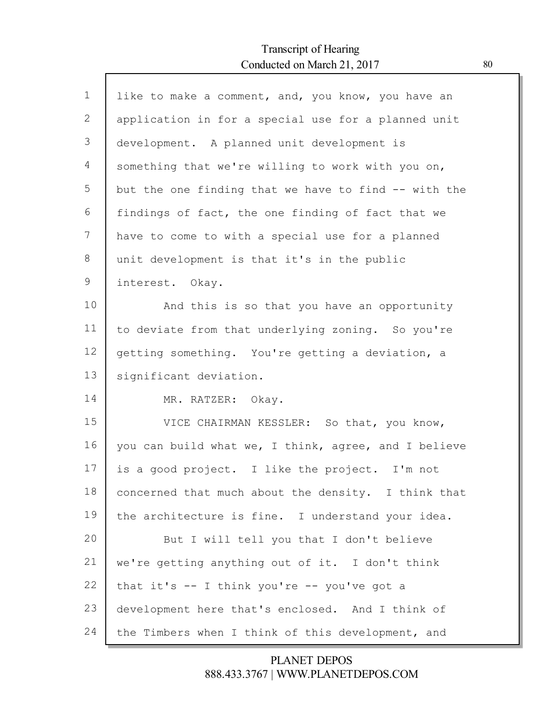Г

| $\mathbf{1}$ | like to make a comment, and, you know, you have an   |
|--------------|------------------------------------------------------|
| $\mathbf{2}$ | application in for a special use for a planned unit  |
| 3            | development. A planned unit development is           |
| 4            | something that we're willing to work with you on,    |
| 5            | but the one finding that we have to find -- with the |
| 6            | findings of fact, the one finding of fact that we    |
| 7            | have to come to with a special use for a planned     |
| 8            | unit development is that it's in the public          |
| 9            | interest. Okay.                                      |
| 10           | And this is so that you have an opportunity          |
| 11           | to deviate from that underlying zoning. So you're    |
| 12           | getting something. You're getting a deviation, a     |
| 13           | significant deviation.                               |
| 14           | MR. RATZER: Okay.                                    |
| 15           | VICE CHAIRMAN KESSLER: So that, you know,            |
| 16           | you can build what we, I think, agree, and I believe |
| 17           | is a good project. I like the project. I'm not       |
| 18           | concerned that much about the density. I think that  |
| 19           | the architecture is fine. I understand your idea.    |
| 20           | But I will tell you that I don't believe             |
| 21           | we're getting anything out of it. I don't think      |
| 22           | that it's -- I think you're -- you've got a          |
| 23           | development here that's enclosed. And I think of     |
| 24           | the Timbers when I think of this development, and    |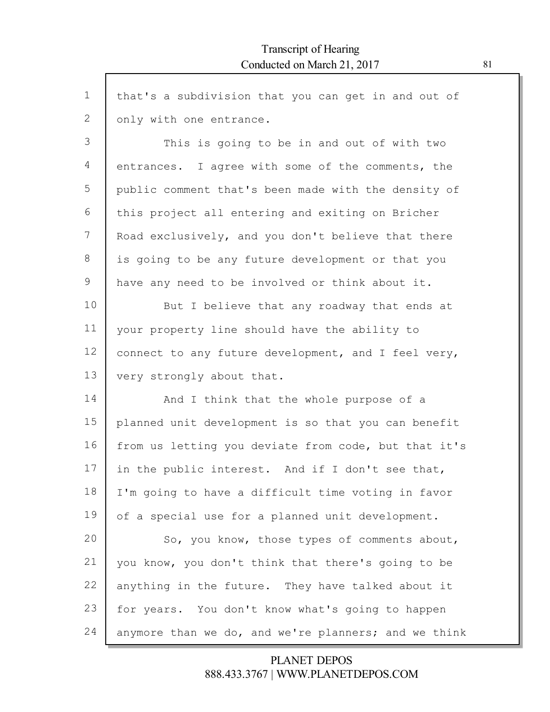| $\mathbf 1$ | that's a subdivision that you can get in and out of  |
|-------------|------------------------------------------------------|
| 2           | only with one entrance.                              |
| 3           | This is going to be in and out of with two           |
| 4           | entrances. I agree with some of the comments, the    |
| 5           | public comment that's been made with the density of  |
| 6           | this project all entering and exiting on Bricher     |
| 7           | Road exclusively, and you don't believe that there   |
| 8           | is going to be any future development or that you    |
| 9           | have any need to be involved or think about it.      |
| 10          | But I believe that any roadway that ends at          |
| 11          | your property line should have the ability to        |
| 12          | connect to any future development, and I feel very,  |
| 13          | very strongly about that.                            |
| 14          | And I think that the whole purpose of a              |
| 15          | planned unit development is so that you can benefit  |
| 16          | from us letting you deviate from code, but that it's |
| 17          | in the public interest. And if I don't see that,     |
| 18          | I'm going to have a difficult time voting in favor   |
| 19          | of a special use for a planned unit development.     |
| 20          | So, you know, those types of comments about,         |
| 21          | you know, you don't think that there's going to be   |
| 22          | anything in the future. They have talked about it    |
| 23          | for years. You don't know what's going to happen     |
| 24          | anymore than we do, and we're planners; and we think |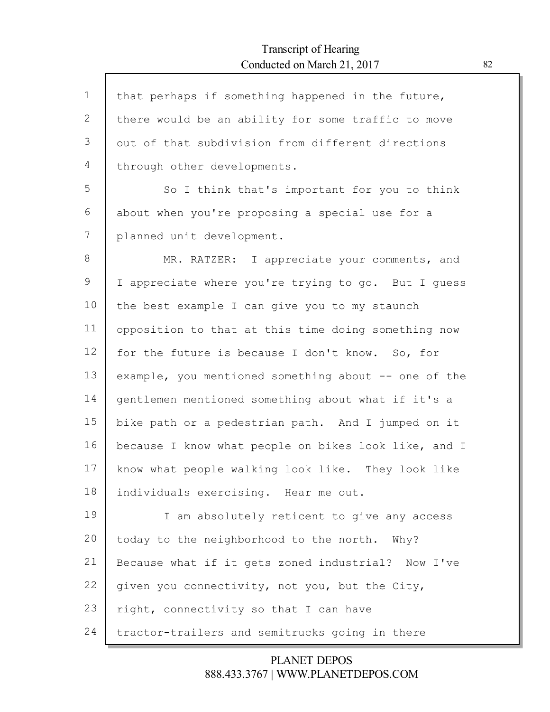Г

| $\mathbf{1}$ | that perhaps if something happened in the future,    |
|--------------|------------------------------------------------------|
| 2            | there would be an ability for some traffic to move   |
| 3            | out of that subdivision from different directions    |
| 4            | through other developments.                          |
| 5            | So I think that's important for you to think         |
| 6            | about when you're proposing a special use for a      |
| 7            | planned unit development.                            |
| 8            | MR. RATZER: I appreciate your comments, and          |
| $\mathsf 9$  | I appreciate where you're trying to go. But I guess  |
| 10           | the best example I can give you to my staunch        |
| 11           | opposition to that at this time doing something now  |
| 12           | for the future is because I don't know. So, for      |
| 13           | example, you mentioned something about -- one of the |
| 14           | gentlemen mentioned something about what if it's a   |
| 15           | bike path or a pedestrian path. And I jumped on it   |
| 16           | because I know what people on bikes look like, and I |
| 17           | know what people walking look like. They look like   |
| 18           | individuals exercising. Hear me out.                 |
| 19           | I am absolutely reticent to give any access          |
| 20           | today to the neighborhood to the north. Why?         |
| 21           | Because what if it gets zoned industrial? Now I've   |
| 22           | given you connectivity, not you, but the City,       |
| 23           | right, connectivity so that I can have               |
| 24           | tractor-trailers and semitrucks going in there       |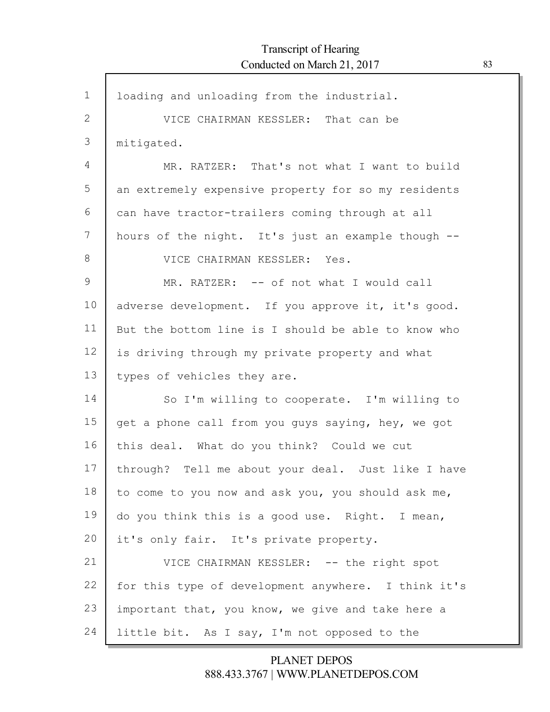| $\mathbf 1$ | loading and unloading from the industrial.          |
|-------------|-----------------------------------------------------|
| 2           | VICE CHAIRMAN KESSLER: That can be                  |
| 3           | mitigated.                                          |
| 4           | MR. RATZER: That's not what I want to build         |
| 5           | an extremely expensive property for so my residents |
| 6           | can have tractor-trailers coming through at all     |
| 7           | hours of the night. It's just an example though --  |
| 8           | VICE CHAIRMAN KESSLER: Yes.                         |
| 9           | MR. RATZER: -- of not what I would call             |
| 10          | adverse development. If you approve it, it's good.  |
| 11          | But the bottom line is I should be able to know who |
| 12          | is driving through my private property and what     |
| 13          | types of vehicles they are.                         |
| 14          | So I'm willing to cooperate. I'm willing to         |
| 15          | get a phone call from you guys saying, hey, we got  |
| 16          | this deal. What do you think? Could we cut          |
| 17          | through? Tell me about your deal. Just like I have  |
| 18          | to come to you now and ask you, you should ask me,  |
| 19          | do you think this is a good use. Right. I mean,     |
| 20          | it's only fair. It's private property.              |
| 21          | VICE CHAIRMAN KESSLER: -- the right spot            |
| 22          | for this type of development anywhere. I think it's |
| 23          | important that, you know, we give and take here a   |
| 24          | little bit. As I say, I'm not opposed to the        |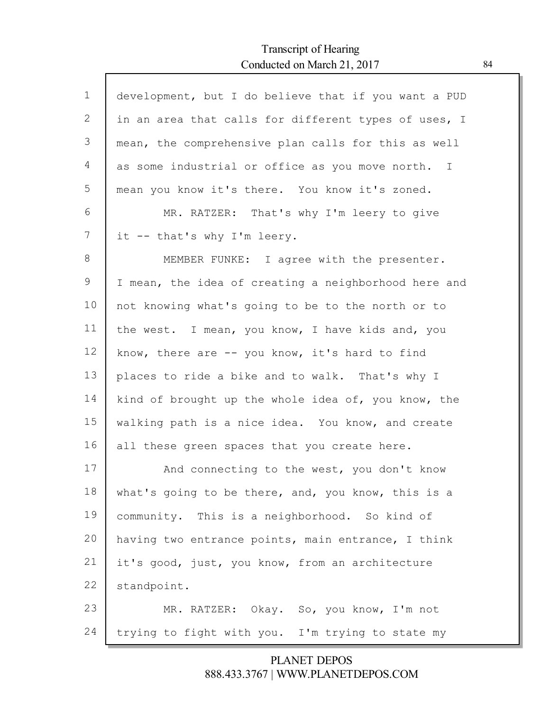Г

| $\mathbf 1$ | development, but I do believe that if you want a PUD |
|-------------|------------------------------------------------------|
| 2           | in an area that calls for different types of uses, I |
| 3           | mean, the comprehensive plan calls for this as well  |
| 4           | as some industrial or office as you move north. I    |
| 5           | mean you know it's there. You know it's zoned.       |
| 6           | MR. RATZER: That's why I'm leery to give             |
| 7           | it -- that's why I'm leery.                          |
| 8           | MEMBER FUNKE: I agree with the presenter.            |
| 9           | I mean, the idea of creating a neighborhood here and |
| 10          | not knowing what's going to be to the north or to    |
| 11          | the west. I mean, you know, I have kids and, you     |
| 12          | know, there are -- you know, it's hard to find       |
| 13          | places to ride a bike and to walk. That's why I      |
| 14          | kind of brought up the whole idea of, you know, the  |
| 15          | walking path is a nice idea. You know, and create    |
| 16          | all these green spaces that you create here.         |
| 17          | And connecting to the west, you don't know           |
| 18          | what's going to be there, and, you know, this is a   |
| 19          | community. This is a neighborhood. So kind of        |
| 20          | having two entrance points, main entrance, I think   |
| 21          | it's good, just, you know, from an architecture      |
| 22          | standpoint.                                          |
| 23          | MR. RATZER: Okay. So, you know, I'm not              |
| 24          | trying to fight with you. I'm trying to state my     |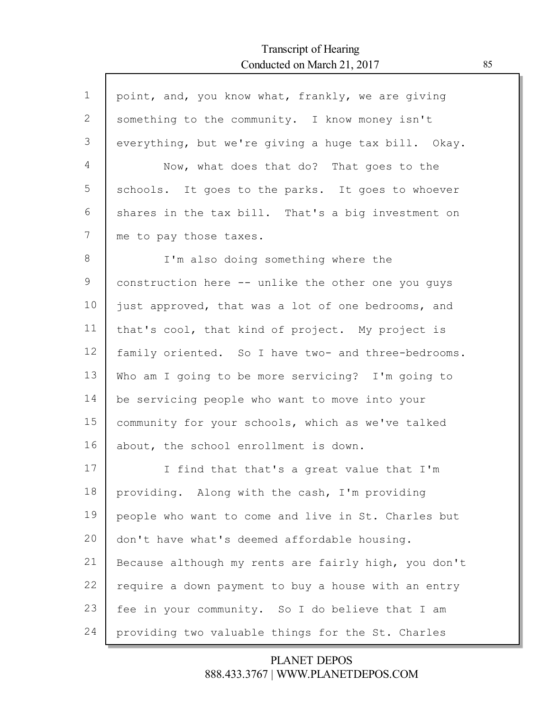ľ

| $\mathbf 1$ | point, and, you know what, frankly, we are giving    |
|-------------|------------------------------------------------------|
| 2           | something to the community. I know money isn't       |
| 3           | everything, but we're giving a huge tax bill. Okay.  |
| 4           | Now, what does that do? That goes to the             |
| 5           | schools. It goes to the parks. It goes to whoever    |
| 6           | shares in the tax bill. That's a big investment on   |
| 7           | me to pay those taxes.                               |
| 8           | I'm also doing something where the                   |
| 9           | construction here -- unlike the other one you guys   |
| 10          | just approved, that was a lot of one bedrooms, and   |
| 11          | that's cool, that kind of project. My project is     |
| 12          | family oriented. So I have two- and three-bedrooms.  |
| 13          | Who am I going to be more servicing? I'm going to    |
| 14          | be servicing people who want to move into your       |
| 15          | community for your schools, which as we've talked    |
| 16          | about, the school enrollment is down.                |
| 17          | I find that that's a great value that I'm            |
| 18          | providing. Along with the cash, I'm providing        |
| 19          | people who want to come and live in St. Charles but  |
| 20          | don't have what's deemed affordable housing.         |
| 21          | Because although my rents are fairly high, you don't |
| 22          | require a down payment to buy a house with an entry  |
| 23          | fee in your community. So I do believe that I am     |
| 24          | providing two valuable things for the St. Charles    |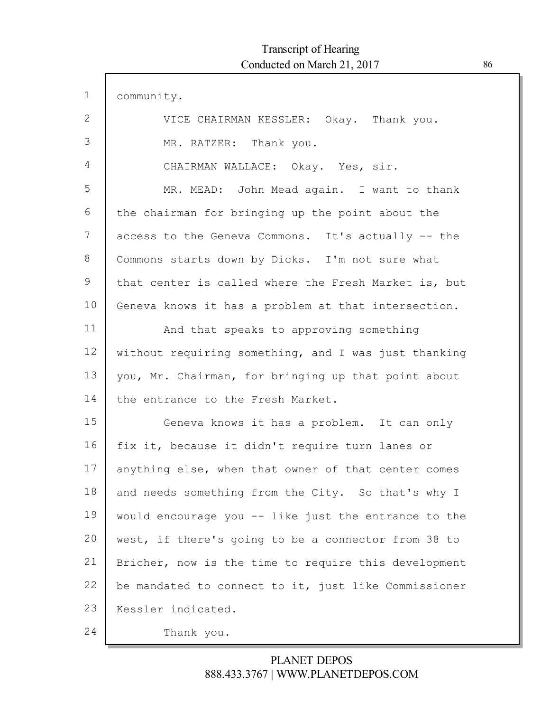| $\mathbf 1$ | community.                                           |
|-------------|------------------------------------------------------|
| 2           | VICE CHAIRMAN KESSLER: Okay. Thank you.              |
| 3           | MR. RATZER: Thank you.                               |
| 4           | CHAIRMAN WALLACE: Okay. Yes, sir.                    |
| 5           | MR. MEAD: John Mead again. I want to thank           |
| 6           | the chairman for bringing up the point about the     |
| 7           | access to the Geneva Commons. It's actually -- the   |
| 8           | Commons starts down by Dicks. I'm not sure what      |
| 9           | that center is called where the Fresh Market is, but |
| 10          | Geneva knows it has a problem at that intersection.  |
| 11          | And that speaks to approving something               |
| 12          | without requiring something, and I was just thanking |
| 13          | you, Mr. Chairman, for bringing up that point about  |
| 14          | the entrance to the Fresh Market.                    |
| 15          | Geneva knows it has a problem. It can only           |
| 16          | fix it, because it didn't require turn lanes or      |
| 17          | anything else, when that owner of that center comes  |
| 18          | and needs something from the City. So that's why I   |
| 19          | would encourage you -- like just the entrance to the |
| 20          | west, if there's going to be a connector from 38 to  |
| 21          | Bricher, now is the time to require this development |
| 22          | be mandated to connect to it, just like Commissioner |
| 23          | Kessler indicated.                                   |
| 24          | Thank you.                                           |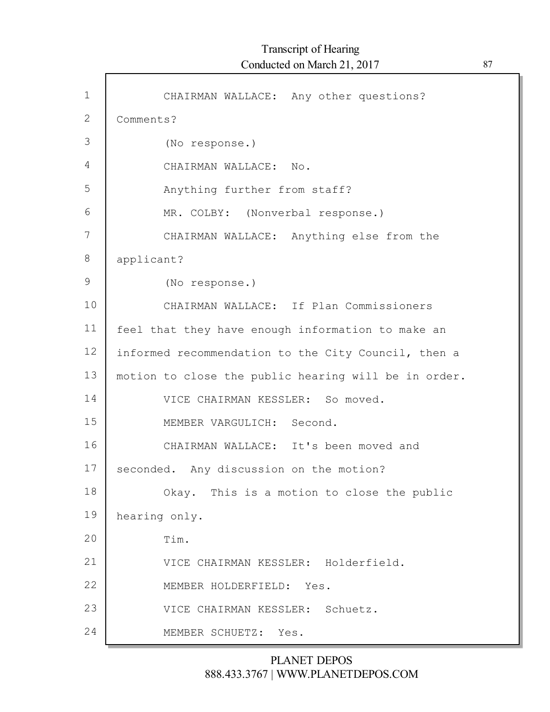| $\mathbf 1$  | CHAIRMAN WALLACE: Any other questions?               |
|--------------|------------------------------------------------------|
| $\mathbf{2}$ | Comments?                                            |
| 3            | (No response.)                                       |
| 4            | CHAIRMAN WALLACE: No.                                |
| 5            | Anything further from staff?                         |
| 6            | MR. COLBY: (Nonverbal response.)                     |
| 7            | CHAIRMAN WALLACE: Anything else from the             |
| 8            | applicant?                                           |
| 9            | (No response.)                                       |
| 10           | CHAIRMAN WALLACE: If Plan Commissioners              |
| 11           | feel that they have enough information to make an    |
| 12           | informed recommendation to the City Council, then a  |
| 13           | motion to close the public hearing will be in order. |
| 14           | VICE CHAIRMAN KESSLER: So moved.                     |
| 15           | MEMBER VARGULICH: Second.                            |
| 16           | CHAIRMAN WALLACE: It's been moved and                |
| 17           | seconded. Any discussion on the motion?              |
| 18           | Okay. This is a motion to close the public           |
| 19           | hearing only.                                        |
| 20           | Tim.                                                 |
| 21           | VICE CHAIRMAN KESSLER: Holderfield.                  |
| 22           | MEMBER HOLDERFIELD: Yes.                             |
| 23           | VICE CHAIRMAN KESSLER: Schuetz.                      |
| 24           | MEMBER SCHUETZ: Yes.                                 |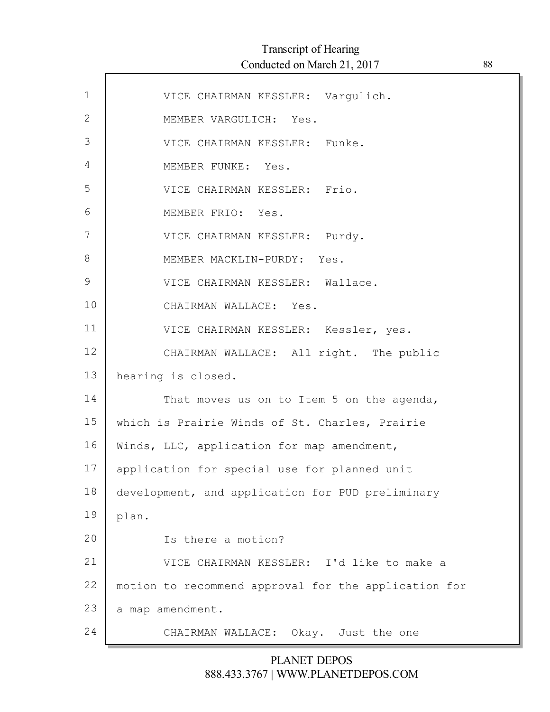| $\mathbf{1}$ | VICE CHAIRMAN KESSLER: Vargulich.                    |
|--------------|------------------------------------------------------|
| $\mathbf{2}$ | MEMBER VARGULICH: Yes.                               |
| 3            | VICE CHAIRMAN KESSLER: Funke.                        |
| 4            | MEMBER FUNKE: Yes.                                   |
| 5            | VICE CHAIRMAN KESSLER: Frio.                         |
| 6            | MEMBER FRIO: Yes.                                    |
| 7            | VICE CHAIRMAN KESSLER: Purdy.                        |
| 8            | MEMBER MACKLIN-PURDY: Yes.                           |
| 9            | VICE CHAIRMAN KESSLER: Wallace.                      |
| 10           | CHAIRMAN WALLACE: Yes.                               |
| 11           | VICE CHAIRMAN KESSLER: Kessler, yes.                 |
| 12           | CHAIRMAN WALLACE: All right. The public              |
| 13           | hearing is closed.                                   |
| 14           | That moves us on to Item 5 on the agenda,            |
| 15           | which is Prairie Winds of St. Charles, Prairie       |
| 16           | Winds, LLC, application for map amendment,           |
| 17           | application for special use for planned unit         |
| 18           | development, and application for PUD preliminary     |
| 19           | plan.                                                |
| 20           | Is there a motion?                                   |
| 21           | VICE CHAIRMAN KESSLER: I'd like to make a            |
| 22           | motion to recommend approval for the application for |
| 23           | a map amendment.                                     |
| 24           | CHAIRMAN WALLACE: Okay. Just the one                 |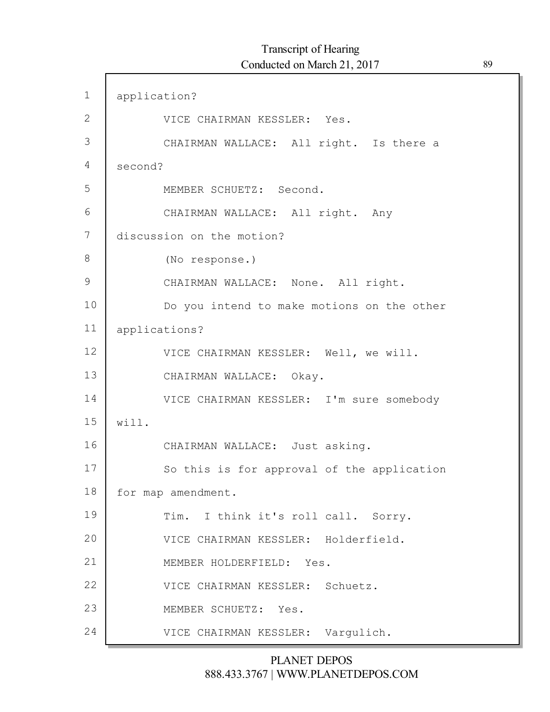$\Gamma$ 

| $\mathbf 1$   | application?                               |
|---------------|--------------------------------------------|
| $\mathbf{2}$  | VICE CHAIRMAN KESSLER: Yes.                |
| 3             | CHAIRMAN WALLACE: All right. Is there a    |
| 4             | second?                                    |
| 5             | MEMBER SCHUETZ: Second.                    |
| 6             | CHAIRMAN WALLACE: All right. Any           |
| 7             | discussion on the motion?                  |
| 8             | (No response.)                             |
| $\mathcal{G}$ | CHAIRMAN WALLACE: None. All right.         |
| 10            | Do you intend to make motions on the other |
| 11            | applications?                              |
| 12            | VICE CHAIRMAN KESSLER: Well, we will.      |
| 13            | CHAIRMAN WALLACE: Okay.                    |
| 14            | VICE CHAIRMAN KESSLER: I'm sure somebody   |
| 15            | will.                                      |
| 16            | CHAIRMAN WALLACE: Just asking.             |
| 17            | So this is for approval of the application |
| 18            | for map amendment.                         |
| 19            | Tim. I think it's roll call. Sorry.        |
| 20            | VICE CHAIRMAN KESSLER: Holderfield.        |
| 21            | MEMBER HOLDERFIELD: Yes.                   |
| 22            | VICE CHAIRMAN KESSLER: Schuetz.            |
| 23            | MEMBER SCHUETZ: Yes.                       |
| 24            | VICE CHAIRMAN KESSLER: Vargulich.          |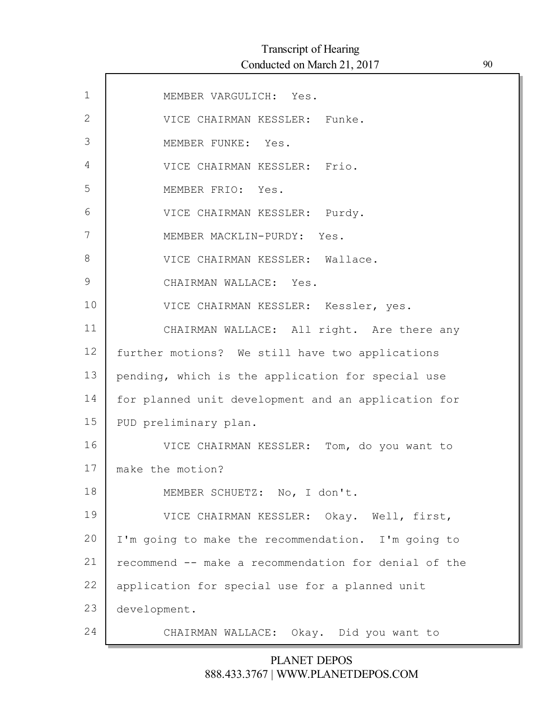| $\mathbf 1$ | MEMBER VARGULICH: Yes.                               |
|-------------|------------------------------------------------------|
| 2           | VICE CHAIRMAN KESSLER: Funke.                        |
| 3           | MEMBER FUNKE: Yes.                                   |
| 4           | VICE CHAIRMAN KESSLER: Frio.                         |
| 5           | MEMBER FRIO: Yes.                                    |
| 6           | VICE CHAIRMAN KESSLER: Purdy.                        |
| 7           | MEMBER MACKLIN-PURDY: Yes.                           |
| 8           | VICE CHAIRMAN KESSLER: Wallace.                      |
| 9           | CHAIRMAN WALLACE: Yes.                               |
| 10          | VICE CHAIRMAN KESSLER: Kessler, yes.                 |
| 11          | CHAIRMAN WALLACE: All right. Are there any           |
| 12          | further motions? We still have two applications      |
| 13          | pending, which is the application for special use    |
| 14          | for planned unit development and an application for  |
| 15          | PUD preliminary plan.                                |
| 16          | VICE CHAIRMAN KESSLER: Tom, do you want to           |
| 17          | make the motion?                                     |
| 18          | MEMBER SCHUETZ: No, I don't.                         |
| 19          | VICE CHAIRMAN KESSLER: Okay. Well, first,            |
| 20          | I'm going to make the recommendation. I'm going to   |
| 21          | recommend -- make a recommendation for denial of the |
| 22          | application for special use for a planned unit       |
| 23          | development.                                         |
| 24          | CHAIRMAN WALLACE: Okay. Did you want to              |
|             |                                                      |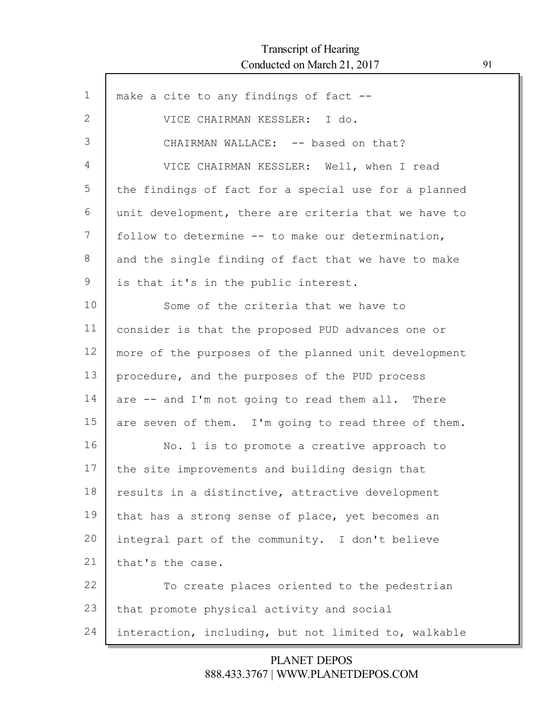Г

| $\mathbf 1$    | make a cite to any findings of fact --               |
|----------------|------------------------------------------------------|
| $\overline{2}$ | VICE CHAIRMAN KESSLER: I do.                         |
| 3              | CHAIRMAN WALLACE: -- based on that?                  |
| 4              | VICE CHAIRMAN KESSLER: Well, when I read             |
| 5              | the findings of fact for a special use for a planned |
| 6              | unit development, there are criteria that we have to |
| 7              | follow to determine -- to make our determination,    |
| 8              | and the single finding of fact that we have to make  |
| 9              | is that it's in the public interest.                 |
| 10             | Some of the criteria that we have to                 |
| 11             | consider is that the proposed PUD advances one or    |
| 12             | more of the purposes of the planned unit development |
| 13             | procedure, and the purposes of the PUD process       |
| 14             | are -- and I'm not going to read them all. There     |
| 15             | are seven of them. I'm going to read three of them.  |
| 16             | No. 1 is to promote a creative approach to           |
| 17             | the site improvements and building design that       |
| 18             | results in a distinctive, attractive development     |
| 19             | that has a strong sense of place, yet becomes an     |
| 20             | integral part of the community. I don't believe      |
| 21             | that's the case.                                     |
| 22             | To create places oriented to the pedestrian          |
| 23             | that promote physical activity and social            |
| 24             | interaction, including, but not limited to, walkable |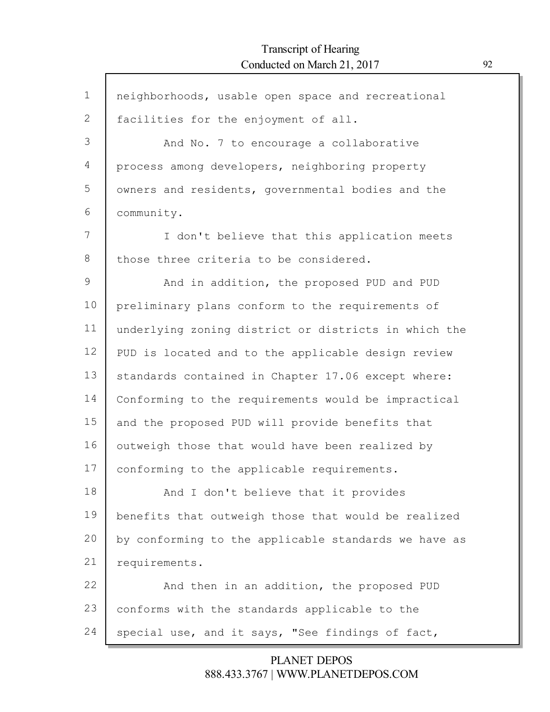Г

| $\mathbf 1$ | neighborhoods, usable open space and recreational    |
|-------------|------------------------------------------------------|
| 2           | facilities for the enjoyment of all.                 |
| 3           | And No. 7 to encourage a collaborative               |
| 4           | process among developers, neighboring property       |
| 5           | owners and residents, governmental bodies and the    |
| 6           | community.                                           |
| 7           | I don't believe that this application meets          |
| 8           | those three criteria to be considered.               |
| 9           | And in addition, the proposed PUD and PUD            |
| 10          | preliminary plans conform to the requirements of     |
| 11          | underlying zoning district or districts in which the |
| 12          | PUD is located and to the applicable design review   |
| 13          | standards contained in Chapter 17.06 except where:   |
| 14          | Conforming to the requirements would be impractical  |
| 15          | and the proposed PUD will provide benefits that      |
| 16          | outweigh those that would have been realized by      |
| 17          | conforming to the applicable requirements.           |
| 18          | And I don't believe that it provides                 |
| 19          | benefits that outweigh those that would be realized  |
| 20          | by conforming to the applicable standards we have as |
| 21          | requirements.                                        |
| 22          | And then in an addition, the proposed PUD            |
| 23          | conforms with the standards applicable to the        |
| 24          | special use, and it says, "See findings of fact,     |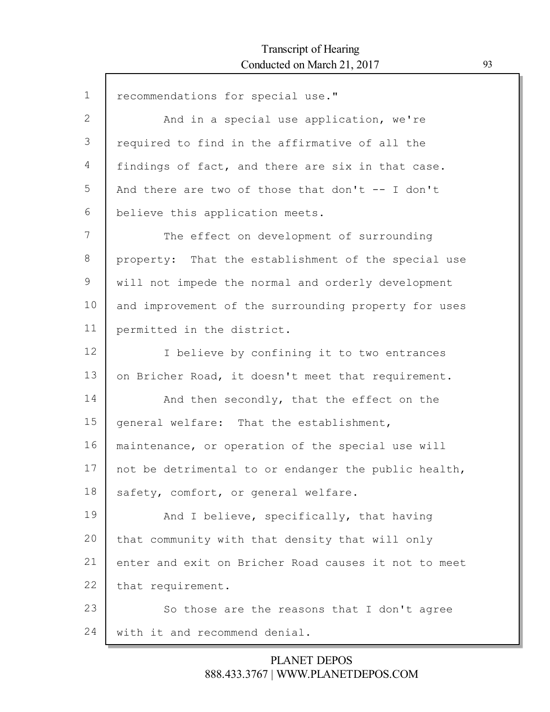| $\mathbf 1$ | recommendations for special use."                    |
|-------------|------------------------------------------------------|
| 2           | And in a special use application, we're              |
| 3           | required to find in the affirmative of all the       |
| 4           | findings of fact, and there are six in that case.    |
| 5           | And there are two of those that don't -- I don't     |
| 6           | believe this application meets.                      |
| 7           | The effect on development of surrounding             |
| 8           | property: That the establishment of the special use  |
| 9           | will not impede the normal and orderly development   |
| 10          | and improvement of the surrounding property for uses |
| 11          | permitted in the district.                           |
| 12          | I believe by confining it to two entrances           |
| 13          | on Bricher Road, it doesn't meet that requirement.   |
| 14          | And then secondly, that the effect on the            |
| 15          | general welfare: That the establishment,             |
| 16          | maintenance, or operation of the special use will    |
| 17          | not be detrimental to or endanger the public health, |
| 18          | safety, comfort, or general welfare.                 |
| 19          | And I believe, specifically, that having             |
| 20          | that community with that density that will only      |
| 21          | enter and exit on Bricher Road causes it not to meet |
| 22          | that requirement.                                    |
| 23          | So those are the reasons that I don't agree          |
| 24          | with it and recommend denial.                        |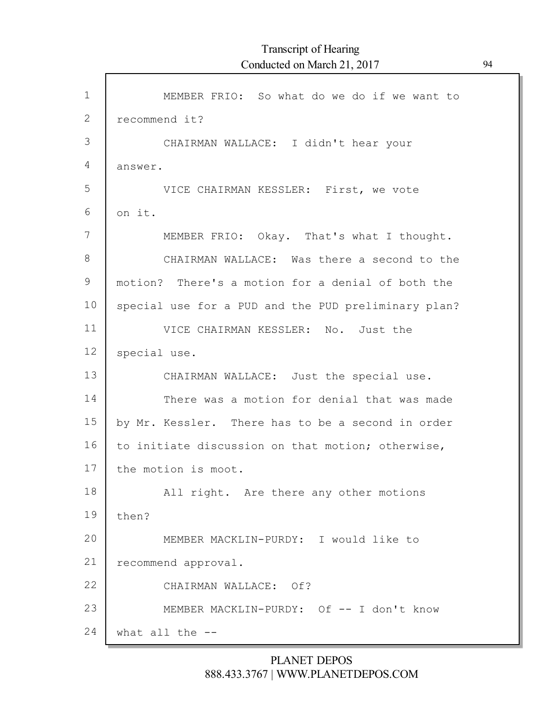| $\mathbf{1}$  | MEMBER FRIO: So what do we do if we want to         |
|---------------|-----------------------------------------------------|
| $\mathbf{2}$  | recommend it?                                       |
| 3             | CHAIRMAN WALLACE: I didn't hear your                |
| 4             | answer.                                             |
| 5             | VICE CHAIRMAN KESSLER: First, we vote               |
| 6             | on it.                                              |
| 7             | MEMBER FRIO: Okay. That's what I thought.           |
| $8\,$         | CHAIRMAN WALLACE: Was there a second to the         |
| $\mathcal{G}$ | motion? There's a motion for a denial of both the   |
| 10            | special use for a PUD and the PUD preliminary plan? |
| 11            | VICE CHAIRMAN KESSLER: No. Just the                 |
| 12            | special use.                                        |
| 13            | CHAIRMAN WALLACE: Just the special use.             |
| 14            | There was a motion for denial that was made         |
| 15            | by Mr. Kessler. There has to be a second in order   |
| 16            | to initiate discussion on that motion; otherwise,   |
| 17            | the motion is moot.                                 |
| 18            | All right. Are there any other motions              |
| 19            | then?                                               |
| 20            | MEMBER MACKLIN-PURDY: I would like to               |
| 21            | recommend approval.                                 |
| 22            | CHAIRMAN WALLACE: Of?                               |
| 23            | MEMBER MACKLIN-PURDY: Of -- I don't know            |
| 24            | what all the --                                     |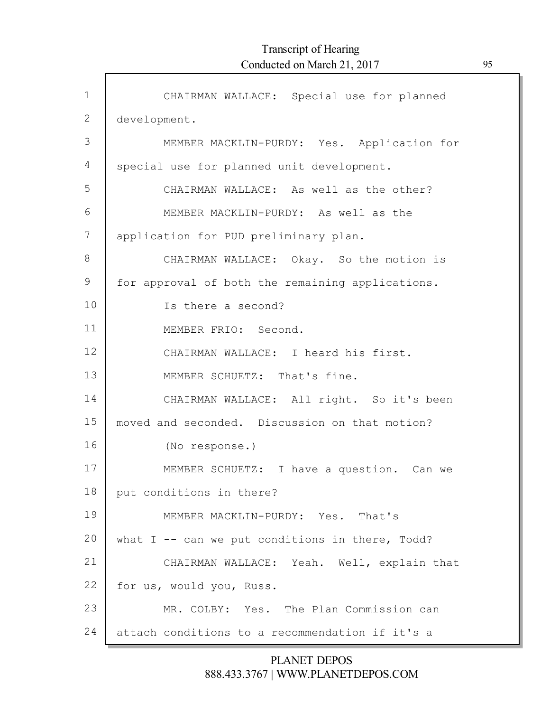| $\mathbf 1$  | CHAIRMAN WALLACE: Special use for planned         |
|--------------|---------------------------------------------------|
| $\mathbf{2}$ | development.                                      |
| 3            | MEMBER MACKLIN-PURDY: Yes. Application for        |
| 4            | special use for planned unit development.         |
| 5            | CHAIRMAN WALLACE: As well as the other?           |
| 6            | MEMBER MACKLIN-PURDY: As well as the              |
| 7            | application for PUD preliminary plan.             |
| 8            | CHAIRMAN WALLACE: Okay. So the motion is          |
| 9            | for approval of both the remaining applications.  |
| 10           | Is there a second?                                |
| 11           | MEMBER FRIO: Second.                              |
| 12           | CHAIRMAN WALLACE: I heard his first.              |
| 13           | MEMBER SCHUETZ: That's fine.                      |
| 14           | CHAIRMAN WALLACE: All right. So it's been         |
| 15           | moved and seconded. Discussion on that motion?    |
| 16           | (No response.)                                    |
| 17           | MEMBER SCHUETZ: I have a question. Can we         |
| 18           | put conditions in there?                          |
| 19           | MEMBER MACKLIN-PURDY: Yes. That's                 |
| 20           | what $I$ -- can we put conditions in there, Todd? |
| 21           | CHAIRMAN WALLACE: Yeah. Well, explain that        |
| 22           | for us, would you, Russ.                          |
| 23           | MR. COLBY: Yes. The Plan Commission can           |
| 24           | attach conditions to a recommendation if it's a   |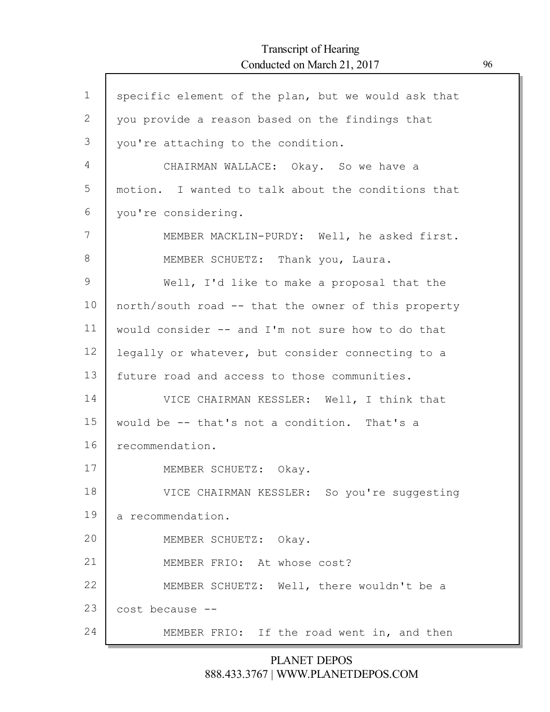| $\mathbf 1$     | specific element of the plan, but we would ask that |
|-----------------|-----------------------------------------------------|
| $\mathbf{2}$    | you provide a reason based on the findings that     |
| 3               | you're attaching to the condition.                  |
| $\overline{4}$  | CHAIRMAN WALLACE: Okay. So we have a                |
| 5               | motion. I wanted to talk about the conditions that  |
| 6               | you're considering.                                 |
| 7               | MEMBER MACKLIN-PURDY: Well, he asked first.         |
| 8               | MEMBER SCHUETZ: Thank you, Laura.                   |
| $\mathcal{G}$   | Well, I'd like to make a proposal that the          |
| 10              | north/south road -- that the owner of this property |
| 11              | would consider -- and I'm not sure how to do that   |
| 12 <sup>°</sup> | legally or whatever, but consider connecting to a   |
| 13              | future road and access to those communities.        |
| 14              | VICE CHAIRMAN KESSLER: Well, I think that           |
| 15              | would be -- that's not a condition. That's a        |
| 16              | recommendation.                                     |
| 17              | MEMBER SCHUETZ: Okay.                               |
| 18              | VICE CHAIRMAN KESSLER: So you're suggesting         |
| 19              | a recommendation.                                   |
| 20              | MEMBER SCHUETZ: Okay.                               |
| 21              | MEMBER FRIO: At whose cost?                         |
| 22              | MEMBER SCHUETZ: Well, there wouldn't be a           |
| 23              | cost because --                                     |
| 24              | MEMBER FRIO: If the road went in, and then          |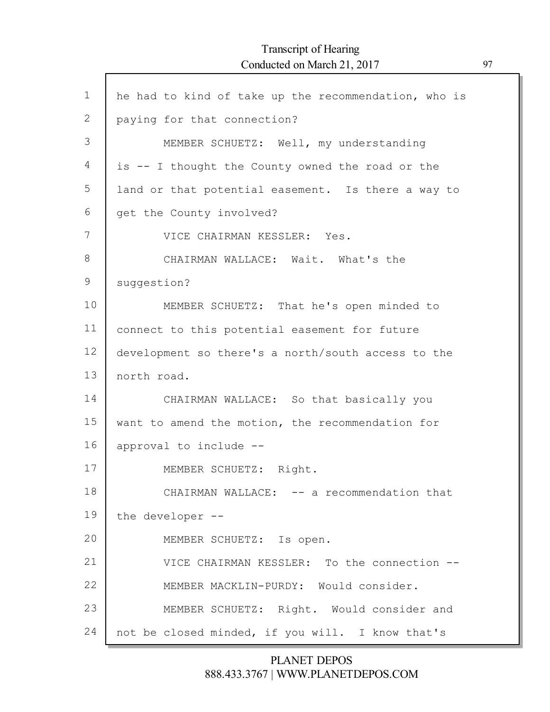$\mathsf{l}$ 

| $\mathbf{1}$  | he had to kind of take up the recommendation, who is |
|---------------|------------------------------------------------------|
| 2             | paying for that connection?                          |
| 3             | MEMBER SCHUETZ: Well, my understanding               |
| 4             | is -- I thought the County owned the road or the     |
| 5             | land or that potential easement. Is there a way to   |
| 6             | get the County involved?                             |
| 7             | VICE CHAIRMAN KESSLER: Yes.                          |
| 8             | CHAIRMAN WALLACE: Wait. What's the                   |
| $\mathcal{G}$ | suggestion?                                          |
| 10            | MEMBER SCHUETZ: That he's open minded to             |
| 11            | connect to this potential easement for future        |
| 12            | development so there's a north/south access to the   |
| 13            | north road.                                          |
| 14            | CHAIRMAN WALLACE: So that basically you              |
| 15            | want to amend the motion, the recommendation for     |
| 16            | approval to include --                               |
| 17            | MEMBER SCHUETZ: Right.                               |
| 18            | CHAIRMAN WALLACE: -- a recommendation that           |
| 19            | the developer --                                     |
| 20            | MEMBER SCHUETZ: Is open.                             |
| 21            | VICE CHAIRMAN KESSLER: To the connection --          |
| 22            | MEMBER MACKLIN-PURDY: Would consider.                |
| 23            | MEMBER SCHUETZ: Right. Would consider and            |
| 24            | not be closed minded, if you will. I know that's     |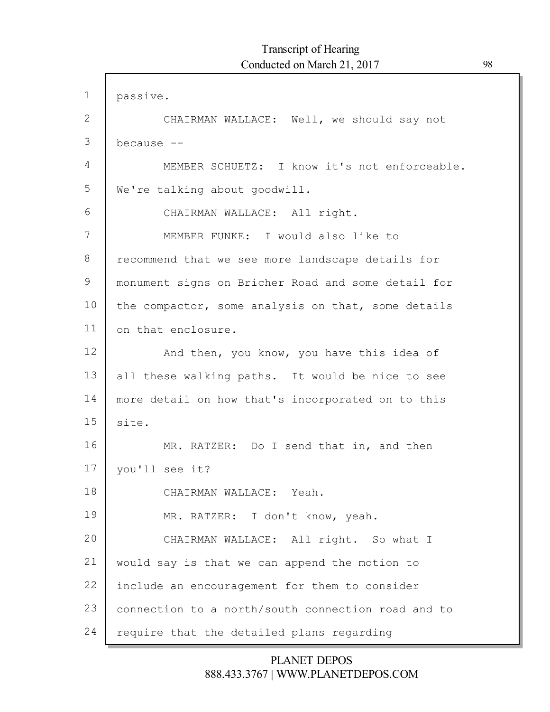| $\mathbf 1$  | passive.                                           |
|--------------|----------------------------------------------------|
| $\mathbf{2}$ | CHAIRMAN WALLACE: Well, we should say not          |
| 3            | because --                                         |
| 4            | MEMBER SCHUETZ: I know it's not enforceable.       |
| 5            | We're talking about goodwill.                      |
| 6            | CHAIRMAN WALLACE: All right.                       |
| 7            | MEMBER FUNKE: I would also like to                 |
| 8            | recommend that we see more landscape details for   |
| 9            | monument signs on Bricher Road and some detail for |
| 10           | the compactor, some analysis on that, some details |
| 11           | on that enclosure.                                 |
| 12           | And then, you know, you have this idea of          |
| 13           | all these walking paths. It would be nice to see   |
| 14           | more detail on how that's incorporated on to this  |
| 15           | site.                                              |
| 16           | MR. RATZER: Do I send that in, and then            |
| 17           | you'll see it?                                     |
| 18           | CHAIRMAN WALLACE: Yeah.                            |
| 19           | MR. RATZER: I don't know, yeah.                    |
| 20           | CHAIRMAN WALLACE: All right. So what I             |
| 21           | would say is that we can append the motion to      |
| 22           | include an encouragement for them to consider      |
| 23           | connection to a north/south connection road and to |
| 24           | require that the detailed plans regarding          |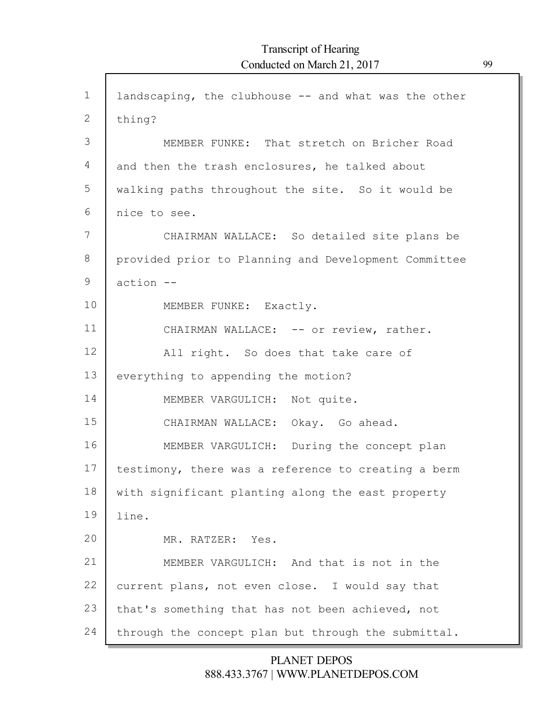| $\mathbf{1}$ | landscaping, the clubhouse -- and what was the other |
|--------------|------------------------------------------------------|
| 2            | thing?                                               |
| 3            | MEMBER FUNKE: That stretch on Bricher Road           |
|              |                                                      |
| 4            | and then the trash enclosures, he talked about       |
| 5            | walking paths throughout the site. So it would be    |
| 6            | nice to see.                                         |
| 7            | CHAIRMAN WALLACE: So detailed site plans be          |
| 8            | provided prior to Planning and Development Committee |
| 9            | action --                                            |
| 10           | MEMBER FUNKE: Exactly.                               |
| 11           | CHAIRMAN WALLACE: -- or review, rather.              |
| 12           | All right. So does that take care of                 |
| 13           | everything to appending the motion?                  |
| 14           | MEMBER VARGULICH: Not quite.                         |
| 15           | CHAIRMAN WALLACE: Okay. Go ahead.                    |
| 16           | MEMBER VARGULICH: During the concept plan            |
| 17           | testimony, there was a reference to creating a berm  |
| 18           | with significant planting along the east property    |
| 19           | line.                                                |
| 20           | MR. RATZER: Yes.                                     |
| 21           | MEMBER VARGULICH: And that is not in the             |
| 22           | current plans, not even close. I would say that      |
| 23           | that's something that has not been achieved, not     |
| 24           | through the concept plan but through the submittal.  |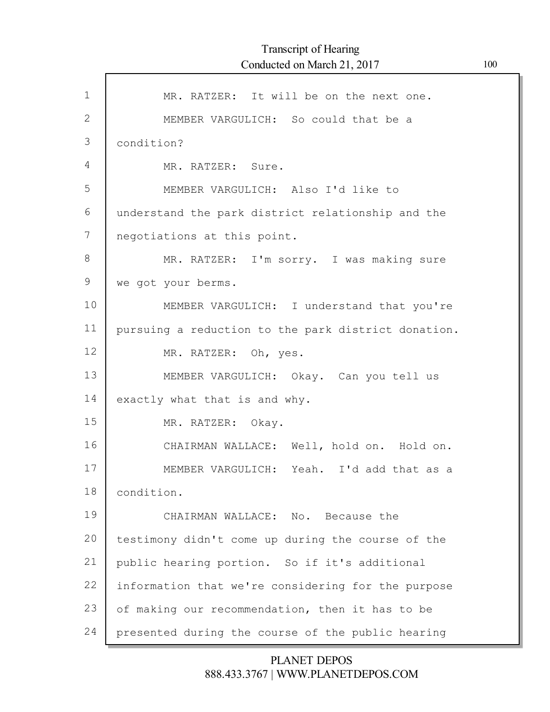| $\mathbf{1}$ | MR. RATZER: It will be on the next one.             |
|--------------|-----------------------------------------------------|
| 2            | MEMBER VARGULICH: So could that be a                |
| 3            | condition?                                          |
| 4            | MR. RATZER: Sure.                                   |
| 5            | MEMBER VARGULICH: Also I'd like to                  |
| 6            | understand the park district relationship and the   |
| 7            | negotiations at this point.                         |
|              |                                                     |
| $8\,$        | MR. RATZER: I'm sorry. I was making sure            |
| 9            | we got your berms.                                  |
| 10           | MEMBER VARGULICH: I understand that you're          |
| 11           | pursuing a reduction to the park district donation. |
| 12           | MR. RATZER: Oh, yes.                                |
| 13           | MEMBER VARGULICH: Okay. Can you tell us             |
| 14           | exactly what that is and why.                       |
| 15           | MR. RATZER: Okay.                                   |
| 16           | CHAIRMAN WALLACE: Well, hold on. Hold on.           |
| 17           | MEMBER VARGULICH: Yeah. I'd add that as a           |
| 18           | condition.                                          |
| 19           |                                                     |
|              | CHAIRMAN WALLACE: No. Because the                   |
| 20           | testimony didn't come up during the course of the   |
| 21           | public hearing portion. So if it's additional       |
| 22           | information that we're considering for the purpose  |
| 23           | of making our recommendation, then it has to be     |
| 24           | presented during the course of the public hearing   |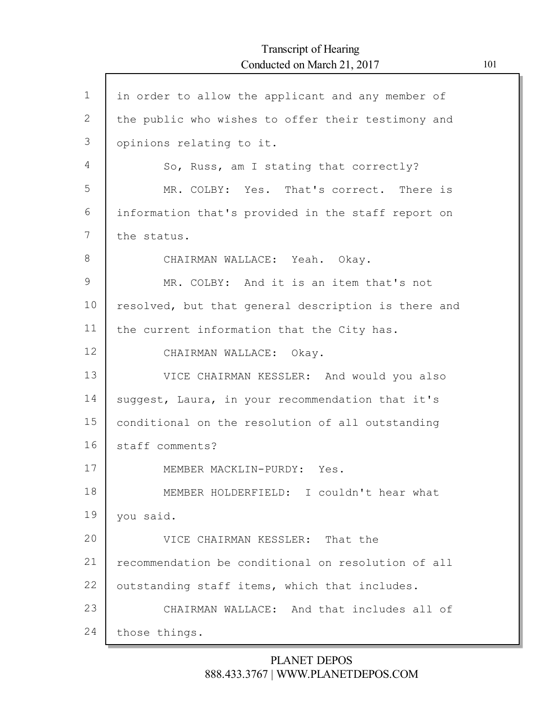| $\mathbf 1$  | in order to allow the applicant and any member of   |
|--------------|-----------------------------------------------------|
| $\mathbf{2}$ | the public who wishes to offer their testimony and  |
| 3            | opinions relating to it.                            |
| 4            | So, Russ, am I stating that correctly?              |
| 5            | MR. COLBY: Yes. That's correct. There is            |
| 6            | information that's provided in the staff report on  |
| 7            | the status.                                         |
| 8            | CHAIRMAN WALLACE: Yeah. Okay.                       |
| 9            | MR. COLBY: And it is an item that's not             |
| 10           | resolved, but that general description is there and |
| 11           | the current information that the City has.          |
| 12           | CHAIRMAN WALLACE: Okay.                             |
| 13           | VICE CHAIRMAN KESSLER: And would you also           |
| 14           | suggest, Laura, in your recommendation that it's    |
| 15           | conditional on the resolution of all outstanding    |
| 16           | staff comments?                                     |
| 17           | MEMBER MACKLIN-PURDY: Yes.                          |
| 18           | MEMBER HOLDERFIELD: I couldn't hear what            |
| 19           | you said.                                           |
| 20           | VICE CHAIRMAN KESSLER: That the                     |
| 21           | recommendation be conditional on resolution of all  |
| 22           | outstanding staff items, which that includes.       |
| 23           | CHAIRMAN WALLACE: And that includes all of          |
| 24           | those things.                                       |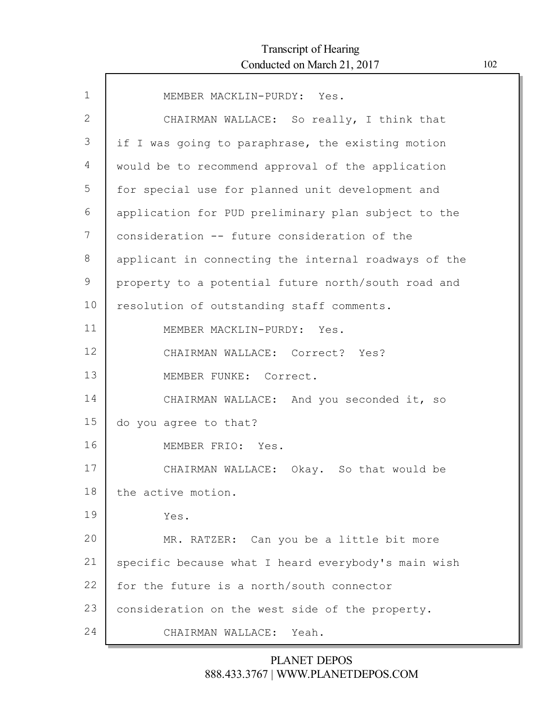| $\mathbf 1$ | MEMBER MACKLIN-PURDY: Yes.                           |
|-------------|------------------------------------------------------|
| 2           | CHAIRMAN WALLACE: So really, I think that            |
| 3           | if I was going to paraphrase, the existing motion    |
| 4           | would be to recommend approval of the application    |
| 5           | for special use for planned unit development and     |
| 6           | application for PUD preliminary plan subject to the  |
| 7           | consideration -- future consideration of the         |
| 8           | applicant in connecting the internal roadways of the |
| 9           | property to a potential future north/south road and  |
| 10          | resolution of outstanding staff comments.            |
| 11          | MEMBER MACKLIN-PURDY: Yes.                           |
| 12          | CHAIRMAN WALLACE: Correct? Yes?                      |
| 13          | MEMBER FUNKE: Correct.                               |
| 14          | CHAIRMAN WALLACE: And you seconded it, so            |
| 15          | do you agree to that?                                |
| 16          | MEMBER FRIO: Yes.                                    |
| 17          | CHAIRMAN WALLACE: Okay. So that would be             |
| 18          | the active motion.                                   |
| 19          | Yes.                                                 |
| 20          | MR. RATZER: Can you be a little bit more             |
| 21          | specific because what I heard everybody's main wish  |
| 22          | for the future is a north/south connector            |
| 23          | consideration on the west side of the property.      |
| 24          | CHAIRMAN WALLACE:<br>Yeah.                           |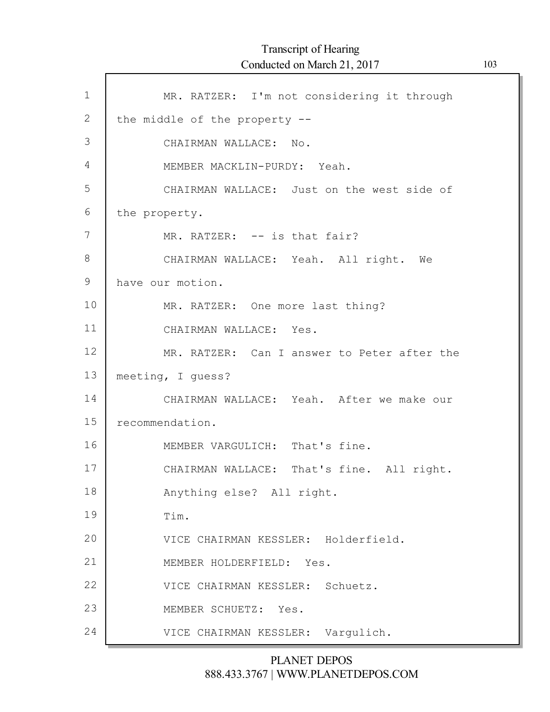| 1             | MR. RATZER: I'm not considering it through  |
|---------------|---------------------------------------------|
| $\mathbf{2}$  | the middle of the property --               |
| 3             | CHAIRMAN WALLACE: No.                       |
| 4             | MEMBER MACKLIN-PURDY: Yeah.                 |
| 5             | CHAIRMAN WALLACE: Just on the west side of  |
| 6             | the property.                               |
| 7             | MR. RATZER: -- is that fair?                |
| 8             | CHAIRMAN WALLACE: Yeah. All right. We       |
| $\mathcal{G}$ | have our motion.                            |
| 10            | MR. RATZER: One more last thing?            |
| 11            | CHAIRMAN WALLACE: Yes.                      |
| 12            | MR. RATZER: Can I answer to Peter after the |
| 13            | meeting, I quess?                           |
| 14            | CHAIRMAN WALLACE: Yeah. After we make our   |
| 15            | recommendation.                             |
| 16            | MEMBER VARGULICH: That's fine.              |
| 17            | CHAIRMAN WALLACE: That's fine. All right.   |
| 18            | Anything else? All right.                   |
| 19            | Tim.                                        |
| 20            | VICE CHAIRMAN KESSLER: Holderfield.         |
| 21            | MEMBER HOLDERFIELD: Yes.                    |
| 22            | VICE CHAIRMAN KESSLER: Schuetz.             |
| 23            | MEMBER SCHUETZ:<br>Yes.                     |
| 24            | VICE CHAIRMAN KESSLER: Vargulich.           |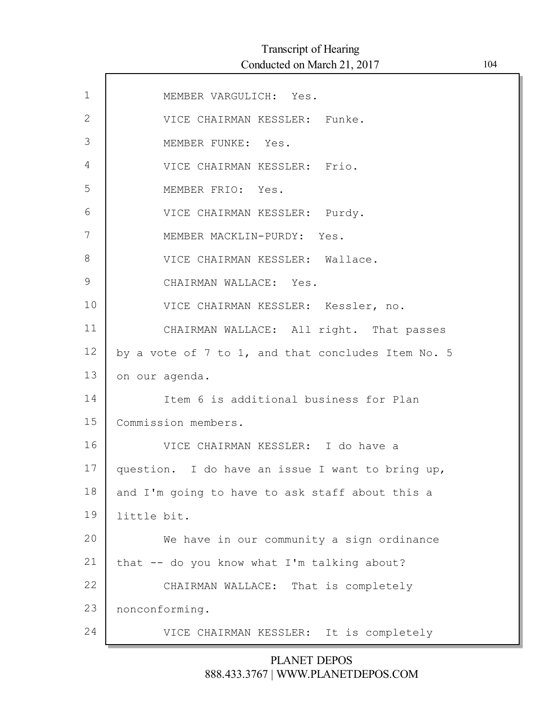| $\mathbf 1$   | MEMBER VARGULICH: Yes.                             |
|---------------|----------------------------------------------------|
| $\mathbf{2}$  | VICE CHAIRMAN KESSLER: Funke.                      |
| 3             | MEMBER FUNKE: Yes.                                 |
| 4             | VICE CHAIRMAN KESSLER: Frio.                       |
| 5             | MEMBER FRIO: Yes.                                  |
| 6             | VICE CHAIRMAN KESSLER: Purdy.                      |
| 7             | MEMBER MACKLIN-PURDY: Yes.                         |
| $8\,$         | VICE CHAIRMAN KESSLER: Wallace.                    |
| $\mathcal{G}$ | CHAIRMAN WALLACE: Yes.                             |
| 10            | VICE CHAIRMAN KESSLER: Kessler, no.                |
| 11            | CHAIRMAN WALLACE: All right. That passes           |
| 12            | by a vote of 7 to 1, and that concludes Item No. 5 |
| 13            | on our agenda.                                     |
| 14            | Item 6 is additional business for Plan             |
| 15            | Commission members.                                |
| 16            | VICE CHAIRMAN KESSLER: I do have a                 |
| 17            | question. I do have an issue I want to bring up,   |
| 18            | and I'm going to have to ask staff about this a    |
| 19            | little bit.                                        |
| 20            | We have in our community a sign ordinance          |
| 21            | that -- do you know what I'm talking about?        |
| 22            | CHAIRMAN WALLACE: That is completely               |
| 23            | nonconforming.                                     |
| 24            | VICE CHAIRMAN KESSLER: It is completely            |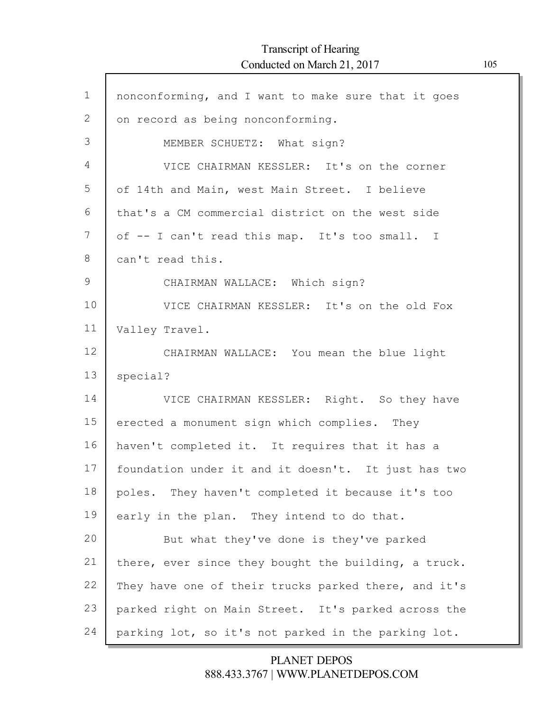## Transcript of Hearing Conducted on March 21, 2017 105

Г

| $\mathbf 1$  | nonconforming, and I want to make sure that it goes  |
|--------------|------------------------------------------------------|
| $\mathbf{2}$ | on record as being nonconforming.                    |
| 3            | MEMBER SCHUETZ: What sign?                           |
| 4            | VICE CHAIRMAN KESSLER: It's on the corner            |
| 5            | of 14th and Main, west Main Street. I believe        |
| 6            | that's a CM commercial district on the west side     |
| 7            | of -- I can't read this map. It's too small. I       |
| 8            | can't read this.                                     |
| 9            | CHAIRMAN WALLACE: Which sign?                        |
| 10           | VICE CHAIRMAN KESSLER: It's on the old Fox           |
| 11           | Valley Travel.                                       |
| 12           | CHAIRMAN WALLACE: You mean the blue light            |
| 13           | special?                                             |
| 14           | VICE CHAIRMAN KESSLER: Right. So they have           |
| 15           | erected a monument sign which complies. They         |
| 16           | haven't completed it. It requires that it has a      |
| 17           |                                                      |
|              | foundation under it and it doesn't. It just has two  |
| 18           | poles. They haven't completed it because it's too    |
| 19           | early in the plan. They intend to do that.           |
| 20           | But what they've done is they've parked              |
| 21           | there, ever since they bought the building, a truck. |
| 22           | They have one of their trucks parked there, and it's |
| 23           | parked right on Main Street. It's parked across the  |
| 24           | parking lot, so it's not parked in the parking lot.  |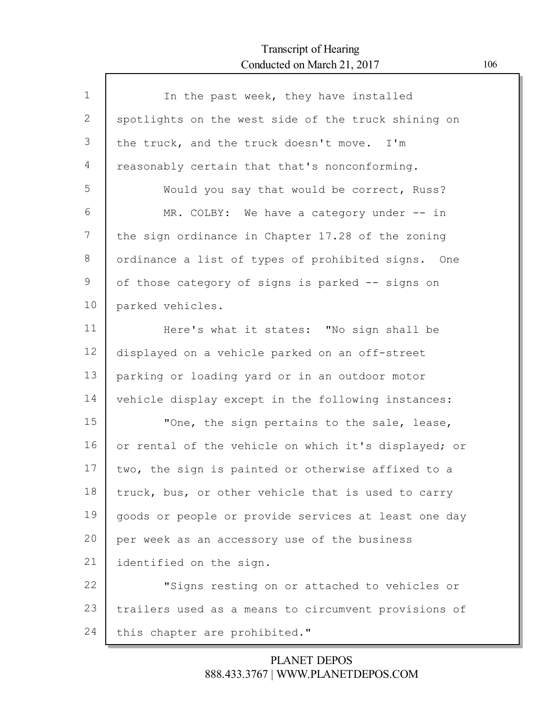## Transcript of Hearing Conducted on March 21, 2017 106

Г

| $\mathbf 1$ | In the past week, they have installed                |
|-------------|------------------------------------------------------|
| 2           | spotlights on the west side of the truck shining on  |
| 3           | the truck, and the truck doesn't move. I'm           |
| 4           | reasonably certain that that's nonconforming.        |
| 5           | Would you say that would be correct, Russ?           |
| 6           | MR. COLBY: We have a category under -- in            |
| 7           | the sign ordinance in Chapter 17.28 of the zoning    |
| 8           | ordinance a list of types of prohibited signs. One   |
| 9           | of those category of signs is parked -- signs on     |
| 10          | parked vehicles.                                     |
| 11          | Here's what it states: "No sign shall be             |
| 12          | displayed on a vehicle parked on an off-street       |
| 13          | parking or loading yard or in an outdoor motor       |
| 14          | vehicle display except in the following instances:   |
| 15          | "One, the sign pertains to the sale, lease,          |
| 16          | or rental of the vehicle on which it's displayed; or |
| 17          | two, the sign is painted or otherwise affixed to a   |
| 18          | truck, bus, or other vehicle that is used to carry   |
| 19          | goods or people or provide services at least one day |
| 20          | per week as an accessory use of the business         |
| 21          | identified on the sign.                              |
| 22          | "Signs resting on or attached to vehicles or         |
| 23          | trailers used as a means to circumvent provisions of |
| 24          | this chapter are prohibited."                        |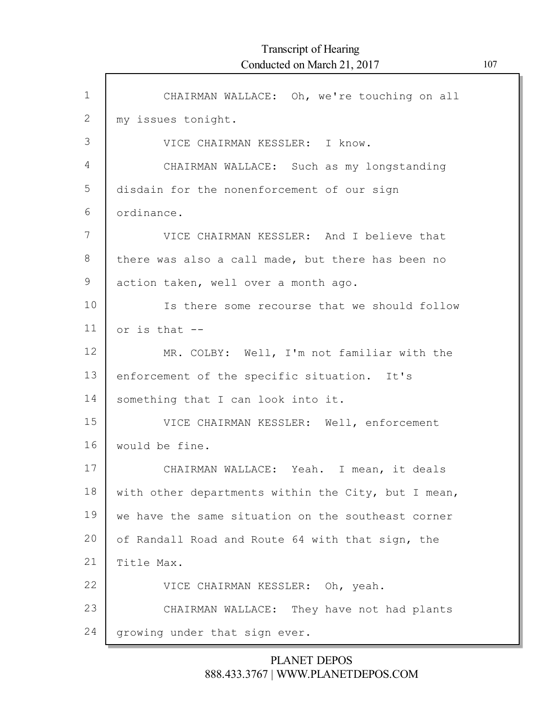| $\mathbf{1}$    | CHAIRMAN WALLACE: Oh, we're touching on all         |
|-----------------|-----------------------------------------------------|
| $\mathbf{2}$    | my issues tonight.                                  |
| 3               | VICE CHAIRMAN KESSLER: I know.                      |
| 4               | CHAIRMAN WALLACE: Such as my longstanding           |
| 5               | disdain for the nonenforcement of our sign          |
| 6               | ordinance.                                          |
| 7               | VICE CHAIRMAN KESSLER: And I believe that           |
| 8               | there was also a call made, but there has been no   |
| 9               | action taken, well over a month ago.                |
| 10              | Is there some recourse that we should follow        |
| 11              | or is that $-$ -                                    |
| 12 <sup>°</sup> | MR. COLBY: Well, I'm not familiar with the          |
| 13              | enforcement of the specific situation. It's         |
| 14              | something that I can look into it.                  |
| 15              | VICE CHAIRMAN KESSLER: Well, enforcement            |
| 16              | would be fine.                                      |
| 17              | CHAIRMAN WALLACE: Yeah. I mean, it deals            |
| 18              | with other departments within the City, but I mean, |
| 19              | we have the same situation on the southeast corner  |
| 20              | of Randall Road and Route 64 with that sign, the    |
| 21              | Title Max.                                          |
| 22              | VICE CHAIRMAN KESSLER: Oh, yeah.                    |
| 23              | CHAIRMAN WALLACE: They have not had plants          |
| 24              | growing under that sign ever.                       |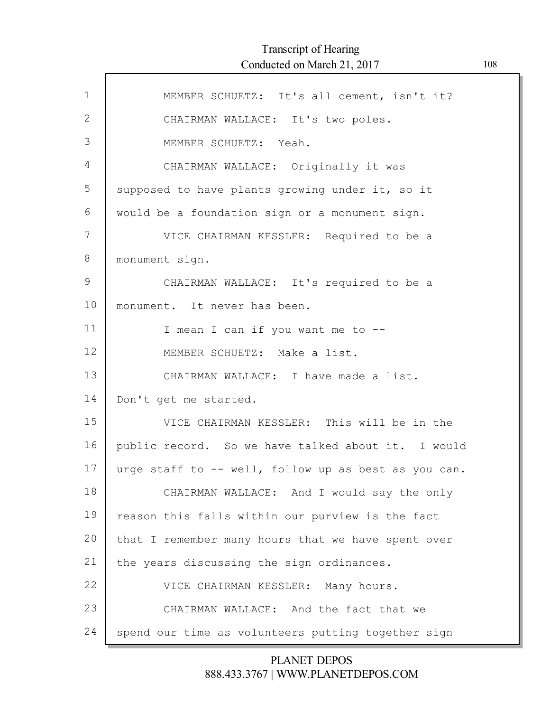| $\mathbf{1}$ | MEMBER SCHUETZ: It's all cement, isn't it?           |
|--------------|------------------------------------------------------|
| 2            | CHAIRMAN WALLACE: It's two poles.                    |
| 3            | MEMBER SCHUETZ: Yeah.                                |
| 4            | CHAIRMAN WALLACE: Originally it was                  |
| 5            | supposed to have plants growing under it, so it      |
| 6            | would be a foundation sign or a monument sign.       |
| 7            | VICE CHAIRMAN KESSLER: Required to be a              |
| 8            | monument sign.                                       |
| 9            | CHAIRMAN WALLACE: It's required to be a              |
| 10           | monument. It never has been.                         |
| 11           | I mean I can if you want me to --                    |
| 12           | MEMBER SCHUETZ: Make a list.                         |
| 13           | CHAIRMAN WALLACE: I have made a list.                |
| 14           | Don't get me started.                                |
| 15           | VICE CHAIRMAN KESSLER: This will be in the           |
| 16           | public record. So we have talked about it. I would   |
| 17           | urge staff to -- well, follow up as best as you can. |
| 18           | CHAIRMAN WALLACE: And I would say the only           |
| 19           | reason this falls within our purview is the fact     |
| 20           | that I remember many hours that we have spent over   |
| 21           | the years discussing the sign ordinances.            |
| 22           | VICE CHAIRMAN KESSLER: Many hours.                   |
| 23           | CHAIRMAN WALLACE: And the fact that we               |
| 24           | spend our time as volunteers putting together sign   |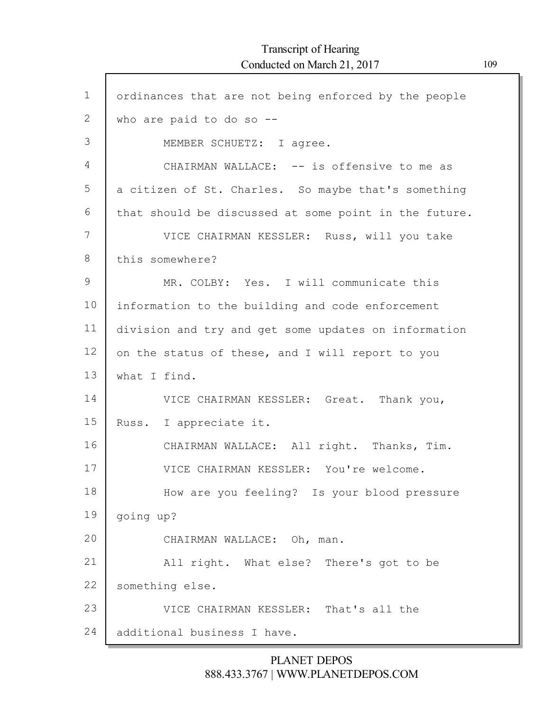| $\mathbf 1$ | ordinances that are not being enforced by the people  |
|-------------|-------------------------------------------------------|
| 2           | who are paid to do so --                              |
| 3           | MEMBER SCHUETZ: I agree.                              |
| 4           | CHAIRMAN WALLACE: -- is offensive to me as            |
| 5           | a citizen of St. Charles. So maybe that's something   |
| 6           | that should be discussed at some point in the future. |
| 7           | VICE CHAIRMAN KESSLER: Russ, will you take            |
| 8           | this somewhere?                                       |
| 9           | MR. COLBY: Yes. I will communicate this               |
| 10          | information to the building and code enforcement      |
| 11          | division and try and get some updates on information  |
| 12          | on the status of these, and I will report to you      |
| 13          | what I find.                                          |
| 14          | VICE CHAIRMAN KESSLER: Great. Thank you,              |
| 15          | Russ. I appreciate it.                                |
| 16          | CHAIRMAN WALLACE: All right. Thanks, Tim.             |
| 17          | VICE CHAIRMAN KESSLER: You're welcome.                |
| 18          | How are you feeling? Is your blood pressure           |
| 19          | going up?                                             |
| 20          | CHAIRMAN WALLACE: Oh, man.                            |
| 21          | All right. What else? There's got to be               |
| 22          | something else.                                       |
| 23          | VICE CHAIRMAN KESSLER: That's all the                 |
| 24          | additional business I have.                           |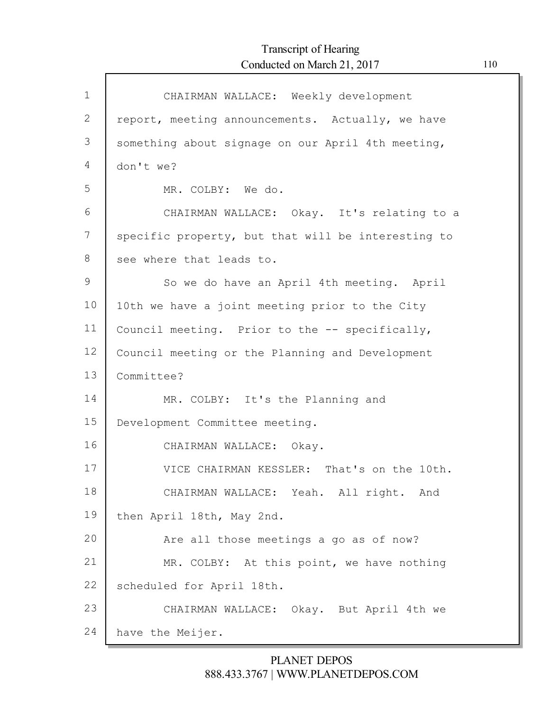| $\mathbf 1$ | CHAIRMAN WALLACE: Weekly development               |
|-------------|----------------------------------------------------|
| 2           | report, meeting announcements. Actually, we have   |
| 3           | something about signage on our April 4th meeting,  |
| 4           | don't we?                                          |
| 5           | MR. COLBY: We do.                                  |
| 6           | CHAIRMAN WALLACE: Okay. It's relating to a         |
| 7           | specific property, but that will be interesting to |
| 8           | see where that leads to.                           |
| 9           | So we do have an April 4th meeting. April          |
| 10          | 10th we have a joint meeting prior to the City     |
| 11          | Council meeting. Prior to the -- specifically,     |
| 12          | Council meeting or the Planning and Development    |
| 13          | Committee?                                         |
| 14          | MR. COLBY: It's the Planning and                   |
| 15          | Development Committee meeting.                     |
| 16          | CHAIRMAN WALLACE: Okay.                            |
| 17          | VICE CHAIRMAN KESSLER: That's on the 10th.         |
| 18          | CHAIRMAN WALLACE: Yeah. All right. And             |
| 19          | then April 18th, May 2nd.                          |
| 20          | Are all those meetings a go as of now?             |
| 21          | MR. COLBY: At this point, we have nothing          |
| 22          | scheduled for April 18th.                          |
| 23          | CHAIRMAN WALLACE: Okay. But April 4th we           |
| 24          | have the Meijer.                                   |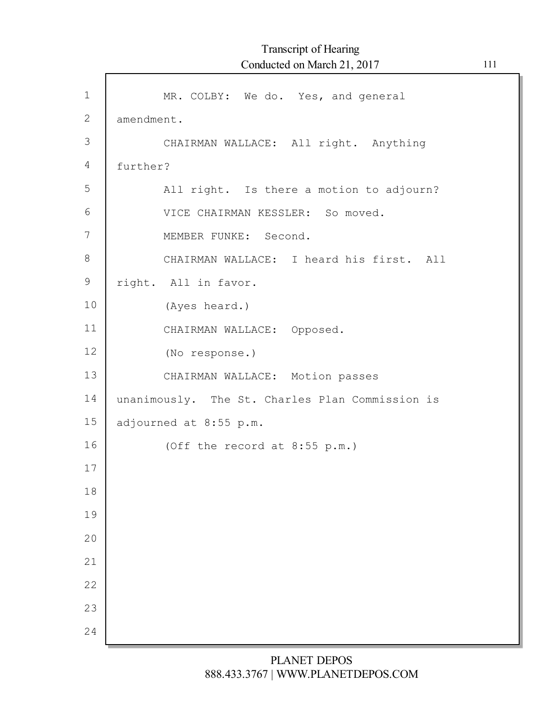| $\mathbf 1$    | MR. COLBY: We do. Yes, and general              |
|----------------|-------------------------------------------------|
| $\mathbf{2}$   | amendment.                                      |
| $\mathfrak{Z}$ | CHAIRMAN WALLACE: All right. Anything           |
| 4              | further?                                        |
| 5              | All right. Is there a motion to adjourn?        |
| 6              | VICE CHAIRMAN KESSLER: So moved.                |
| 7              | MEMBER FUNKE: Second.                           |
| 8              | CHAIRMAN WALLACE: I heard his first. All        |
| $\mathsf 9$    | right. All in favor.                            |
| 10             | (Ayes heard.)                                   |
| 11             | CHAIRMAN WALLACE: Opposed.                      |
| 12             | (No response.)                                  |
| 13             | CHAIRMAN WALLACE: Motion passes                 |
| 14             | unanimously. The St. Charles Plan Commission is |
| 15             | adjourned at 8:55 p.m.                          |
| 16             | (Off the record at 8:55 p.m.)                   |
| 17             |                                                 |
| 18             |                                                 |
| 19             |                                                 |
| 20             |                                                 |
| 21             |                                                 |
| 22             |                                                 |
| 23             |                                                 |
| 24             |                                                 |